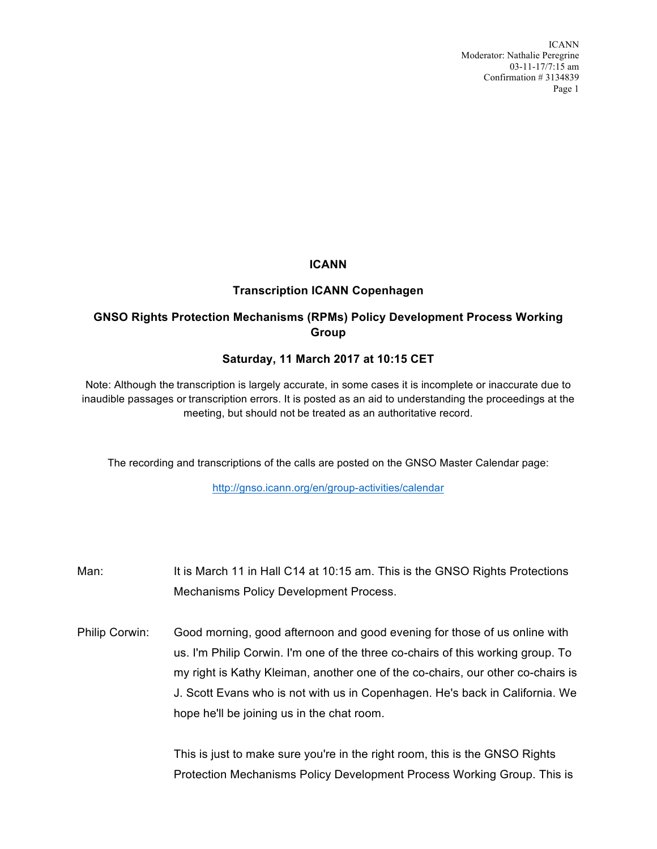ICANN Moderator: Nathalie Peregrine 03-11-17/7:15 am Confirmation # 3134839 Page 1

## **ICANN**

### **Transcription ICANN Copenhagen**

# **GNSO Rights Protection Mechanisms (RPMs) Policy Development Process Working Group**

## **Saturday, 11 March 2017 at 10:15 CET**

Note: Although the transcription is largely accurate, in some cases it is incomplete or inaccurate due to inaudible passages or transcription errors. It is posted as an aid to understanding the proceedings at the meeting, but should not be treated as an authoritative record.

The recording and transcriptions of the calls are posted on the GNSO Master Calendar page:

http://gnso.icann.org/en/group-activities/calendar

- Man: It is March 11 in Hall C14 at 10:15 am. This is the GNSO Rights Protections Mechanisms Policy Development Process.
- Philip Corwin: Good morning, good afternoon and good evening for those of us online with us. I'm Philip Corwin. I'm one of the three co-chairs of this working group. To my right is Kathy Kleiman, another one of the co-chairs, our other co-chairs is J. Scott Evans who is not with us in Copenhagen. He's back in California. We hope he'll be joining us in the chat room.

This is just to make sure you're in the right room, this is the GNSO Rights Protection Mechanisms Policy Development Process Working Group. This is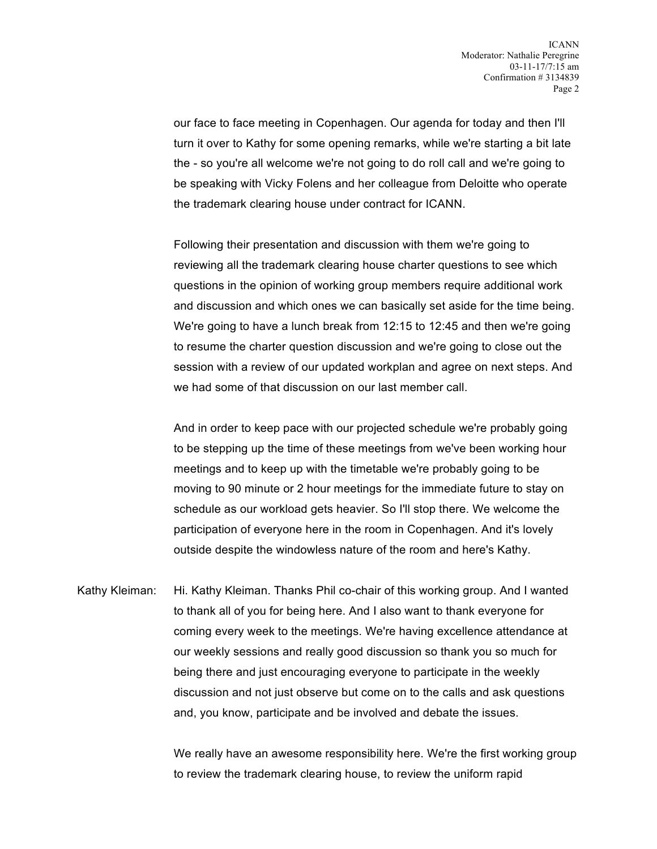our face to face meeting in Copenhagen. Our agenda for today and then I'll turn it over to Kathy for some opening remarks, while we're starting a bit late the - so you're all welcome we're not going to do roll call and we're going to be speaking with Vicky Folens and her colleague from Deloitte who operate the trademark clearing house under contract for ICANN.

Following their presentation and discussion with them we're going to reviewing all the trademark clearing house charter questions to see which questions in the opinion of working group members require additional work and discussion and which ones we can basically set aside for the time being. We're going to have a lunch break from 12:15 to 12:45 and then we're going to resume the charter question discussion and we're going to close out the session with a review of our updated workplan and agree on next steps. And we had some of that discussion on our last member call.

And in order to keep pace with our projected schedule we're probably going to be stepping up the time of these meetings from we've been working hour meetings and to keep up with the timetable we're probably going to be moving to 90 minute or 2 hour meetings for the immediate future to stay on schedule as our workload gets heavier. So I'll stop there. We welcome the participation of everyone here in the room in Copenhagen. And it's lovely outside despite the windowless nature of the room and here's Kathy.

Kathy Kleiman: Hi. Kathy Kleiman. Thanks Phil co-chair of this working group. And I wanted to thank all of you for being here. And I also want to thank everyone for coming every week to the meetings. We're having excellence attendance at our weekly sessions and really good discussion so thank you so much for being there and just encouraging everyone to participate in the weekly discussion and not just observe but come on to the calls and ask questions and, you know, participate and be involved and debate the issues.

> We really have an awesome responsibility here. We're the first working group to review the trademark clearing house, to review the uniform rapid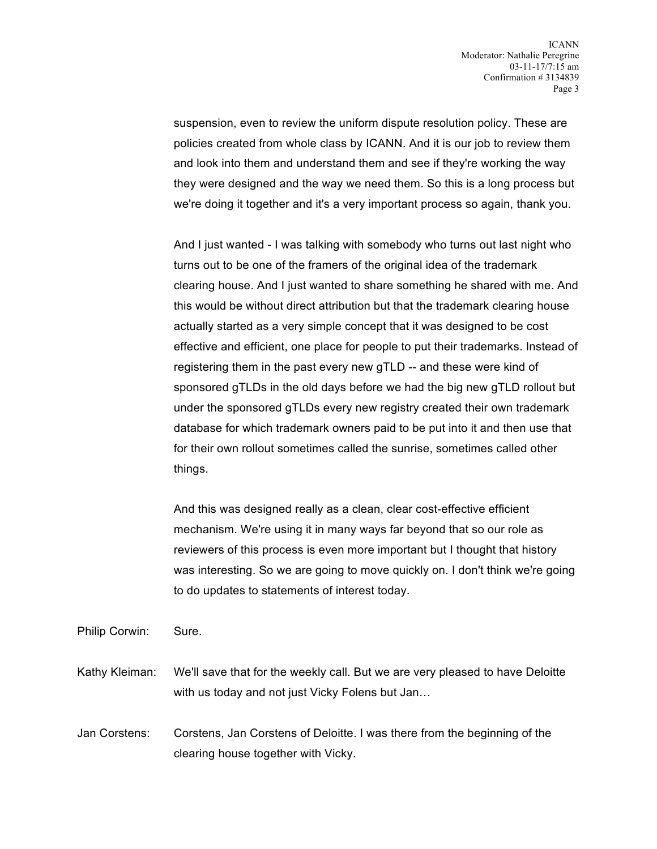suspension, even to review the uniform dispute resolution policy. These are policies created from whole class by ICANN. And it is our job to review them and look into them and understand them and see if they're working the way they were designed and the way we need them. So this is a long process but we're doing it together and it's a very important process so again, thank you.

And I just wanted - I was talking with somebody who turns out last night who turns out to be one of the framers of the original idea of the trademark clearing house. And I just wanted to share something he shared with me. And this would be without direct attribution but that the trademark clearing house actually started as a very simple concept that it was designed to be cost effective and efficient, one place for people to put their trademarks. Instead of registering them in the past every new gTLD -- and these were kind of sponsored gTLDs in the old days before we had the big new gTLD rollout but under the sponsored gTLDs every new registry created their own trademark database for which trademark owners paid to be put into it and then use that for their own rollout sometimes called the sunrise, sometimes called other things.

And this was designed really as a clean, clear cost-effective efficient mechanism. We're using it in many ways far beyond that so our role as reviewers of this process is even more important but I thought that history was interesting. So we are going to move quickly on. I don't think we're going to do updates to statements of interest today.

Philip Corwin: Sure.

Kathy Kleiman: We'll save that for the weekly call. But we are very pleased to have Deloitte with us today and not just Vicky Folens but Jan…

Jan Corstens: Corstens, Jan Corstens of Deloitte. I was there from the beginning of the clearing house together with Vicky.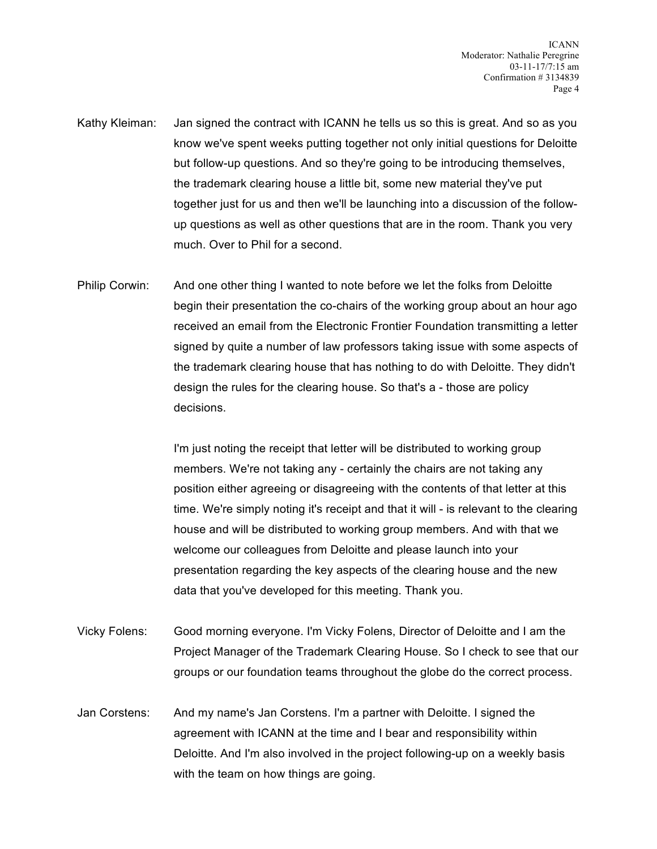- Kathy Kleiman: Jan signed the contract with ICANN he tells us so this is great. And so as you know we've spent weeks putting together not only initial questions for Deloitte but follow-up questions. And so they're going to be introducing themselves, the trademark clearing house a little bit, some new material they've put together just for us and then we'll be launching into a discussion of the followup questions as well as other questions that are in the room. Thank you very much. Over to Phil for a second.
- Philip Corwin: And one other thing I wanted to note before we let the folks from Deloitte begin their presentation the co-chairs of the working group about an hour ago received an email from the Electronic Frontier Foundation transmitting a letter signed by quite a number of law professors taking issue with some aspects of the trademark clearing house that has nothing to do with Deloitte. They didn't design the rules for the clearing house. So that's a - those are policy decisions.

I'm just noting the receipt that letter will be distributed to working group members. We're not taking any - certainly the chairs are not taking any position either agreeing or disagreeing with the contents of that letter at this time. We're simply noting it's receipt and that it will - is relevant to the clearing house and will be distributed to working group members. And with that we welcome our colleagues from Deloitte and please launch into your presentation regarding the key aspects of the clearing house and the new data that you've developed for this meeting. Thank you.

- Vicky Folens: Good morning everyone. I'm Vicky Folens, Director of Deloitte and I am the Project Manager of the Trademark Clearing House. So I check to see that our groups or our foundation teams throughout the globe do the correct process.
- Jan Corstens: And my name's Jan Corstens. I'm a partner with Deloitte. I signed the agreement with ICANN at the time and I bear and responsibility within Deloitte. And I'm also involved in the project following-up on a weekly basis with the team on how things are going.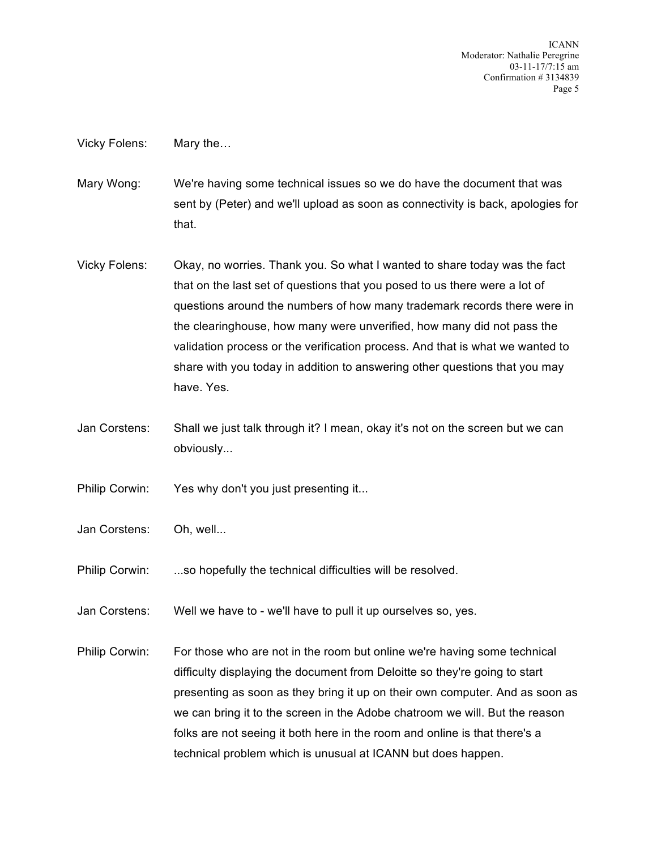ICANN Moderator: Nathalie Peregrine 03-11-17/7:15 am Confirmation # 3134839 Page 5

Vicky Folens: Mary the…

Mary Wong: We're having some technical issues so we do have the document that was sent by (Peter) and we'll upload as soon as connectivity is back, apologies for that.

- Vicky Folens: Okay, no worries. Thank you. So what I wanted to share today was the fact that on the last set of questions that you posed to us there were a lot of questions around the numbers of how many trademark records there were in the clearinghouse, how many were unverified, how many did not pass the validation process or the verification process. And that is what we wanted to share with you today in addition to answering other questions that you may have. Yes.
- Jan Corstens: Shall we just talk through it? I mean, okay it's not on the screen but we can obviously...
- Philip Corwin: Yes why don't you just presenting it...
- Jan Corstens: Oh, well...
- Philip Corwin: ...so hopefully the technical difficulties will be resolved.
- Jan Corstens: Well we have to we'll have to pull it up ourselves so, yes.
- Philip Corwin: For those who are not in the room but online we're having some technical difficulty displaying the document from Deloitte so they're going to start presenting as soon as they bring it up on their own computer. And as soon as we can bring it to the screen in the Adobe chatroom we will. But the reason folks are not seeing it both here in the room and online is that there's a technical problem which is unusual at ICANN but does happen.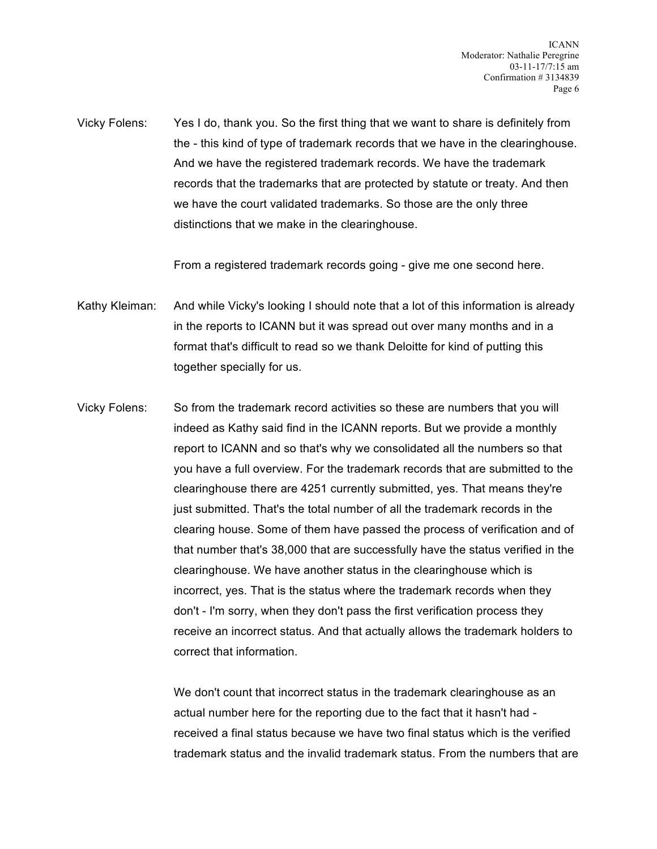Vicky Folens: Yes I do, thank you. So the first thing that we want to share is definitely from the - this kind of type of trademark records that we have in the clearinghouse. And we have the registered trademark records. We have the trademark records that the trademarks that are protected by statute or treaty. And then we have the court validated trademarks. So those are the only three distinctions that we make in the clearinghouse.

From a registered trademark records going - give me one second here.

Kathy Kleiman: And while Vicky's looking I should note that a lot of this information is already in the reports to ICANN but it was spread out over many months and in a format that's difficult to read so we thank Deloitte for kind of putting this together specially for us.

Vicky Folens: So from the trademark record activities so these are numbers that you will indeed as Kathy said find in the ICANN reports. But we provide a monthly report to ICANN and so that's why we consolidated all the numbers so that you have a full overview. For the trademark records that are submitted to the clearinghouse there are 4251 currently submitted, yes. That means they're just submitted. That's the total number of all the trademark records in the clearing house. Some of them have passed the process of verification and of that number that's 38,000 that are successfully have the status verified in the clearinghouse. We have another status in the clearinghouse which is incorrect, yes. That is the status where the trademark records when they don't - I'm sorry, when they don't pass the first verification process they receive an incorrect status. And that actually allows the trademark holders to correct that information.

> We don't count that incorrect status in the trademark clearinghouse as an actual number here for the reporting due to the fact that it hasn't had received a final status because we have two final status which is the verified trademark status and the invalid trademark status. From the numbers that are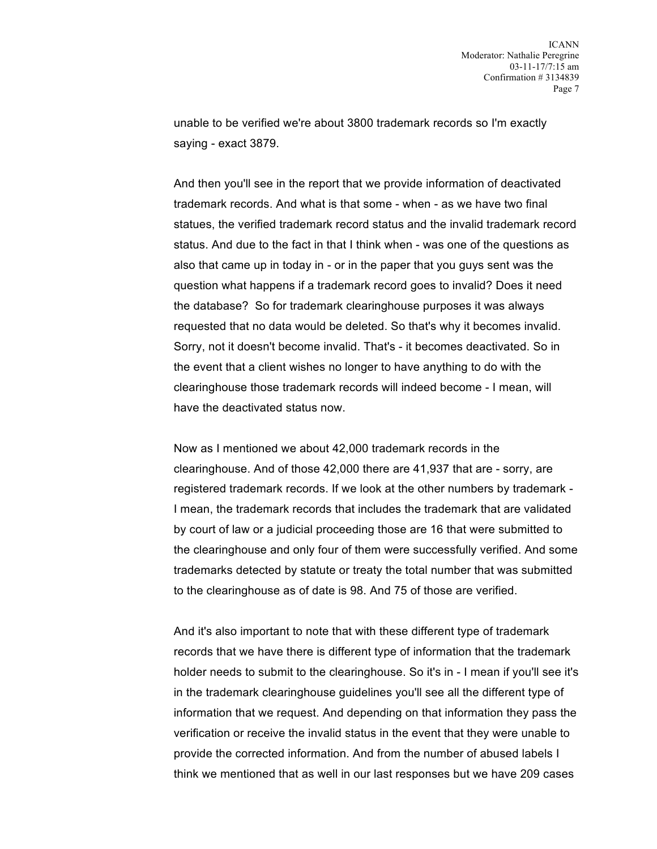unable to be verified we're about 3800 trademark records so I'm exactly saying - exact 3879.

And then you'll see in the report that we provide information of deactivated trademark records. And what is that some - when - as we have two final statues, the verified trademark record status and the invalid trademark record status. And due to the fact in that I think when - was one of the questions as also that came up in today in - or in the paper that you guys sent was the question what happens if a trademark record goes to invalid? Does it need the database? So for trademark clearinghouse purposes it was always requested that no data would be deleted. So that's why it becomes invalid. Sorry, not it doesn't become invalid. That's - it becomes deactivated. So in the event that a client wishes no longer to have anything to do with the clearinghouse those trademark records will indeed become - I mean, will have the deactivated status now.

Now as I mentioned we about 42,000 trademark records in the clearinghouse. And of those 42,000 there are 41,937 that are - sorry, are registered trademark records. If we look at the other numbers by trademark - I mean, the trademark records that includes the trademark that are validated by court of law or a judicial proceeding those are 16 that were submitted to the clearinghouse and only four of them were successfully verified. And some trademarks detected by statute or treaty the total number that was submitted to the clearinghouse as of date is 98. And 75 of those are verified.

And it's also important to note that with these different type of trademark records that we have there is different type of information that the trademark holder needs to submit to the clearinghouse. So it's in - I mean if you'll see it's in the trademark clearinghouse guidelines you'll see all the different type of information that we request. And depending on that information they pass the verification or receive the invalid status in the event that they were unable to provide the corrected information. And from the number of abused labels I think we mentioned that as well in our last responses but we have 209 cases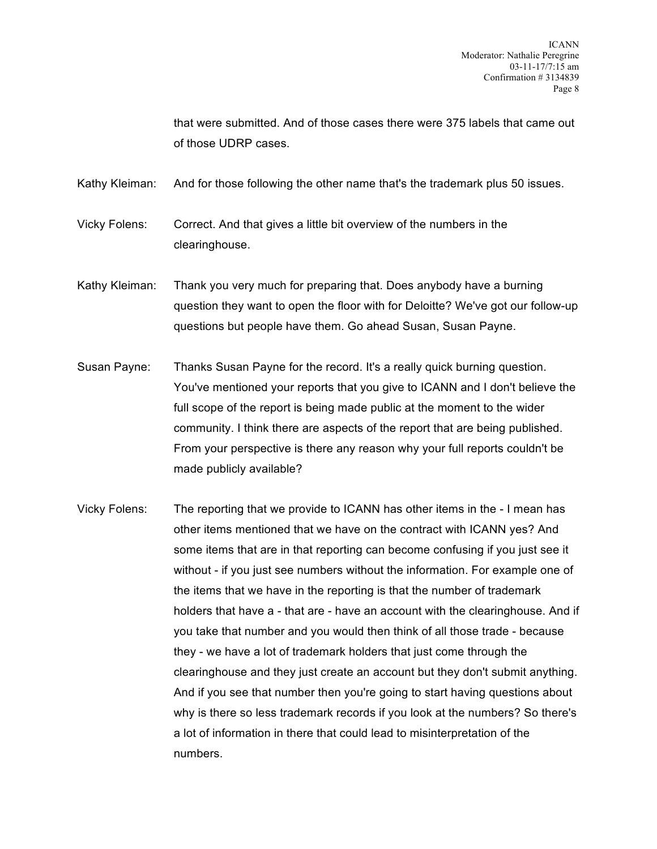that were submitted. And of those cases there were 375 labels that came out of those UDRP cases.

Kathy Kleiman: And for those following the other name that's the trademark plus 50 issues.

Vicky Folens: Correct. And that gives a little bit overview of the numbers in the clearinghouse.

- Kathy Kleiman: Thank you very much for preparing that. Does anybody have a burning question they want to open the floor with for Deloitte? We've got our follow-up questions but people have them. Go ahead Susan, Susan Payne.
- Susan Payne: Thanks Susan Payne for the record. It's a really quick burning question. You've mentioned your reports that you give to ICANN and I don't believe the full scope of the report is being made public at the moment to the wider community. I think there are aspects of the report that are being published. From your perspective is there any reason why your full reports couldn't be made publicly available?
- Vicky Folens: The reporting that we provide to ICANN has other items in the I mean has other items mentioned that we have on the contract with ICANN yes? And some items that are in that reporting can become confusing if you just see it without - if you just see numbers without the information. For example one of the items that we have in the reporting is that the number of trademark holders that have a - that are - have an account with the clearinghouse. And if you take that number and you would then think of all those trade - because they - we have a lot of trademark holders that just come through the clearinghouse and they just create an account but they don't submit anything. And if you see that number then you're going to start having questions about why is there so less trademark records if you look at the numbers? So there's a lot of information in there that could lead to misinterpretation of the numbers.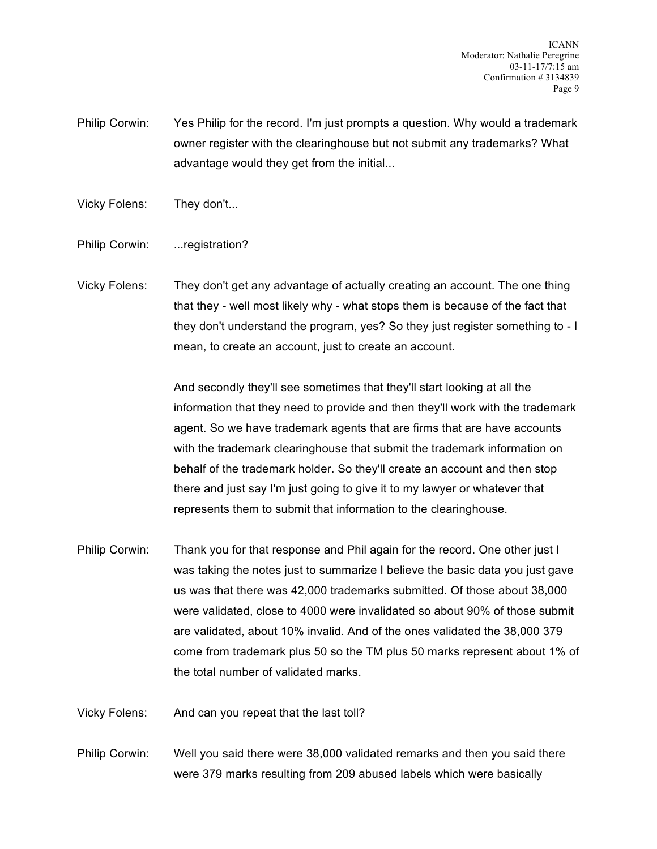ICANN Moderator: Nathalie Peregrine 03-11-17/7:15 am Confirmation # 3134839 Page 9

Philip Corwin: Yes Philip for the record. I'm just prompts a question. Why would a trademark owner register with the clearinghouse but not submit any trademarks? What advantage would they get from the initial...

Vicky Folens: They don't...

Philip Corwin: ...registration?

Vicky Folens: They don't get any advantage of actually creating an account. The one thing that they - well most likely why - what stops them is because of the fact that they don't understand the program, yes? So they just register something to - I mean, to create an account, just to create an account.

> And secondly they'll see sometimes that they'll start looking at all the information that they need to provide and then they'll work with the trademark agent. So we have trademark agents that are firms that are have accounts with the trademark clearinghouse that submit the trademark information on behalf of the trademark holder. So they'll create an account and then stop there and just say I'm just going to give it to my lawyer or whatever that represents them to submit that information to the clearinghouse.

Philip Corwin: Thank you for that response and Phil again for the record. One other just I was taking the notes just to summarize I believe the basic data you just gave us was that there was 42,000 trademarks submitted. Of those about 38,000 were validated, close to 4000 were invalidated so about 90% of those submit are validated, about 10% invalid. And of the ones validated the 38,000 379 come from trademark plus 50 so the TM plus 50 marks represent about 1% of the total number of validated marks.

Vicky Folens: And can you repeat that the last toll?

Philip Corwin: Well you said there were 38,000 validated remarks and then you said there were 379 marks resulting from 209 abused labels which were basically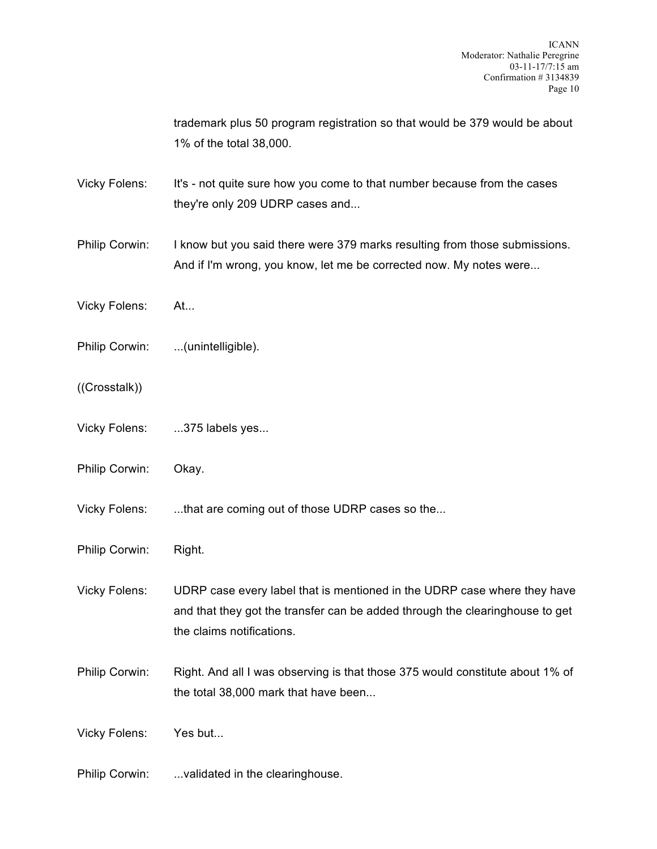trademark plus 50 program registration so that would be 379 would be about 1% of the total 38,000. Vicky Folens: It's - not quite sure how you come to that number because from the cases they're only 209 UDRP cases and... Philip Corwin: I know but you said there were 379 marks resulting from those submissions. And if I'm wrong, you know, let me be corrected now. My notes were... Vicky Folens: At... Philip Corwin: ...(unintelligible). ((Crosstalk)) Vicky Folens: ...375 labels yes... Philip Corwin: Okay. Vicky Folens: ...that are coming out of those UDRP cases so the... Philip Corwin: Right. Vicky Folens: UDRP case every label that is mentioned in the UDRP case where they have and that they got the transfer can be added through the clearinghouse to get the claims notifications. Philip Corwin: Right. And all I was observing is that those 375 would constitute about 1% of the total 38,000 mark that have been... Vicky Folens: Yes but... Philip Corwin: ...validated in the clearinghouse.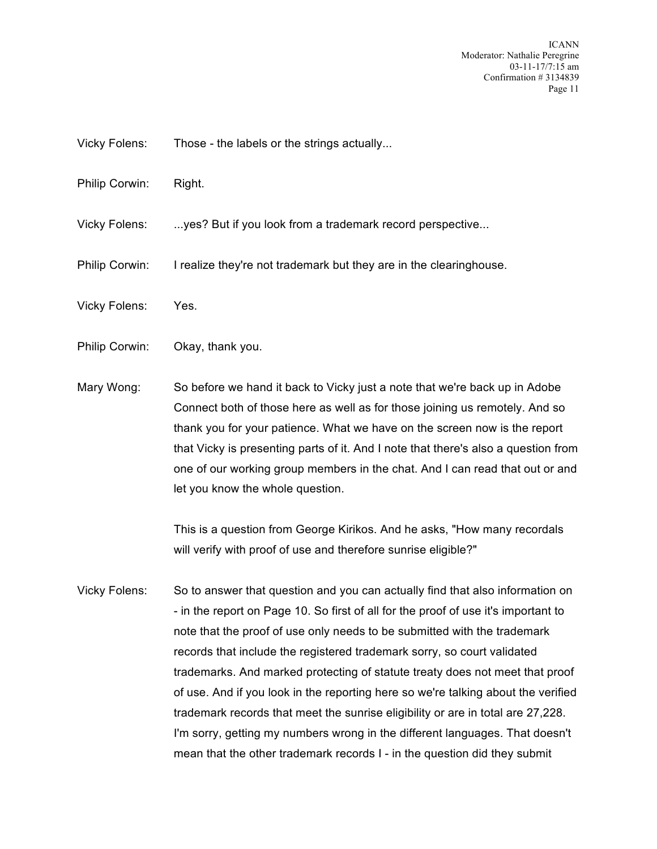ICANN Moderator: Nathalie Peregrine 03-11-17/7:15 am Confirmation # 3134839 Page 11

- Vicky Folens: Those the labels or the strings actually...
- Philip Corwin: Right.

Vicky Folens: ...yes? But if you look from a trademark record perspective...

- Philip Corwin: I realize they're not trademark but they are in the clearinghouse.
- Vicky Folens: Yes.
- Philip Corwin: Okay, thank you.
- Mary Wong: So before we hand it back to Vicky just a note that we're back up in Adobe Connect both of those here as well as for those joining us remotely. And so thank you for your patience. What we have on the screen now is the report that Vicky is presenting parts of it. And I note that there's also a question from one of our working group members in the chat. And I can read that out or and let you know the whole question.

This is a question from George Kirikos. And he asks, "How many recordals will verify with proof of use and therefore sunrise eligible?"

Vicky Folens: So to answer that question and you can actually find that also information on - in the report on Page 10. So first of all for the proof of use it's important to note that the proof of use only needs to be submitted with the trademark records that include the registered trademark sorry, so court validated trademarks. And marked protecting of statute treaty does not meet that proof of use. And if you look in the reporting here so we're talking about the verified trademark records that meet the sunrise eligibility or are in total are 27,228. I'm sorry, getting my numbers wrong in the different languages. That doesn't mean that the other trademark records I - in the question did they submit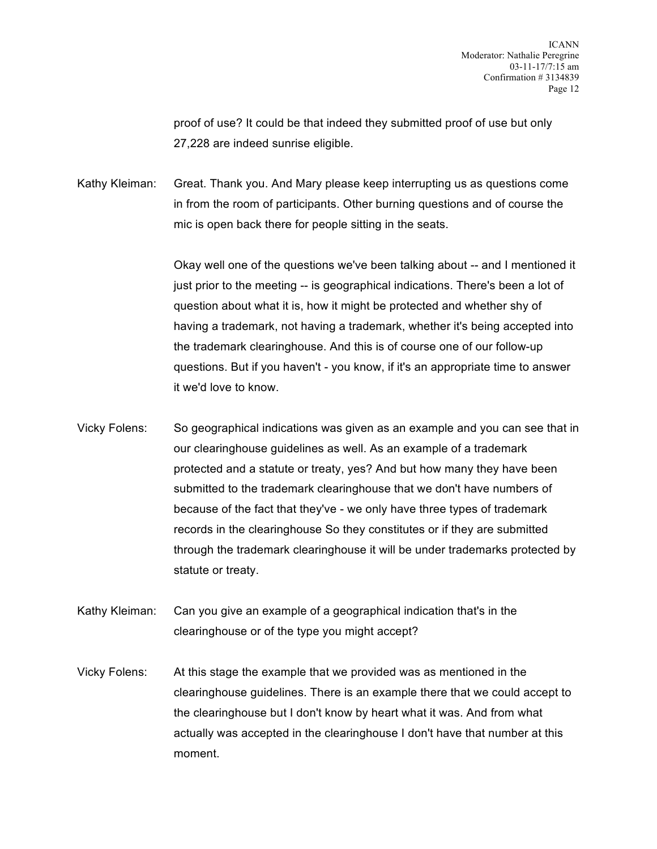proof of use? It could be that indeed they submitted proof of use but only 27,228 are indeed sunrise eligible.

Kathy Kleiman: Great. Thank you. And Mary please keep interrupting us as questions come in from the room of participants. Other burning questions and of course the mic is open back there for people sitting in the seats.

> Okay well one of the questions we've been talking about -- and I mentioned it just prior to the meeting -- is geographical indications. There's been a lot of question about what it is, how it might be protected and whether shy of having a trademark, not having a trademark, whether it's being accepted into the trademark clearinghouse. And this is of course one of our follow-up questions. But if you haven't - you know, if it's an appropriate time to answer it we'd love to know.

- Vicky Folens: So geographical indications was given as an example and you can see that in our clearinghouse guidelines as well. As an example of a trademark protected and a statute or treaty, yes? And but how many they have been submitted to the trademark clearinghouse that we don't have numbers of because of the fact that they've - we only have three types of trademark records in the clearinghouse So they constitutes or if they are submitted through the trademark clearinghouse it will be under trademarks protected by statute or treaty.
- Kathy Kleiman: Can you give an example of a geographical indication that's in the clearinghouse or of the type you might accept?
- Vicky Folens: At this stage the example that we provided was as mentioned in the clearinghouse guidelines. There is an example there that we could accept to the clearinghouse but I don't know by heart what it was. And from what actually was accepted in the clearinghouse I don't have that number at this moment.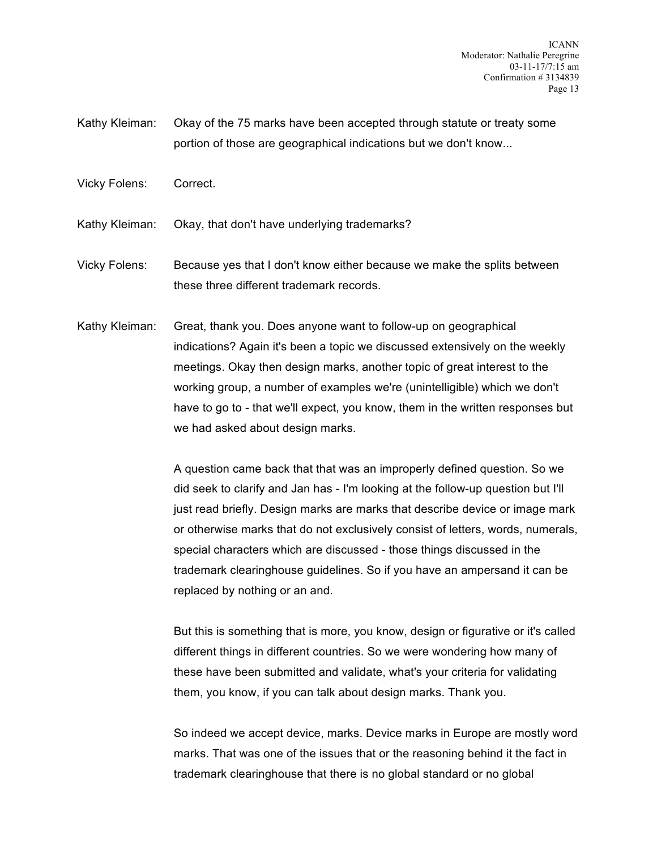- Kathy Kleiman: Okay of the 75 marks have been accepted through statute or treaty some portion of those are geographical indications but we don't know...
- Vicky Folens: Correct.

Kathy Kleiman: Okay, that don't have underlying trademarks?

Vicky Folens: Because yes that I don't know either because we make the splits between these three different trademark records.

Kathy Kleiman: Great, thank you. Does anyone want to follow-up on geographical indications? Again it's been a topic we discussed extensively on the weekly meetings. Okay then design marks, another topic of great interest to the working group, a number of examples we're (unintelligible) which we don't have to go to - that we'll expect, you know, them in the written responses but we had asked about design marks.

> A question came back that that was an improperly defined question. So we did seek to clarify and Jan has - I'm looking at the follow-up question but I'll just read briefly. Design marks are marks that describe device or image mark or otherwise marks that do not exclusively consist of letters, words, numerals, special characters which are discussed - those things discussed in the trademark clearinghouse guidelines. So if you have an ampersand it can be replaced by nothing or an and.

> But this is something that is more, you know, design or figurative or it's called different things in different countries. So we were wondering how many of these have been submitted and validate, what's your criteria for validating them, you know, if you can talk about design marks. Thank you.

> So indeed we accept device, marks. Device marks in Europe are mostly word marks. That was one of the issues that or the reasoning behind it the fact in trademark clearinghouse that there is no global standard or no global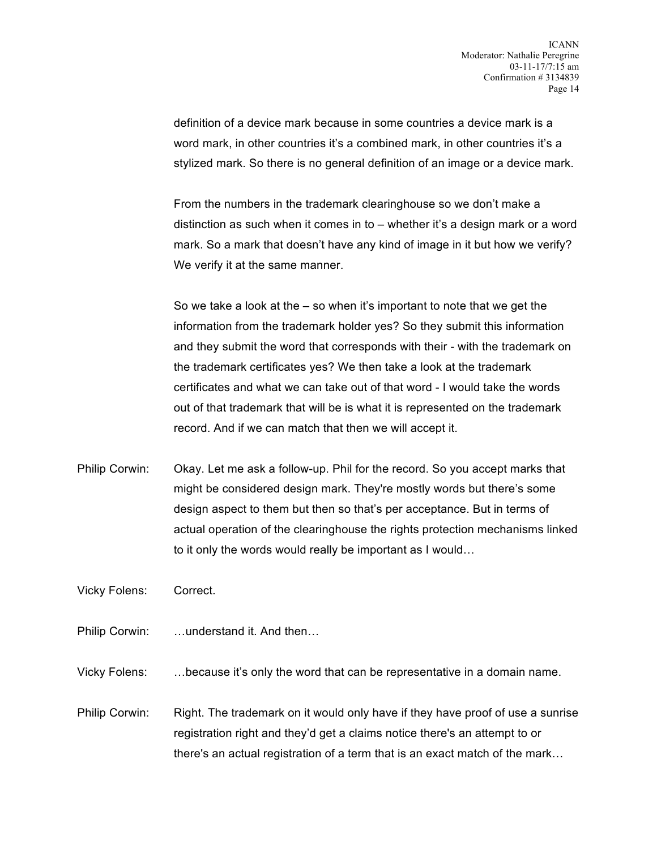definition of a device mark because in some countries a device mark is a word mark, in other countries it's a combined mark, in other countries it's a stylized mark. So there is no general definition of an image or a device mark.

From the numbers in the trademark clearinghouse so we don't make a distinction as such when it comes in to – whether it's a design mark or a word mark. So a mark that doesn't have any kind of image in it but how we verify? We verify it at the same manner.

So we take a look at the – so when it's important to note that we get the information from the trademark holder yes? So they submit this information and they submit the word that corresponds with their - with the trademark on the trademark certificates yes? We then take a look at the trademark certificates and what we can take out of that word - I would take the words out of that trademark that will be is what it is represented on the trademark record. And if we can match that then we will accept it.

Philip Corwin: Okay. Let me ask a follow-up. Phil for the record. So you accept marks that might be considered design mark. They're mostly words but there's some design aspect to them but then so that's per acceptance. But in terms of actual operation of the clearinghouse the rights protection mechanisms linked to it only the words would really be important as I would…

Vicky Folens: Correct.

- Philip Corwin: …understand it. And then…
- Vicky Folens: …because it's only the word that can be representative in a domain name.
- Philip Corwin: Right. The trademark on it would only have if they have proof of use a sunrise registration right and they'd get a claims notice there's an attempt to or there's an actual registration of a term that is an exact match of the mark…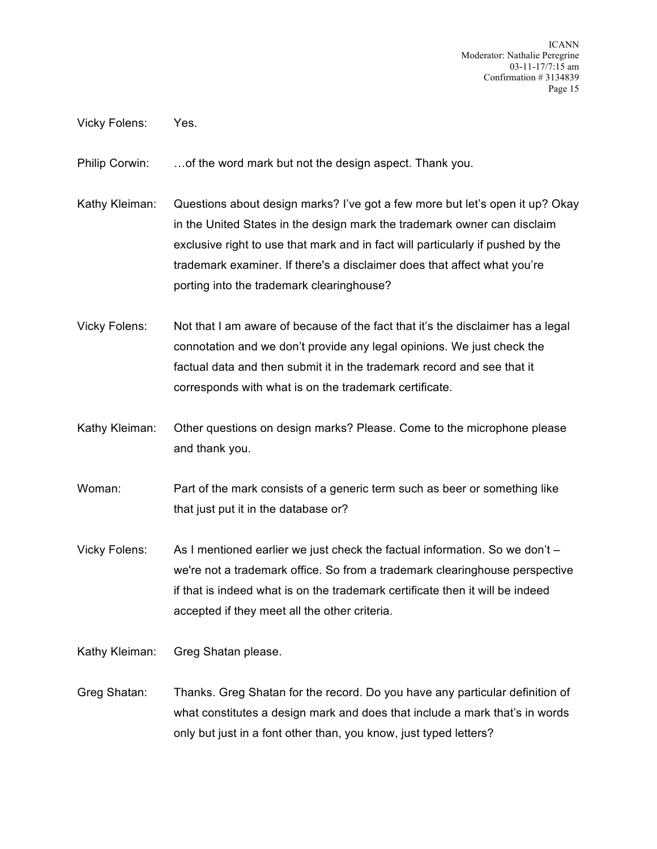ICANN Moderator: Nathalie Peregrine 03-11-17/7:15 am Confirmation # 3134839 Page 15

Vicky Folens: Yes.

Philip Corwin: …of the word mark but not the design aspect. Thank you.

- Kathy Kleiman: Questions about design marks? I've got a few more but let's open it up? Okay in the United States in the design mark the trademark owner can disclaim exclusive right to use that mark and in fact will particularly if pushed by the trademark examiner. If there's a disclaimer does that affect what you're porting into the trademark clearinghouse?
- Vicky Folens: Not that I am aware of because of the fact that it's the disclaimer has a legal connotation and we don't provide any legal opinions. We just check the factual data and then submit it in the trademark record and see that it corresponds with what is on the trademark certificate.
- Kathy Kleiman: Other questions on design marks? Please. Come to the microphone please and thank you.
- Woman: Part of the mark consists of a generic term such as beer or something like that just put it in the database or?
- Vicky Folens: As I mentioned earlier we just check the factual information. So we don't we're not a trademark office. So from a trademark clearinghouse perspective if that is indeed what is on the trademark certificate then it will be indeed accepted if they meet all the other criteria.

Kathy Kleiman: Greg Shatan please.

Greg Shatan: Thanks. Greg Shatan for the record. Do you have any particular definition of what constitutes a design mark and does that include a mark that's in words only but just in a font other than, you know, just typed letters?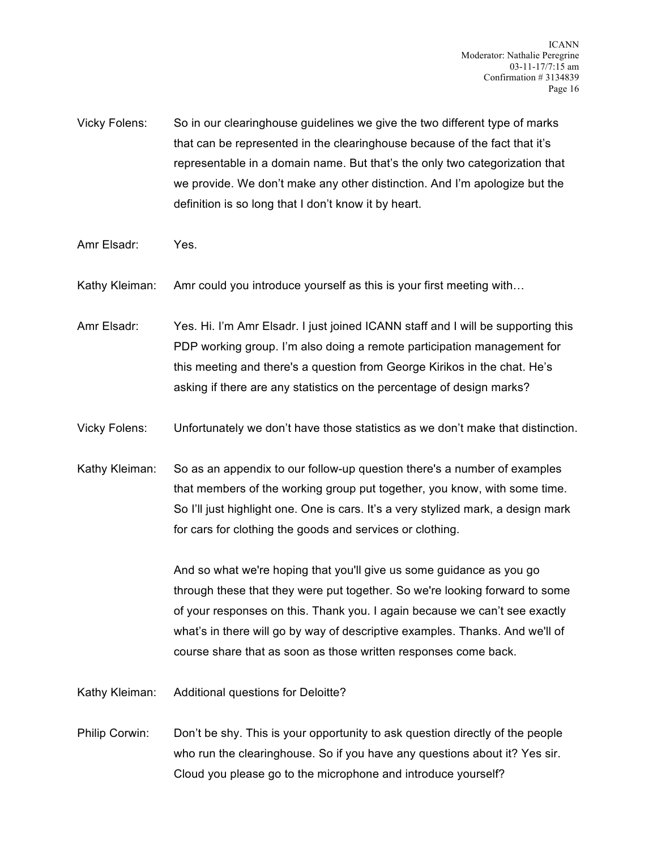- Vicky Folens: So in our clearinghouse guidelines we give the two different type of marks that can be represented in the clearinghouse because of the fact that it's representable in a domain name. But that's the only two categorization that we provide. We don't make any other distinction. And I'm apologize but the definition is so long that I don't know it by heart.
- Amr Elsadr: Yes.
- Kathy Kleiman: Amr could you introduce yourself as this is your first meeting with…
- Amr Elsadr: Yes. Hi. I'm Amr Elsadr. I just joined ICANN staff and I will be supporting this PDP working group. I'm also doing a remote participation management for this meeting and there's a question from George Kirikos in the chat. He's asking if there are any statistics on the percentage of design marks?
- Vicky Folens: Unfortunately we don't have those statistics as we don't make that distinction.
- Kathy Kleiman: So as an appendix to our follow-up question there's a number of examples that members of the working group put together, you know, with some time. So I'll just highlight one. One is cars. It's a very stylized mark, a design mark for cars for clothing the goods and services or clothing.

And so what we're hoping that you'll give us some guidance as you go through these that they were put together. So we're looking forward to some of your responses on this. Thank you. I again because we can't see exactly what's in there will go by way of descriptive examples. Thanks. And we'll of course share that as soon as those written responses come back.

Kathy Kleiman: Additional questions for Deloitte?

Philip Corwin: Don't be shy. This is your opportunity to ask question directly of the people who run the clearinghouse. So if you have any questions about it? Yes sir. Cloud you please go to the microphone and introduce yourself?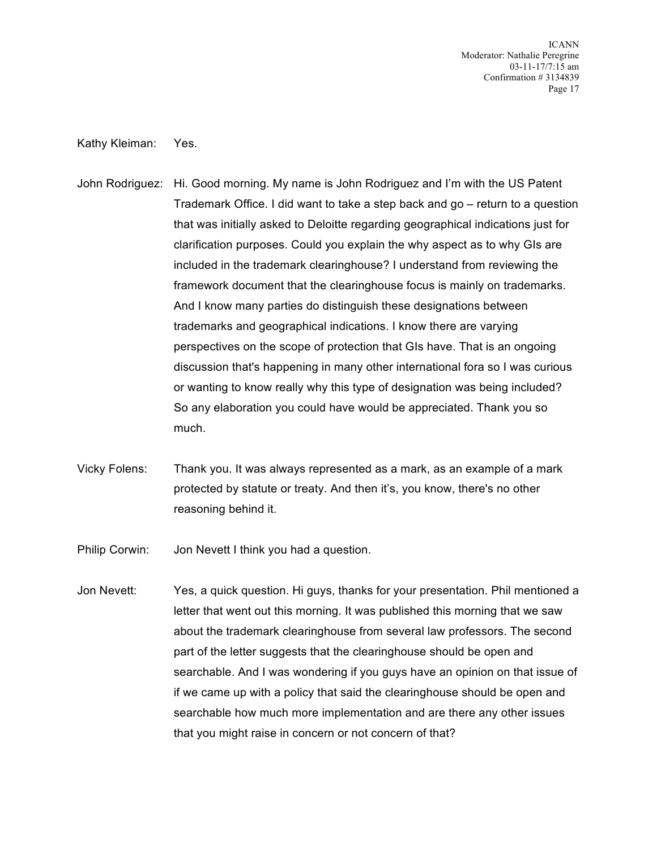ICANN Moderator: Nathalie Peregrine 03-11-17/7:15 am Confirmation # 3134839 Page 17

#### Kathy Kleiman: Yes.

- John Rodriguez: Hi. Good morning. My name is John Rodriguez and I'm with the US Patent Trademark Office. I did want to take a step back and go – return to a question that was initially asked to Deloitte regarding geographical indications just for clarification purposes. Could you explain the why aspect as to why GIs are included in the trademark clearinghouse? I understand from reviewing the framework document that the clearinghouse focus is mainly on trademarks. And I know many parties do distinguish these designations between trademarks and geographical indications. I know there are varying perspectives on the scope of protection that GIs have. That is an ongoing discussion that's happening in many other international fora so I was curious or wanting to know really why this type of designation was being included? So any elaboration you could have would be appreciated. Thank you so much.
- Vicky Folens: Thank you. It was always represented as a mark, as an example of a mark protected by statute or treaty. And then it's, you know, there's no other reasoning behind it.
- Philip Corwin: Jon Nevett I think you had a question.
- Jon Nevett: Yes, a quick question. Hi guys, thanks for your presentation. Phil mentioned a letter that went out this morning. It was published this morning that we saw about the trademark clearinghouse from several law professors. The second part of the letter suggests that the clearinghouse should be open and searchable. And I was wondering if you guys have an opinion on that issue of if we came up with a policy that said the clearinghouse should be open and searchable how much more implementation and are there any other issues that you might raise in concern or not concern of that?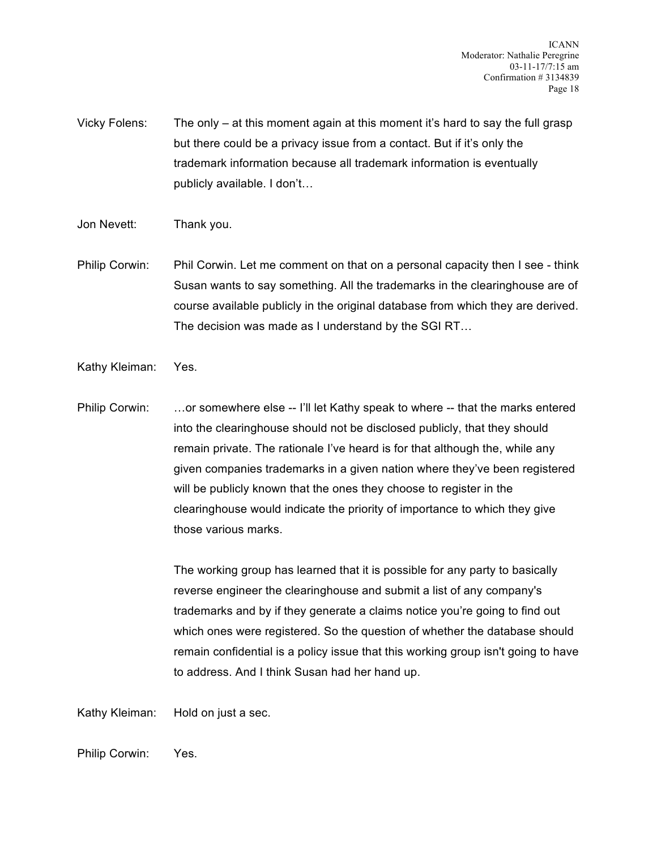- Vicky Folens: The only at this moment again at this moment it's hard to say the full grasp but there could be a privacy issue from a contact. But if it's only the trademark information because all trademark information is eventually publicly available. I don't…
- Jon Nevett: Thank you.
- Philip Corwin: Phil Corwin. Let me comment on that on a personal capacity then I see think Susan wants to say something. All the trademarks in the clearinghouse are of course available publicly in the original database from which they are derived. The decision was made as I understand by the SGI RT…
- Kathy Kleiman: Yes.
- Philip Corwin: ... or somewhere else -- I'll let Kathy speak to where -- that the marks entered into the clearinghouse should not be disclosed publicly, that they should remain private. The rationale I've heard is for that although the, while any given companies trademarks in a given nation where they've been registered will be publicly known that the ones they choose to register in the clearinghouse would indicate the priority of importance to which they give those various marks.

The working group has learned that it is possible for any party to basically reverse engineer the clearinghouse and submit a list of any company's trademarks and by if they generate a claims notice you're going to find out which ones were registered. So the question of whether the database should remain confidential is a policy issue that this working group isn't going to have to address. And I think Susan had her hand up.

Kathy Kleiman: Hold on just a sec.

Philip Corwin: Yes.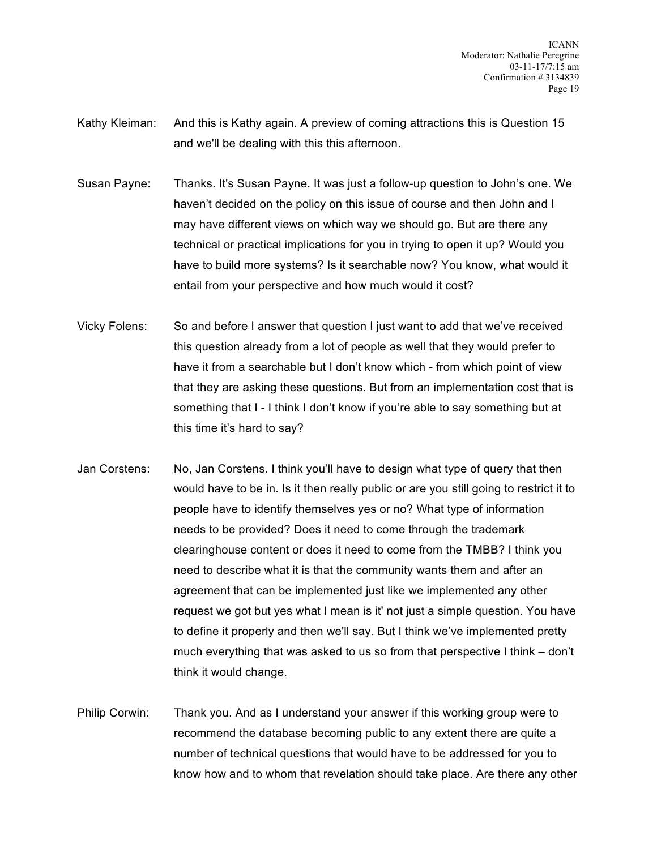ICANN Moderator: Nathalie Peregrine 03-11-17/7:15 am Confirmation # 3134839 Page 19

- Kathy Kleiman: And this is Kathy again. A preview of coming attractions this is Question 15 and we'll be dealing with this this afternoon.
- Susan Payne: Thanks. It's Susan Payne. It was just a follow-up question to John's one. We haven't decided on the policy on this issue of course and then John and I may have different views on which way we should go. But are there any technical or practical implications for you in trying to open it up? Would you have to build more systems? Is it searchable now? You know, what would it entail from your perspective and how much would it cost?
- Vicky Folens: So and before I answer that question I just want to add that we've received this question already from a lot of people as well that they would prefer to have it from a searchable but I don't know which - from which point of view that they are asking these questions. But from an implementation cost that is something that I - I think I don't know if you're able to say something but at this time it's hard to say?
- Jan Corstens: No, Jan Corstens. I think you'll have to design what type of query that then would have to be in. Is it then really public or are you still going to restrict it to people have to identify themselves yes or no? What type of information needs to be provided? Does it need to come through the trademark clearinghouse content or does it need to come from the TMBB? I think you need to describe what it is that the community wants them and after an agreement that can be implemented just like we implemented any other request we got but yes what I mean is it' not just a simple question. You have to define it properly and then we'll say. But I think we've implemented pretty much everything that was asked to us so from that perspective I think – don't think it would change.
- Philip Corwin: Thank you. And as I understand your answer if this working group were to recommend the database becoming public to any extent there are quite a number of technical questions that would have to be addressed for you to know how and to whom that revelation should take place. Are there any other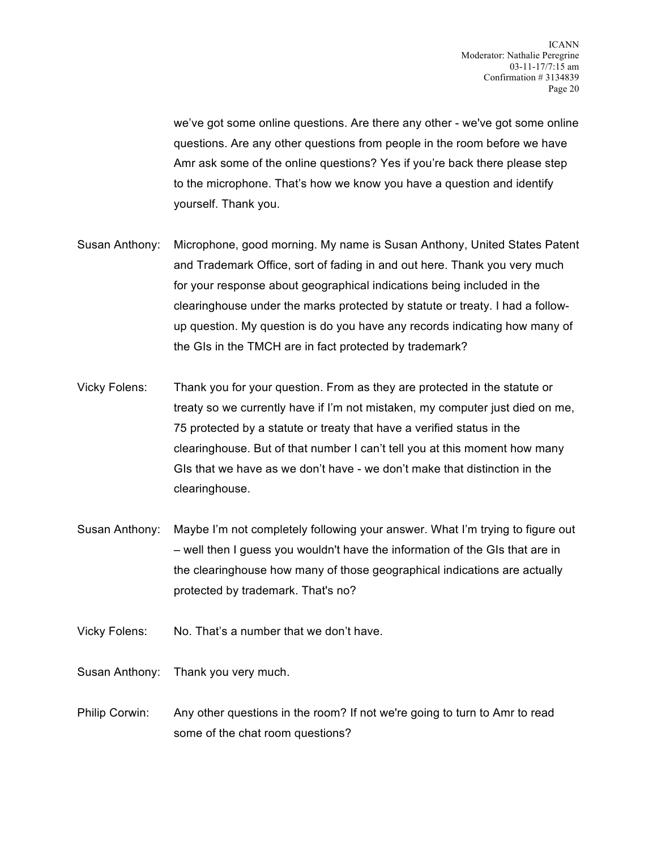we've got some online questions. Are there any other - we've got some online questions. Are any other questions from people in the room before we have Amr ask some of the online questions? Yes if you're back there please step to the microphone. That's how we know you have a question and identify yourself. Thank you.

- Susan Anthony: Microphone, good morning. My name is Susan Anthony, United States Patent and Trademark Office, sort of fading in and out here. Thank you very much for your response about geographical indications being included in the clearinghouse under the marks protected by statute or treaty. I had a followup question. My question is do you have any records indicating how many of the GIs in the TMCH are in fact protected by trademark?
- Vicky Folens: Thank you for your question. From as they are protected in the statute or treaty so we currently have if I'm not mistaken, my computer just died on me, 75 protected by a statute or treaty that have a verified status in the clearinghouse. But of that number I can't tell you at this moment how many GIs that we have as we don't have - we don't make that distinction in the clearinghouse.
- Susan Anthony: Maybe I'm not completely following your answer. What I'm trying to figure out – well then I guess you wouldn't have the information of the GIs that are in the clearinghouse how many of those geographical indications are actually protected by trademark. That's no?
- Vicky Folens: No. That's a number that we don't have.
- Susan Anthony: Thank you very much.
- Philip Corwin: Any other questions in the room? If not we're going to turn to Amr to read some of the chat room questions?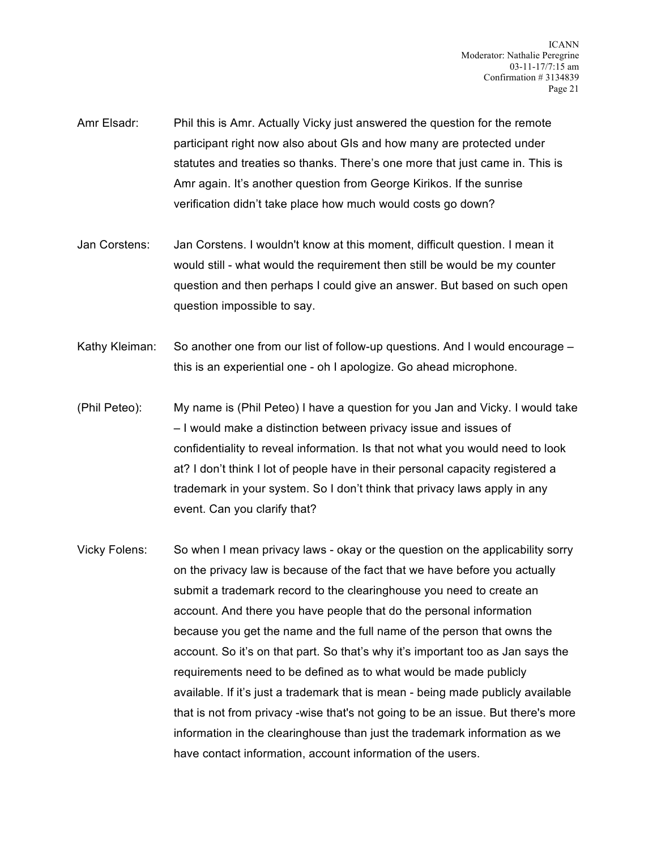- Amr Elsadr: Phil this is Amr. Actually Vicky just answered the question for the remote participant right now also about GIs and how many are protected under statutes and treaties so thanks. There's one more that just came in. This is Amr again. It's another question from George Kirikos. If the sunrise verification didn't take place how much would costs go down?
- Jan Corstens: Jan Corstens. I wouldn't know at this moment, difficult question. I mean it would still - what would the requirement then still be would be my counter question and then perhaps I could give an answer. But based on such open question impossible to say.
- Kathy Kleiman: So another one from our list of follow-up questions. And I would encourage this is an experiential one - oh I apologize. Go ahead microphone.
- (Phil Peteo): My name is (Phil Peteo) I have a question for you Jan and Vicky. I would take – I would make a distinction between privacy issue and issues of confidentiality to reveal information. Is that not what you would need to look at? I don't think I lot of people have in their personal capacity registered a trademark in your system. So I don't think that privacy laws apply in any event. Can you clarify that?
- Vicky Folens: So when I mean privacy laws okay or the question on the applicability sorry on the privacy law is because of the fact that we have before you actually submit a trademark record to the clearinghouse you need to create an account. And there you have people that do the personal information because you get the name and the full name of the person that owns the account. So it's on that part. So that's why it's important too as Jan says the requirements need to be defined as to what would be made publicly available. If it's just a trademark that is mean - being made publicly available that is not from privacy -wise that's not going to be an issue. But there's more information in the clearinghouse than just the trademark information as we have contact information, account information of the users.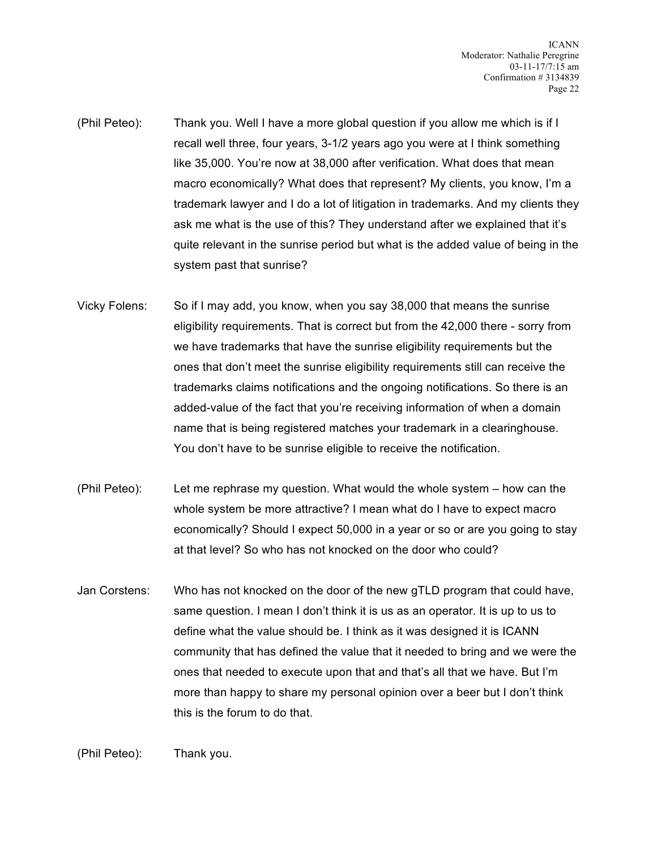- (Phil Peteo): Thank you. Well I have a more global question if you allow me which is if I recall well three, four years, 3-1/2 years ago you were at I think something like 35,000. You're now at 38,000 after verification. What does that mean macro economically? What does that represent? My clients, you know, I'm a trademark lawyer and I do a lot of litigation in trademarks. And my clients they ask me what is the use of this? They understand after we explained that it's quite relevant in the sunrise period but what is the added value of being in the system past that sunrise?
- Vicky Folens: So if I may add, you know, when you say 38,000 that means the sunrise eligibility requirements. That is correct but from the 42,000 there - sorry from we have trademarks that have the sunrise eligibility requirements but the ones that don't meet the sunrise eligibility requirements still can receive the trademarks claims notifications and the ongoing notifications. So there is an added-value of the fact that you're receiving information of when a domain name that is being registered matches your trademark in a clearinghouse. You don't have to be sunrise eligible to receive the notification.
- (Phil Peteo): Let me rephrase my question. What would the whole system how can the whole system be more attractive? I mean what do I have to expect macro economically? Should I expect 50,000 in a year or so or are you going to stay at that level? So who has not knocked on the door who could?
- Jan Corstens: Who has not knocked on the door of the new gTLD program that could have, same question. I mean I don't think it is us as an operator. It is up to us to define what the value should be. I think as it was designed it is ICANN community that has defined the value that it needed to bring and we were the ones that needed to execute upon that and that's all that we have. But I'm more than happy to share my personal opinion over a beer but I don't think this is the forum to do that.

(Phil Peteo): Thank you.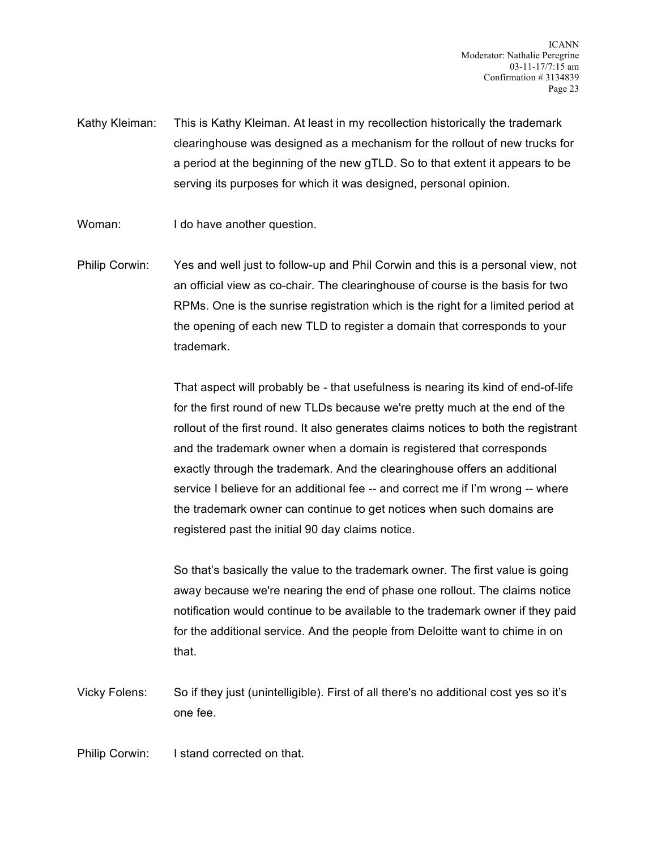Kathy Kleiman: This is Kathy Kleiman. At least in my recollection historically the trademark clearinghouse was designed as a mechanism for the rollout of new trucks for a period at the beginning of the new gTLD. So to that extent it appears to be serving its purposes for which it was designed, personal opinion.

Woman: I do have another question.

Philip Corwin: Yes and well just to follow-up and Phil Corwin and this is a personal view, not an official view as co-chair. The clearinghouse of course is the basis for two RPMs. One is the sunrise registration which is the right for a limited period at the opening of each new TLD to register a domain that corresponds to your trademark.

> That aspect will probably be - that usefulness is nearing its kind of end-of-life for the first round of new TLDs because we're pretty much at the end of the rollout of the first round. It also generates claims notices to both the registrant and the trademark owner when a domain is registered that corresponds exactly through the trademark. And the clearinghouse offers an additional service I believe for an additional fee -- and correct me if I'm wrong -- where the trademark owner can continue to get notices when such domains are registered past the initial 90 day claims notice.

> So that's basically the value to the trademark owner. The first value is going away because we're nearing the end of phase one rollout. The claims notice notification would continue to be available to the trademark owner if they paid for the additional service. And the people from Deloitte want to chime in on that.

Vicky Folens: So if they just (unintelligible). First of all there's no additional cost yes so it's one fee.

Philip Corwin: I stand corrected on that.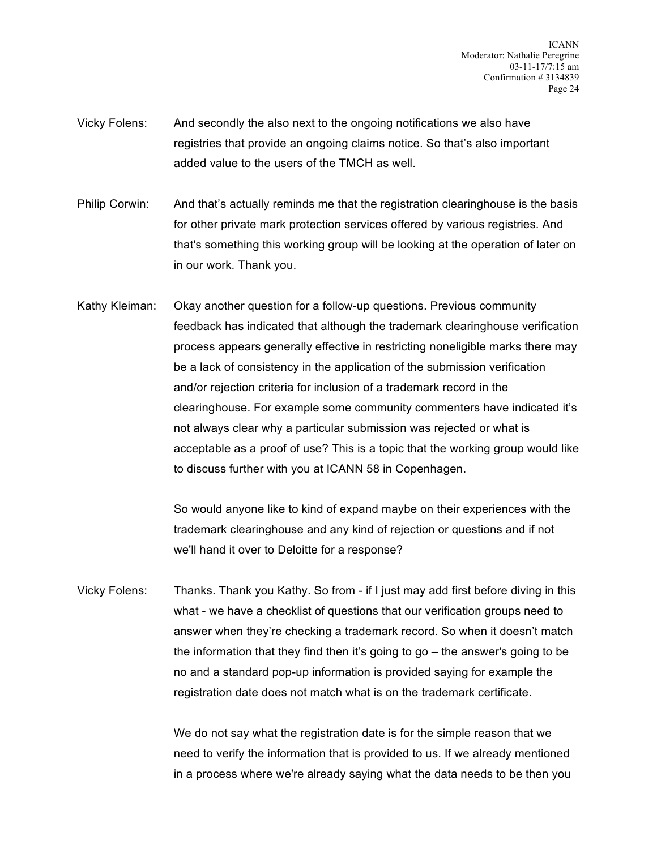- Vicky Folens: And secondly the also next to the ongoing notifications we also have registries that provide an ongoing claims notice. So that's also important added value to the users of the TMCH as well.
- Philip Corwin: And that's actually reminds me that the registration clearinghouse is the basis for other private mark protection services offered by various registries. And that's something this working group will be looking at the operation of later on in our work. Thank you.
- Kathy Kleiman: Okay another question for a follow-up questions. Previous community feedback has indicated that although the trademark clearinghouse verification process appears generally effective in restricting noneligible marks there may be a lack of consistency in the application of the submission verification and/or rejection criteria for inclusion of a trademark record in the clearinghouse. For example some community commenters have indicated it's not always clear why a particular submission was rejected or what is acceptable as a proof of use? This is a topic that the working group would like to discuss further with you at ICANN 58 in Copenhagen.

So would anyone like to kind of expand maybe on their experiences with the trademark clearinghouse and any kind of rejection or questions and if not we'll hand it over to Deloitte for a response?

Vicky Folens: Thanks. Thank you Kathy. So from - if I just may add first before diving in this what - we have a checklist of questions that our verification groups need to answer when they're checking a trademark record. So when it doesn't match the information that they find then it's going to go – the answer's going to be no and a standard pop-up information is provided saying for example the registration date does not match what is on the trademark certificate.

> We do not say what the registration date is for the simple reason that we need to verify the information that is provided to us. If we already mentioned in a process where we're already saying what the data needs to be then you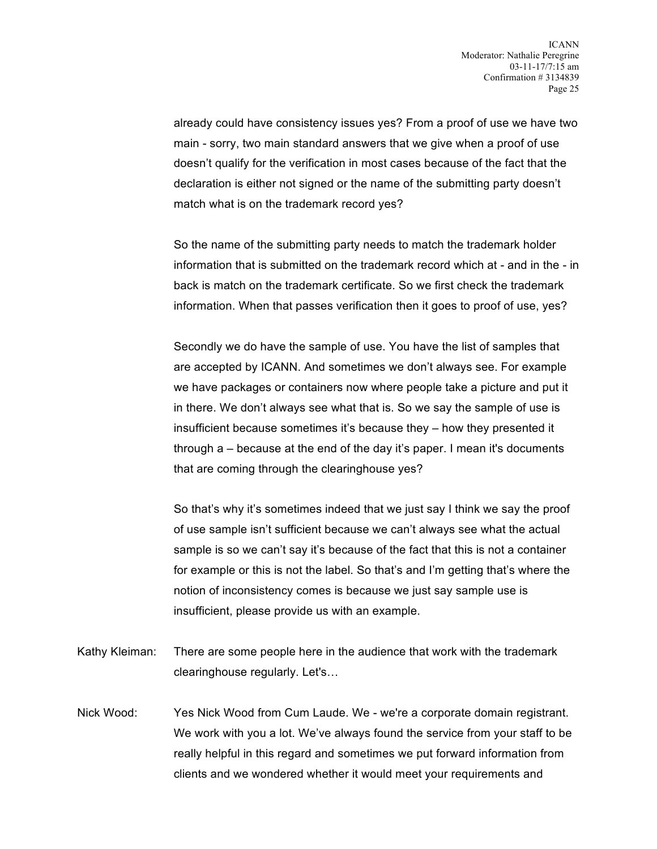already could have consistency issues yes? From a proof of use we have two main - sorry, two main standard answers that we give when a proof of use doesn't qualify for the verification in most cases because of the fact that the declaration is either not signed or the name of the submitting party doesn't match what is on the trademark record yes?

So the name of the submitting party needs to match the trademark holder information that is submitted on the trademark record which at - and in the - in back is match on the trademark certificate. So we first check the trademark information. When that passes verification then it goes to proof of use, yes?

Secondly we do have the sample of use. You have the list of samples that are accepted by ICANN. And sometimes we don't always see. For example we have packages or containers now where people take a picture and put it in there. We don't always see what that is. So we say the sample of use is insufficient because sometimes it's because they – how they presented it through a – because at the end of the day it's paper. I mean it's documents that are coming through the clearinghouse yes?

So that's why it's sometimes indeed that we just say I think we say the proof of use sample isn't sufficient because we can't always see what the actual sample is so we can't say it's because of the fact that this is not a container for example or this is not the label. So that's and I'm getting that's where the notion of inconsistency comes is because we just say sample use is insufficient, please provide us with an example.

- Kathy Kleiman: There are some people here in the audience that work with the trademark clearinghouse regularly. Let's…
- Nick Wood: Yes Nick Wood from Cum Laude. We we're a corporate domain registrant. We work with you a lot. We've always found the service from your staff to be really helpful in this regard and sometimes we put forward information from clients and we wondered whether it would meet your requirements and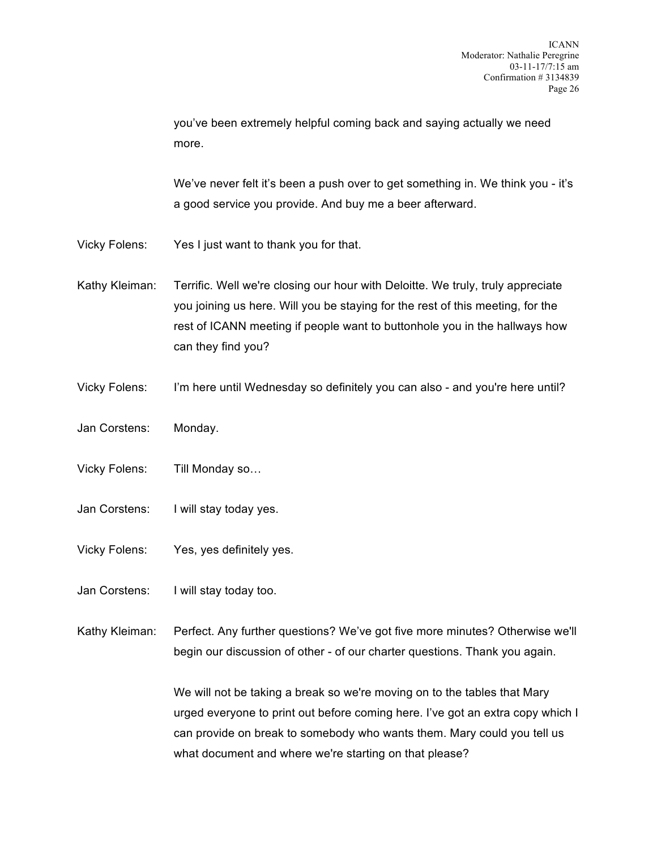you've been extremely helpful coming back and saying actually we need more.

We've never felt it's been a push over to get something in. We think you - it's a good service you provide. And buy me a beer afterward.

- Vicky Folens: Yes I just want to thank you for that.
- Kathy Kleiman: Terrific. Well we're closing our hour with Deloitte. We truly, truly appreciate you joining us here. Will you be staying for the rest of this meeting, for the rest of ICANN meeting if people want to buttonhole you in the hallways how can they find you?
- Vicky Folens: I'm here until Wednesday so definitely you can also and you're here until?
- Jan Corstens: Monday.
- Vicky Folens: Till Monday so…
- Jan Corstens: I will stay today yes.
- Vicky Folens: Yes, yes definitely yes.
- Jan Corstens: I will stay today too.
- Kathy Kleiman: Perfect. Any further questions? We've got five more minutes? Otherwise we'll begin our discussion of other - of our charter questions. Thank you again.

We will not be taking a break so we're moving on to the tables that Mary urged everyone to print out before coming here. I've got an extra copy which I can provide on break to somebody who wants them. Mary could you tell us what document and where we're starting on that please?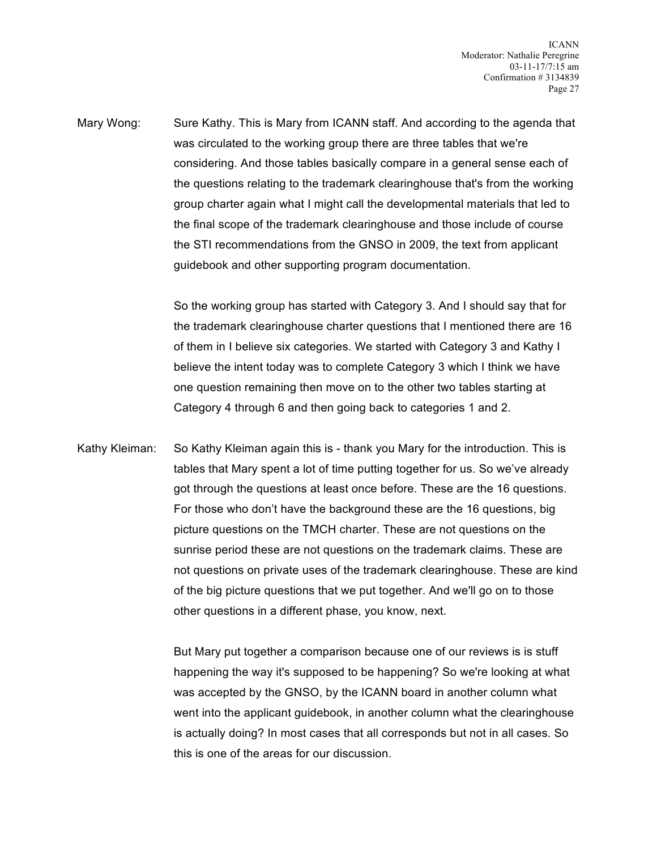Mary Wong: Sure Kathy. This is Mary from ICANN staff. And according to the agenda that was circulated to the working group there are three tables that we're considering. And those tables basically compare in a general sense each of the questions relating to the trademark clearinghouse that's from the working group charter again what I might call the developmental materials that led to the final scope of the trademark clearinghouse and those include of course the STI recommendations from the GNSO in 2009, the text from applicant guidebook and other supporting program documentation.

> So the working group has started with Category 3. And I should say that for the trademark clearinghouse charter questions that I mentioned there are 16 of them in I believe six categories. We started with Category 3 and Kathy I believe the intent today was to complete Category 3 which I think we have one question remaining then move on to the other two tables starting at Category 4 through 6 and then going back to categories 1 and 2.

Kathy Kleiman: So Kathy Kleiman again this is - thank you Mary for the introduction. This is tables that Mary spent a lot of time putting together for us. So we've already got through the questions at least once before. These are the 16 questions. For those who don't have the background these are the 16 questions, big picture questions on the TMCH charter. These are not questions on the sunrise period these are not questions on the trademark claims. These are not questions on private uses of the trademark clearinghouse. These are kind of the big picture questions that we put together. And we'll go on to those other questions in a different phase, you know, next.

> But Mary put together a comparison because one of our reviews is is stuff happening the way it's supposed to be happening? So we're looking at what was accepted by the GNSO, by the ICANN board in another column what went into the applicant guidebook, in another column what the clearinghouse is actually doing? In most cases that all corresponds but not in all cases. So this is one of the areas for our discussion.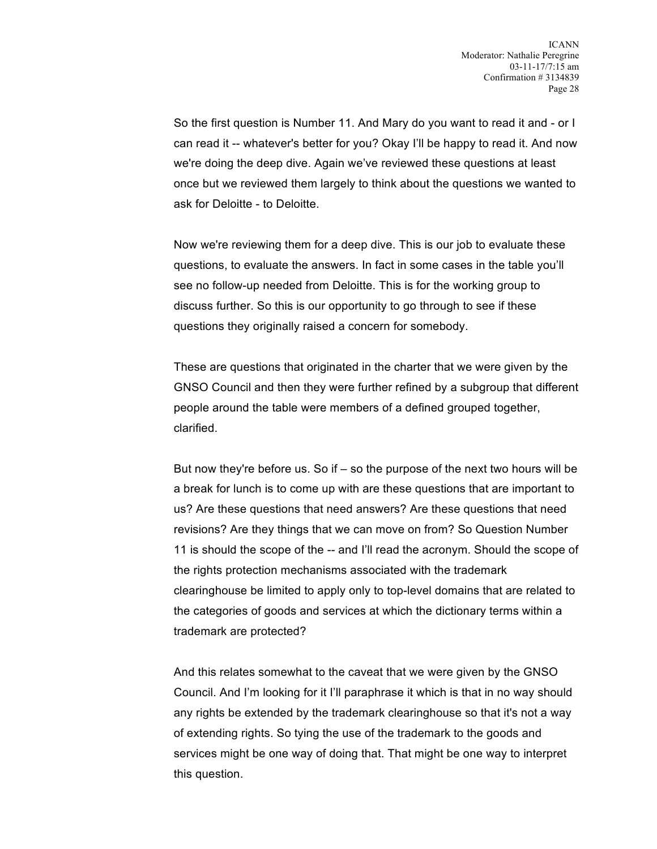So the first question is Number 11. And Mary do you want to read it and - or I can read it -- whatever's better for you? Okay I'll be happy to read it. And now we're doing the deep dive. Again we've reviewed these questions at least once but we reviewed them largely to think about the questions we wanted to ask for Deloitte - to Deloitte.

Now we're reviewing them for a deep dive. This is our job to evaluate these questions, to evaluate the answers. In fact in some cases in the table you'll see no follow-up needed from Deloitte. This is for the working group to discuss further. So this is our opportunity to go through to see if these questions they originally raised a concern for somebody.

These are questions that originated in the charter that we were given by the GNSO Council and then they were further refined by a subgroup that different people around the table were members of a defined grouped together, clarified.

But now they're before us. So if – so the purpose of the next two hours will be a break for lunch is to come up with are these questions that are important to us? Are these questions that need answers? Are these questions that need revisions? Are they things that we can move on from? So Question Number 11 is should the scope of the -- and I'll read the acronym. Should the scope of the rights protection mechanisms associated with the trademark clearinghouse be limited to apply only to top-level domains that are related to the categories of goods and services at which the dictionary terms within a trademark are protected?

And this relates somewhat to the caveat that we were given by the GNSO Council. And I'm looking for it I'll paraphrase it which is that in no way should any rights be extended by the trademark clearinghouse so that it's not a way of extending rights. So tying the use of the trademark to the goods and services might be one way of doing that. That might be one way to interpret this question.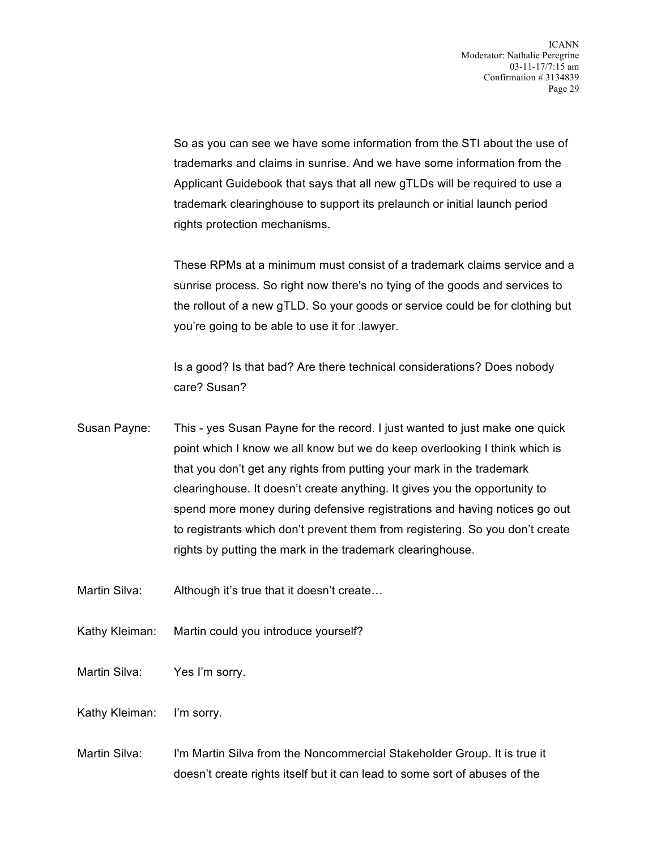So as you can see we have some information from the STI about the use of trademarks and claims in sunrise. And we have some information from the Applicant Guidebook that says that all new gTLDs will be required to use a trademark clearinghouse to support its prelaunch or initial launch period rights protection mechanisms.

These RPMs at a minimum must consist of a trademark claims service and a sunrise process. So right now there's no tying of the goods and services to the rollout of a new gTLD. So your goods or service could be for clothing but you're going to be able to use it for .lawyer.

Is a good? Is that bad? Are there technical considerations? Does nobody care? Susan?

- Susan Payne: This yes Susan Payne for the record. I just wanted to just make one quick point which I know we all know but we do keep overlooking I think which is that you don't get any rights from putting your mark in the trademark clearinghouse. It doesn't create anything. It gives you the opportunity to spend more money during defensive registrations and having notices go out to registrants which don't prevent them from registering. So you don't create rights by putting the mark in the trademark clearinghouse.
- Martin Silva: Although it's true that it doesn't create...
- Kathy Kleiman: Martin could you introduce yourself?
- Martin Silva: Yes I'm sorry.
- Kathy Kleiman: I'm sorry.
- Martin Silva: I'm Martin Silva from the Noncommercial Stakeholder Group. It is true it doesn't create rights itself but it can lead to some sort of abuses of the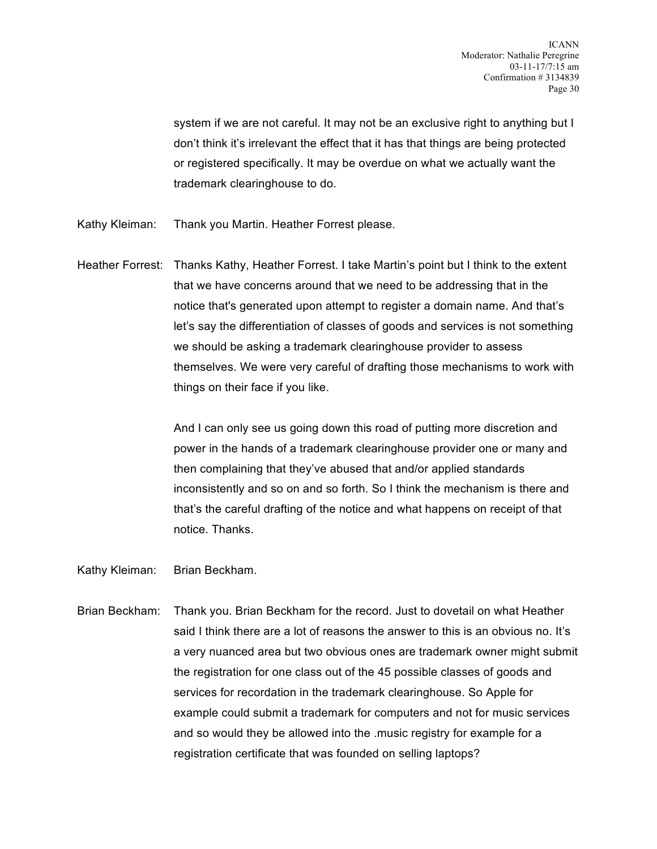system if we are not careful. It may not be an exclusive right to anything but I don't think it's irrelevant the effect that it has that things are being protected or registered specifically. It may be overdue on what we actually want the trademark clearinghouse to do.

- Kathy Kleiman: Thank you Martin. Heather Forrest please.
- Heather Forrest: Thanks Kathy, Heather Forrest. I take Martin's point but I think to the extent that we have concerns around that we need to be addressing that in the notice that's generated upon attempt to register a domain name. And that's let's say the differentiation of classes of goods and services is not something we should be asking a trademark clearinghouse provider to assess themselves. We were very careful of drafting those mechanisms to work with things on their face if you like.

And I can only see us going down this road of putting more discretion and power in the hands of a trademark clearinghouse provider one or many and then complaining that they've abused that and/or applied standards inconsistently and so on and so forth. So I think the mechanism is there and that's the careful drafting of the notice and what happens on receipt of that notice. Thanks.

Kathy Kleiman: Brian Beckham.

Brian Beckham: Thank you. Brian Beckham for the record. Just to dovetail on what Heather said I think there are a lot of reasons the answer to this is an obvious no. It's a very nuanced area but two obvious ones are trademark owner might submit the registration for one class out of the 45 possible classes of goods and services for recordation in the trademark clearinghouse. So Apple for example could submit a trademark for computers and not for music services and so would they be allowed into the .music registry for example for a registration certificate that was founded on selling laptops?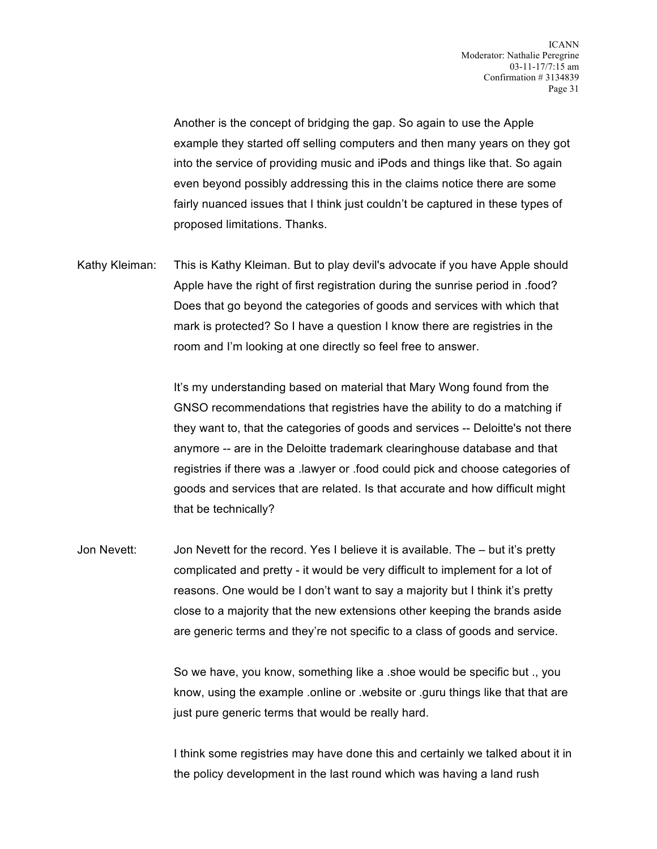Another is the concept of bridging the gap. So again to use the Apple example they started off selling computers and then many years on they got into the service of providing music and iPods and things like that. So again even beyond possibly addressing this in the claims notice there are some fairly nuanced issues that I think just couldn't be captured in these types of proposed limitations. Thanks.

Kathy Kleiman: This is Kathy Kleiman. But to play devil's advocate if you have Apple should Apple have the right of first registration during the sunrise period in .food? Does that go beyond the categories of goods and services with which that mark is protected? So I have a question I know there are registries in the room and I'm looking at one directly so feel free to answer.

> It's my understanding based on material that Mary Wong found from the GNSO recommendations that registries have the ability to do a matching if they want to, that the categories of goods and services -- Deloitte's not there anymore -- are in the Deloitte trademark clearinghouse database and that registries if there was a .lawyer or .food could pick and choose categories of goods and services that are related. Is that accurate and how difficult might that be technically?

Jon Nevett: Jon Nevett for the record. Yes I believe it is available. The – but it's pretty complicated and pretty - it would be very difficult to implement for a lot of reasons. One would be I don't want to say a majority but I think it's pretty close to a majority that the new extensions other keeping the brands aside are generic terms and they're not specific to a class of goods and service.

> So we have, you know, something like a .shoe would be specific but ., you know, using the example .online or .website or .guru things like that that are just pure generic terms that would be really hard.

I think some registries may have done this and certainly we talked about it in the policy development in the last round which was having a land rush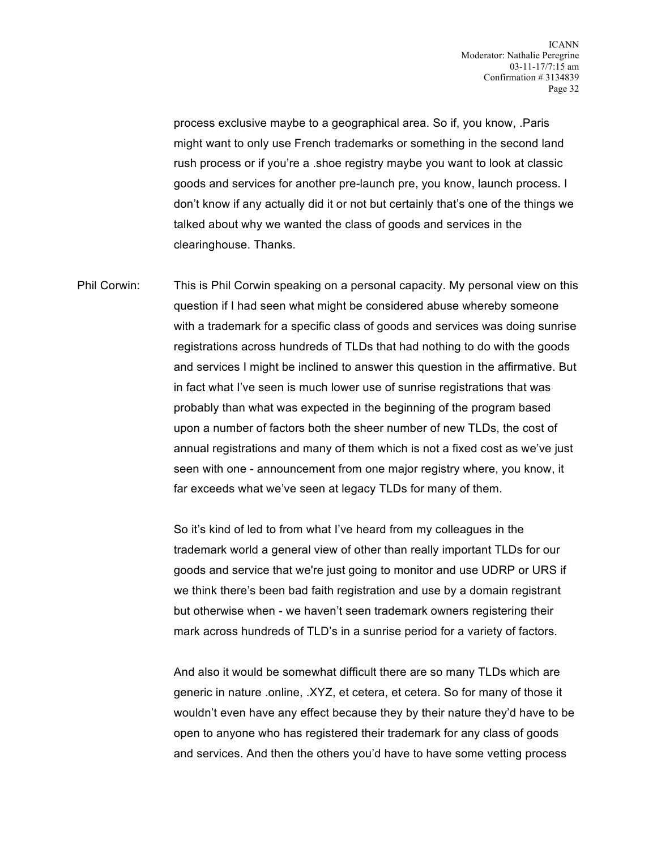process exclusive maybe to a geographical area. So if, you know, .Paris might want to only use French trademarks or something in the second land rush process or if you're a .shoe registry maybe you want to look at classic goods and services for another pre-launch pre, you know, launch process. I don't know if any actually did it or not but certainly that's one of the things we talked about why we wanted the class of goods and services in the clearinghouse. Thanks.

Phil Corwin: This is Phil Corwin speaking on a personal capacity. My personal view on this question if I had seen what might be considered abuse whereby someone with a trademark for a specific class of goods and services was doing sunrise registrations across hundreds of TLDs that had nothing to do with the goods and services I might be inclined to answer this question in the affirmative. But in fact what I've seen is much lower use of sunrise registrations that was probably than what was expected in the beginning of the program based upon a number of factors both the sheer number of new TLDs, the cost of annual registrations and many of them which is not a fixed cost as we've just seen with one - announcement from one major registry where, you know, it far exceeds what we've seen at legacy TLDs for many of them.

> So it's kind of led to from what I've heard from my colleagues in the trademark world a general view of other than really important TLDs for our goods and service that we're just going to monitor and use UDRP or URS if we think there's been bad faith registration and use by a domain registrant but otherwise when - we haven't seen trademark owners registering their mark across hundreds of TLD's in a sunrise period for a variety of factors.

And also it would be somewhat difficult there are so many TLDs which are generic in nature .online, .XYZ, et cetera, et cetera. So for many of those it wouldn't even have any effect because they by their nature they'd have to be open to anyone who has registered their trademark for any class of goods and services. And then the others you'd have to have some vetting process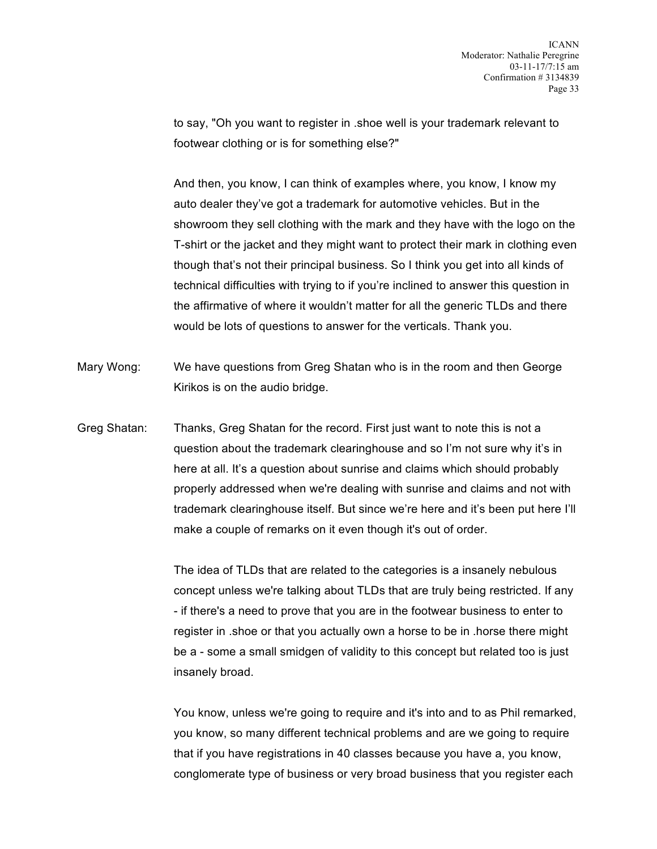to say, "Oh you want to register in .shoe well is your trademark relevant to footwear clothing or is for something else?"

And then, you know, I can think of examples where, you know, I know my auto dealer they've got a trademark for automotive vehicles. But in the showroom they sell clothing with the mark and they have with the logo on the T-shirt or the jacket and they might want to protect their mark in clothing even though that's not their principal business. So I think you get into all kinds of technical difficulties with trying to if you're inclined to answer this question in the affirmative of where it wouldn't matter for all the generic TLDs and there would be lots of questions to answer for the verticals. Thank you.

- Mary Wong: We have questions from Greg Shatan who is in the room and then George Kirikos is on the audio bridge.
- Greg Shatan: Thanks, Greg Shatan for the record. First just want to note this is not a question about the trademark clearinghouse and so I'm not sure why it's in here at all. It's a question about sunrise and claims which should probably properly addressed when we're dealing with sunrise and claims and not with trademark clearinghouse itself. But since we're here and it's been put here I'll make a couple of remarks on it even though it's out of order.

The idea of TLDs that are related to the categories is a insanely nebulous concept unless we're talking about TLDs that are truly being restricted. If any - if there's a need to prove that you are in the footwear business to enter to register in .shoe or that you actually own a horse to be in .horse there might be a - some a small smidgen of validity to this concept but related too is just insanely broad.

You know, unless we're going to require and it's into and to as Phil remarked, you know, so many different technical problems and are we going to require that if you have registrations in 40 classes because you have a, you know, conglomerate type of business or very broad business that you register each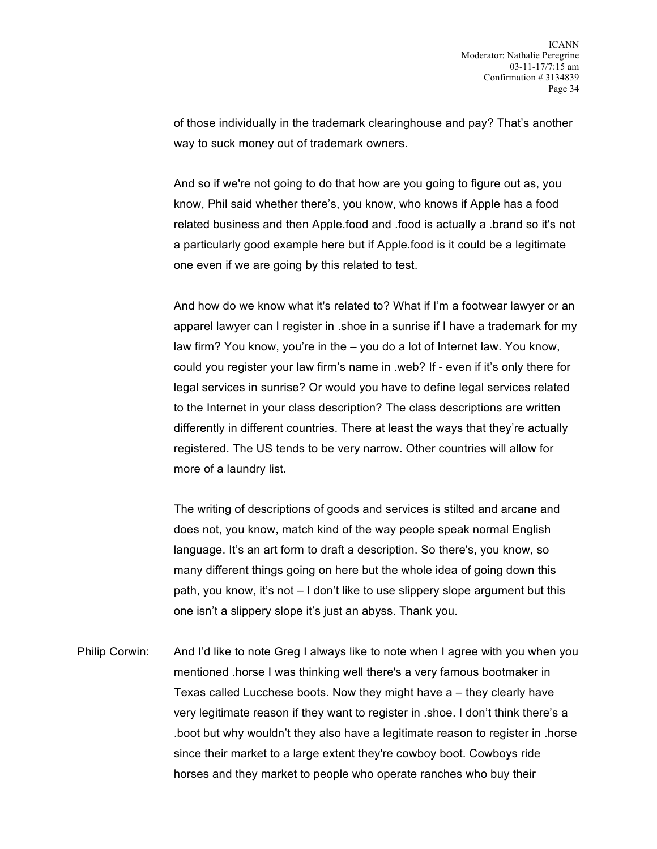of those individually in the trademark clearinghouse and pay? That's another way to suck money out of trademark owners.

And so if we're not going to do that how are you going to figure out as, you know, Phil said whether there's, you know, who knows if Apple has a food related business and then Apple.food and .food is actually a .brand so it's not a particularly good example here but if Apple.food is it could be a legitimate one even if we are going by this related to test.

And how do we know what it's related to? What if I'm a footwear lawyer or an apparel lawyer can I register in .shoe in a sunrise if I have a trademark for my law firm? You know, you're in the – you do a lot of Internet law. You know, could you register your law firm's name in .web? If - even if it's only there for legal services in sunrise? Or would you have to define legal services related to the Internet in your class description? The class descriptions are written differently in different countries. There at least the ways that they're actually registered. The US tends to be very narrow. Other countries will allow for more of a laundry list.

The writing of descriptions of goods and services is stilted and arcane and does not, you know, match kind of the way people speak normal English language. It's an art form to draft a description. So there's, you know, so many different things going on here but the whole idea of going down this path, you know, it's not – I don't like to use slippery slope argument but this one isn't a slippery slope it's just an abyss. Thank you.

Philip Corwin: And I'd like to note Greg I always like to note when I agree with you when you mentioned .horse I was thinking well there's a very famous bootmaker in Texas called Lucchese boots. Now they might have a – they clearly have very legitimate reason if they want to register in .shoe. I don't think there's a .boot but why wouldn't they also have a legitimate reason to register in .horse since their market to a large extent they're cowboy boot. Cowboys ride horses and they market to people who operate ranches who buy their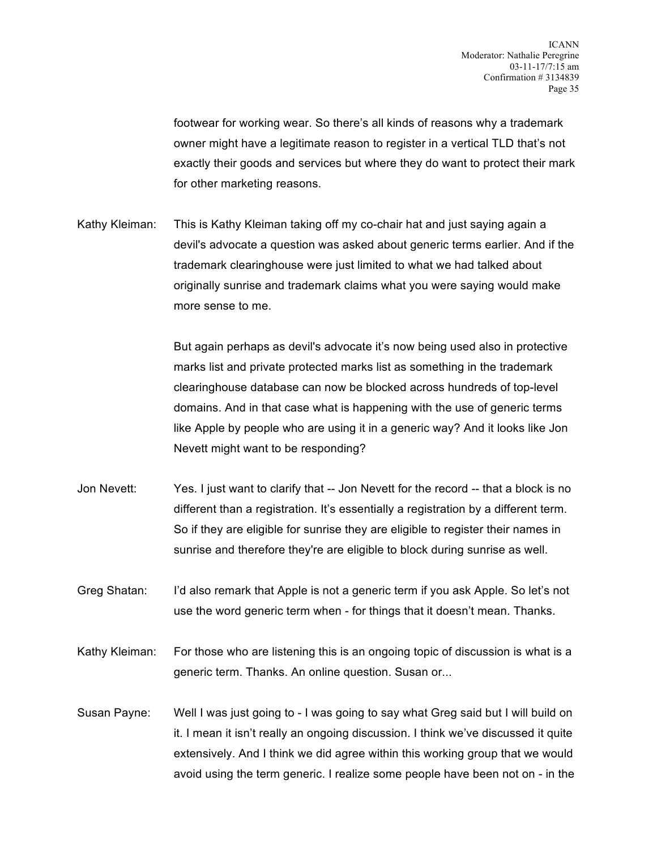footwear for working wear. So there's all kinds of reasons why a trademark owner might have a legitimate reason to register in a vertical TLD that's not exactly their goods and services but where they do want to protect their mark for other marketing reasons.

Kathy Kleiman: This is Kathy Kleiman taking off my co-chair hat and just saying again a devil's advocate a question was asked about generic terms earlier. And if the trademark clearinghouse were just limited to what we had talked about originally sunrise and trademark claims what you were saying would make more sense to me.

> But again perhaps as devil's advocate it's now being used also in protective marks list and private protected marks list as something in the trademark clearinghouse database can now be blocked across hundreds of top-level domains. And in that case what is happening with the use of generic terms like Apple by people who are using it in a generic way? And it looks like Jon Nevett might want to be responding?

- Jon Nevett: Yes. I just want to clarify that -- Jon Nevett for the record -- that a block is no different than a registration. It's essentially a registration by a different term. So if they are eligible for sunrise they are eligible to register their names in sunrise and therefore they're are eligible to block during sunrise as well.
- Greg Shatan: I'd also remark that Apple is not a generic term if you ask Apple. So let's not use the word generic term when - for things that it doesn't mean. Thanks.
- Kathy Kleiman: For those who are listening this is an ongoing topic of discussion is what is a generic term. Thanks. An online question. Susan or...
- Susan Payne: Well I was just going to I was going to say what Greg said but I will build on it. I mean it isn't really an ongoing discussion. I think we've discussed it quite extensively. And I think we did agree within this working group that we would avoid using the term generic. I realize some people have been not on - in the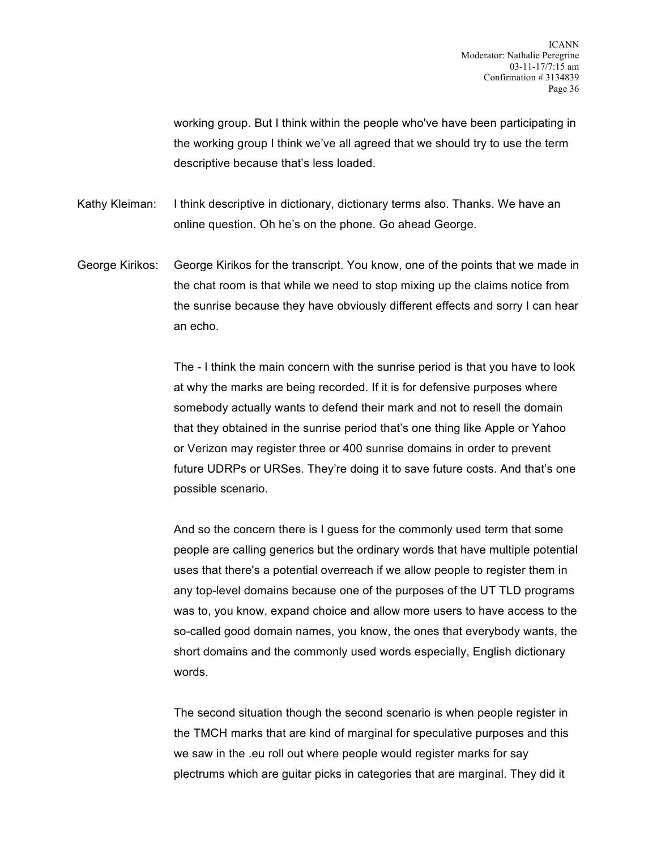working group. But I think within the people who've have been participating in the working group I think we've all agreed that we should try to use the term descriptive because that's less loaded.

Kathy Kleiman: I think descriptive in dictionary, dictionary terms also. Thanks. We have an online question. Oh he's on the phone. Go ahead George.

George Kirikos: George Kirikos for the transcript. You know, one of the points that we made in the chat room is that while we need to stop mixing up the claims notice from the sunrise because they have obviously different effects and sorry I can hear an echo.

> The - I think the main concern with the sunrise period is that you have to look at why the marks are being recorded. If it is for defensive purposes where somebody actually wants to defend their mark and not to resell the domain that they obtained in the sunrise period that's one thing like Apple or Yahoo or Verizon may register three or 400 sunrise domains in order to prevent future UDRPs or URSes. They're doing it to save future costs. And that's one possible scenario.

> And so the concern there is I guess for the commonly used term that some people are calling generics but the ordinary words that have multiple potential uses that there's a potential overreach if we allow people to register them in any top-level domains because one of the purposes of the UT TLD programs was to, you know, expand choice and allow more users to have access to the so-called good domain names, you know, the ones that everybody wants, the short domains and the commonly used words especially, English dictionary words.

The second situation though the second scenario is when people register in the TMCH marks that are kind of marginal for speculative purposes and this we saw in the .eu roll out where people would register marks for say plectrums which are guitar picks in categories that are marginal. They did it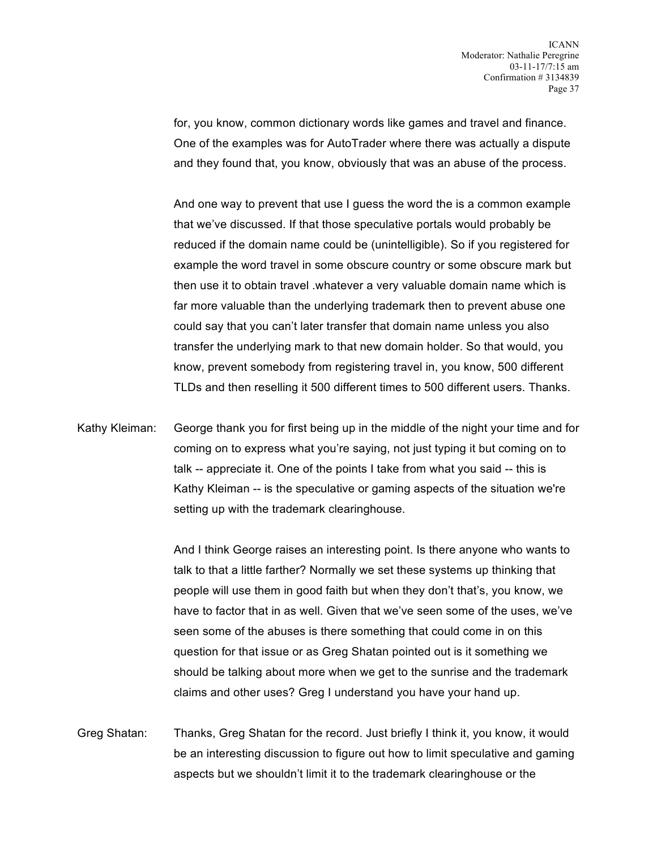for, you know, common dictionary words like games and travel and finance. One of the examples was for AutoTrader where there was actually a dispute and they found that, you know, obviously that was an abuse of the process.

And one way to prevent that use I guess the word the is a common example that we've discussed. If that those speculative portals would probably be reduced if the domain name could be (unintelligible). So if you registered for example the word travel in some obscure country or some obscure mark but then use it to obtain travel .whatever a very valuable domain name which is far more valuable than the underlying trademark then to prevent abuse one could say that you can't later transfer that domain name unless you also transfer the underlying mark to that new domain holder. So that would, you know, prevent somebody from registering travel in, you know, 500 different TLDs and then reselling it 500 different times to 500 different users. Thanks.

Kathy Kleiman: George thank you for first being up in the middle of the night your time and for coming on to express what you're saying, not just typing it but coming on to talk -- appreciate it. One of the points I take from what you said -- this is Kathy Kleiman -- is the speculative or gaming aspects of the situation we're setting up with the trademark clearinghouse.

> And I think George raises an interesting point. Is there anyone who wants to talk to that a little farther? Normally we set these systems up thinking that people will use them in good faith but when they don't that's, you know, we have to factor that in as well. Given that we've seen some of the uses, we've seen some of the abuses is there something that could come in on this question for that issue or as Greg Shatan pointed out is it something we should be talking about more when we get to the sunrise and the trademark claims and other uses? Greg I understand you have your hand up.

Greg Shatan: Thanks, Greg Shatan for the record. Just briefly I think it, you know, it would be an interesting discussion to figure out how to limit speculative and gaming aspects but we shouldn't limit it to the trademark clearinghouse or the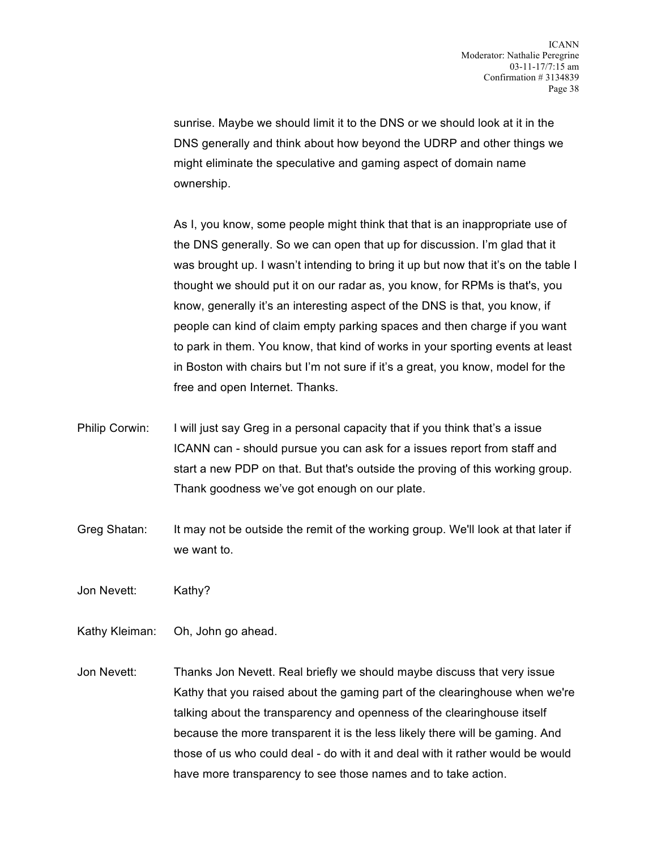sunrise. Maybe we should limit it to the DNS or we should look at it in the DNS generally and think about how beyond the UDRP and other things we might eliminate the speculative and gaming aspect of domain name ownership.

As I, you know, some people might think that that is an inappropriate use of the DNS generally. So we can open that up for discussion. I'm glad that it was brought up. I wasn't intending to bring it up but now that it's on the table I thought we should put it on our radar as, you know, for RPMs is that's, you know, generally it's an interesting aspect of the DNS is that, you know, if people can kind of claim empty parking spaces and then charge if you want to park in them. You know, that kind of works in your sporting events at least in Boston with chairs but I'm not sure if it's a great, you know, model for the free and open Internet. Thanks.

- Philip Corwin: I will just say Greg in a personal capacity that if you think that's a issue ICANN can - should pursue you can ask for a issues report from staff and start a new PDP on that. But that's outside the proving of this working group. Thank goodness we've got enough on our plate.
- Greg Shatan: It may not be outside the remit of the working group. We'll look at that later if we want to.
- Jon Nevett: Kathy?
- Kathy Kleiman: Oh, John go ahead.
- Jon Nevett: Thanks Jon Nevett. Real briefly we should maybe discuss that very issue Kathy that you raised about the gaming part of the clearinghouse when we're talking about the transparency and openness of the clearinghouse itself because the more transparent it is the less likely there will be gaming. And those of us who could deal - do with it and deal with it rather would be would have more transparency to see those names and to take action.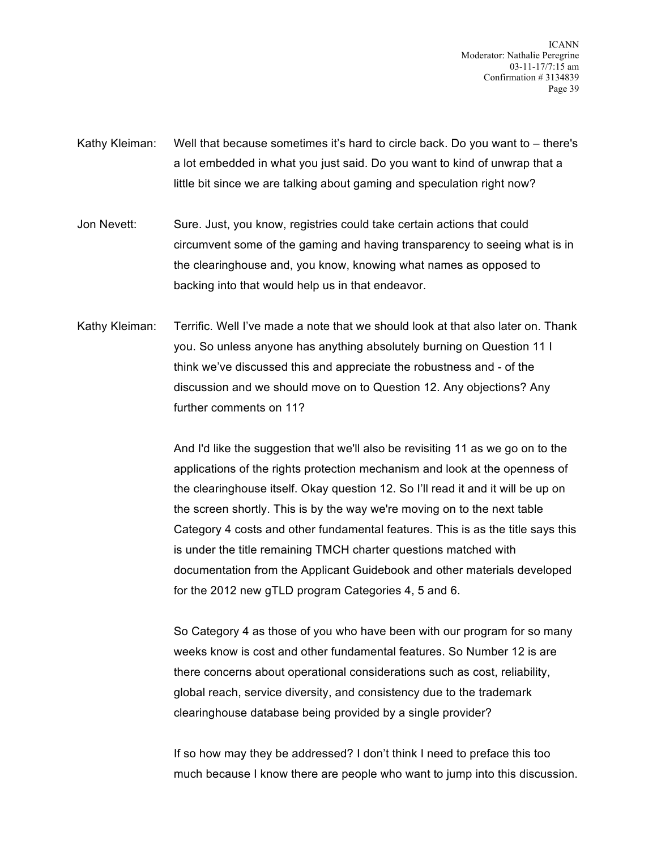ICANN Moderator: Nathalie Peregrine 03-11-17/7:15 am Confirmation # 3134839 Page 39

- Kathy Kleiman: Well that because sometimes it's hard to circle back. Do you want to there's a lot embedded in what you just said. Do you want to kind of unwrap that a little bit since we are talking about gaming and speculation right now?
- Jon Nevett: Sure. Just, you know, registries could take certain actions that could circumvent some of the gaming and having transparency to seeing what is in the clearinghouse and, you know, knowing what names as opposed to backing into that would help us in that endeavor.
- Kathy Kleiman: Terrific. Well I've made a note that we should look at that also later on. Thank you. So unless anyone has anything absolutely burning on Question 11 I think we've discussed this and appreciate the robustness and - of the discussion and we should move on to Question 12. Any objections? Any further comments on 11?

And I'd like the suggestion that we'll also be revisiting 11 as we go on to the applications of the rights protection mechanism and look at the openness of the clearinghouse itself. Okay question 12. So I'll read it and it will be up on the screen shortly. This is by the way we're moving on to the next table Category 4 costs and other fundamental features. This is as the title says this is under the title remaining TMCH charter questions matched with documentation from the Applicant Guidebook and other materials developed for the 2012 new gTLD program Categories 4, 5 and 6.

So Category 4 as those of you who have been with our program for so many weeks know is cost and other fundamental features. So Number 12 is are there concerns about operational considerations such as cost, reliability, global reach, service diversity, and consistency due to the trademark clearinghouse database being provided by a single provider?

If so how may they be addressed? I don't think I need to preface this too much because I know there are people who want to jump into this discussion.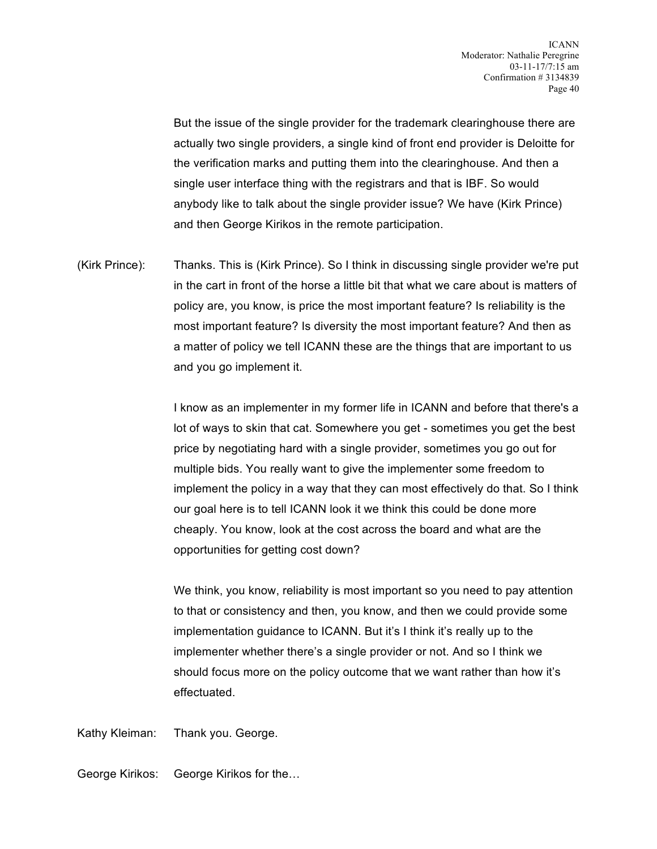But the issue of the single provider for the trademark clearinghouse there are actually two single providers, a single kind of front end provider is Deloitte for the verification marks and putting them into the clearinghouse. And then a single user interface thing with the registrars and that is IBF. So would anybody like to talk about the single provider issue? We have (Kirk Prince) and then George Kirikos in the remote participation.

(Kirk Prince): Thanks. This is (Kirk Prince). So I think in discussing single provider we're put in the cart in front of the horse a little bit that what we care about is matters of policy are, you know, is price the most important feature? Is reliability is the most important feature? Is diversity the most important feature? And then as a matter of policy we tell ICANN these are the things that are important to us and you go implement it.

> I know as an implementer in my former life in ICANN and before that there's a lot of ways to skin that cat. Somewhere you get - sometimes you get the best price by negotiating hard with a single provider, sometimes you go out for multiple bids. You really want to give the implementer some freedom to implement the policy in a way that they can most effectively do that. So I think our goal here is to tell ICANN look it we think this could be done more cheaply. You know, look at the cost across the board and what are the opportunities for getting cost down?

We think, you know, reliability is most important so you need to pay attention to that or consistency and then, you know, and then we could provide some implementation guidance to ICANN. But it's I think it's really up to the implementer whether there's a single provider or not. And so I think we should focus more on the policy outcome that we want rather than how it's effectuated.

Kathy Kleiman: Thank you. George.

George Kirikos: George Kirikos for the…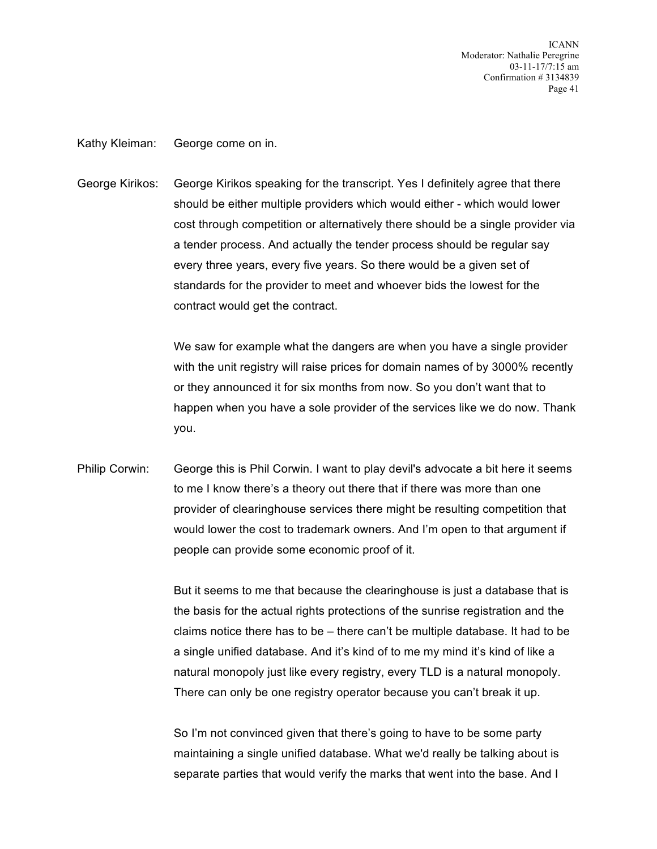ICANN Moderator: Nathalie Peregrine 03-11-17/7:15 am Confirmation # 3134839 Page 41

Kathy Kleiman: George come on in.

George Kirikos: George Kirikos speaking for the transcript. Yes I definitely agree that there should be either multiple providers which would either - which would lower cost through competition or alternatively there should be a single provider via a tender process. And actually the tender process should be regular say every three years, every five years. So there would be a given set of standards for the provider to meet and whoever bids the lowest for the contract would get the contract.

> We saw for example what the dangers are when you have a single provider with the unit registry will raise prices for domain names of by 3000% recently or they announced it for six months from now. So you don't want that to happen when you have a sole provider of the services like we do now. Thank you.

Philip Corwin: George this is Phil Corwin. I want to play devil's advocate a bit here it seems to me I know there's a theory out there that if there was more than one provider of clearinghouse services there might be resulting competition that would lower the cost to trademark owners. And I'm open to that argument if people can provide some economic proof of it.

> But it seems to me that because the clearinghouse is just a database that is the basis for the actual rights protections of the sunrise registration and the claims notice there has to be – there can't be multiple database. It had to be a single unified database. And it's kind of to me my mind it's kind of like a natural monopoly just like every registry, every TLD is a natural monopoly. There can only be one registry operator because you can't break it up.

So I'm not convinced given that there's going to have to be some party maintaining a single unified database. What we'd really be talking about is separate parties that would verify the marks that went into the base. And I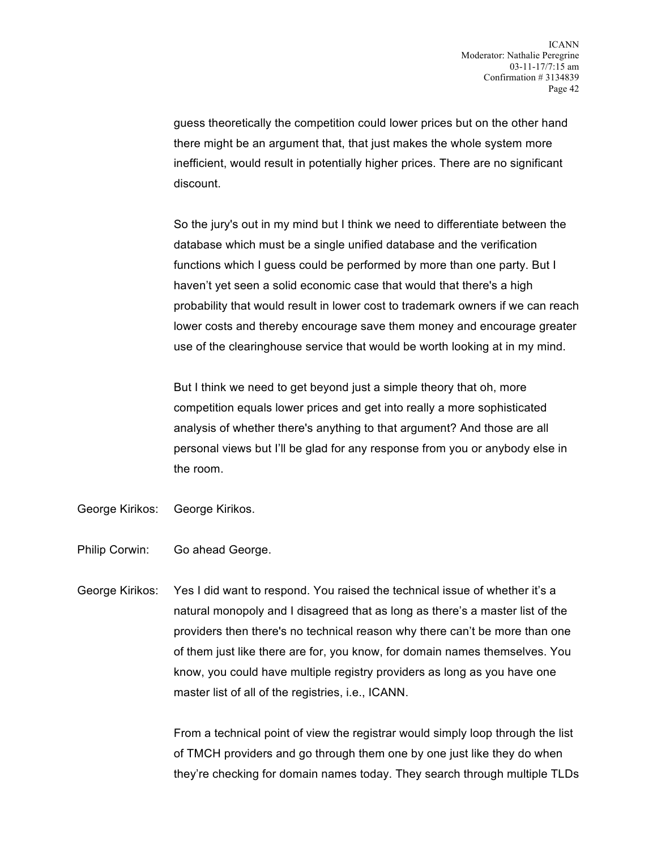guess theoretically the competition could lower prices but on the other hand there might be an argument that, that just makes the whole system more inefficient, would result in potentially higher prices. There are no significant discount.

So the jury's out in my mind but I think we need to differentiate between the database which must be a single unified database and the verification functions which I guess could be performed by more than one party. But I haven't yet seen a solid economic case that would that there's a high probability that would result in lower cost to trademark owners if we can reach lower costs and thereby encourage save them money and encourage greater use of the clearinghouse service that would be worth looking at in my mind.

But I think we need to get beyond just a simple theory that oh, more competition equals lower prices and get into really a more sophisticated analysis of whether there's anything to that argument? And those are all personal views but I'll be glad for any response from you or anybody else in the room.

- George Kirikos: George Kirikos.
- Philip Corwin: Go ahead George.
- George Kirikos: Yes I did want to respond. You raised the technical issue of whether it's a natural monopoly and I disagreed that as long as there's a master list of the providers then there's no technical reason why there can't be more than one of them just like there are for, you know, for domain names themselves. You know, you could have multiple registry providers as long as you have one master list of all of the registries, i.e., ICANN.

From a technical point of view the registrar would simply loop through the list of TMCH providers and go through them one by one just like they do when they're checking for domain names today. They search through multiple TLDs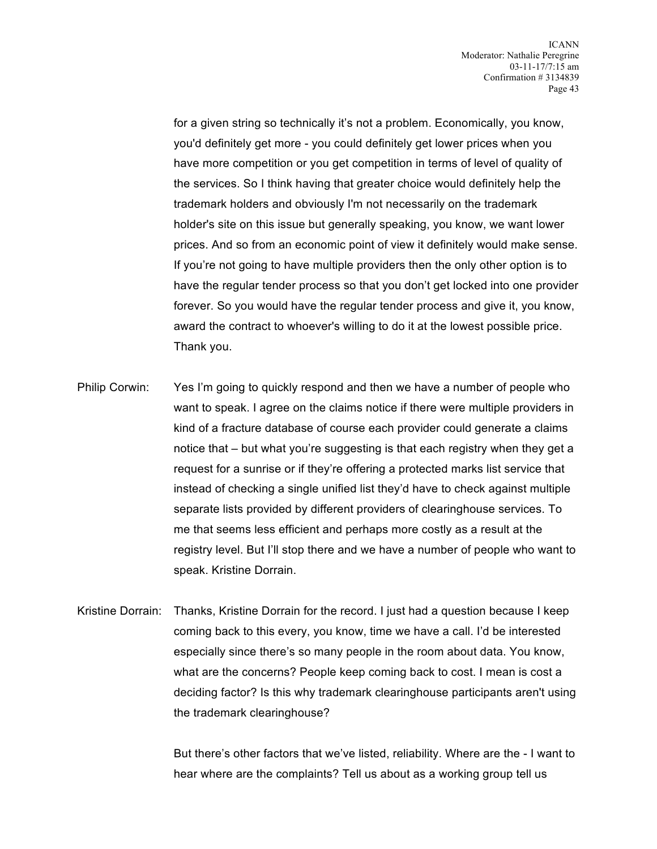for a given string so technically it's not a problem. Economically, you know, you'd definitely get more - you could definitely get lower prices when you have more competition or you get competition in terms of level of quality of the services. So I think having that greater choice would definitely help the trademark holders and obviously I'm not necessarily on the trademark holder's site on this issue but generally speaking, you know, we want lower prices. And so from an economic point of view it definitely would make sense. If you're not going to have multiple providers then the only other option is to have the regular tender process so that you don't get locked into one provider forever. So you would have the regular tender process and give it, you know, award the contract to whoever's willing to do it at the lowest possible price. Thank you.

- Philip Corwin: Yes I'm going to quickly respond and then we have a number of people who want to speak. I agree on the claims notice if there were multiple providers in kind of a fracture database of course each provider could generate a claims notice that – but what you're suggesting is that each registry when they get a request for a sunrise or if they're offering a protected marks list service that instead of checking a single unified list they'd have to check against multiple separate lists provided by different providers of clearinghouse services. To me that seems less efficient and perhaps more costly as a result at the registry level. But I'll stop there and we have a number of people who want to speak. Kristine Dorrain.
- Kristine Dorrain: Thanks, Kristine Dorrain for the record. I just had a question because I keep coming back to this every, you know, time we have a call. I'd be interested especially since there's so many people in the room about data. You know, what are the concerns? People keep coming back to cost. I mean is cost a deciding factor? Is this why trademark clearinghouse participants aren't using the trademark clearinghouse?

But there's other factors that we've listed, reliability. Where are the - I want to hear where are the complaints? Tell us about as a working group tell us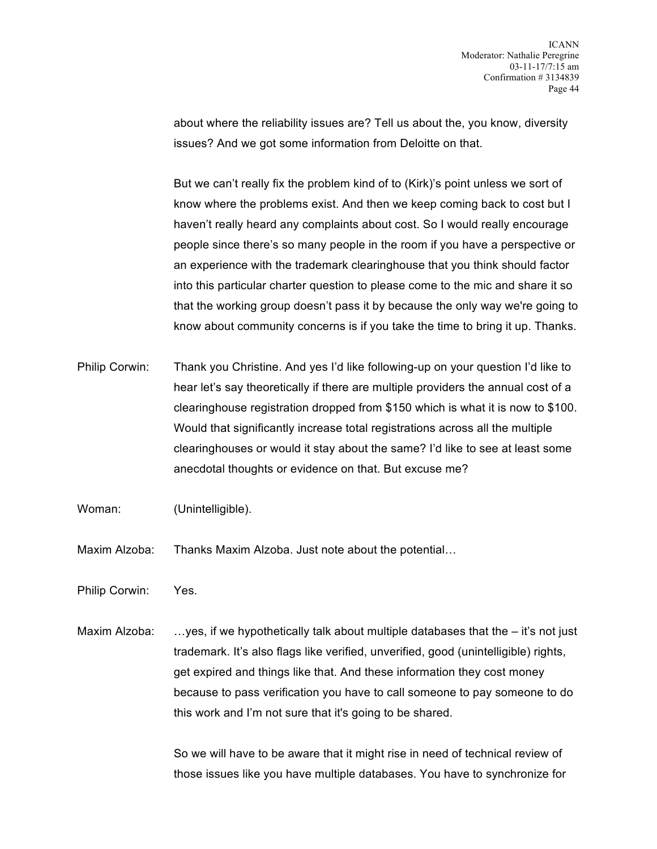about where the reliability issues are? Tell us about the, you know, diversity issues? And we got some information from Deloitte on that.

But we can't really fix the problem kind of to (Kirk)'s point unless we sort of know where the problems exist. And then we keep coming back to cost but I haven't really heard any complaints about cost. So I would really encourage people since there's so many people in the room if you have a perspective or an experience with the trademark clearinghouse that you think should factor into this particular charter question to please come to the mic and share it so that the working group doesn't pass it by because the only way we're going to know about community concerns is if you take the time to bring it up. Thanks.

- Philip Corwin: Thank you Christine. And yes I'd like following-up on your question I'd like to hear let's say theoretically if there are multiple providers the annual cost of a clearinghouse registration dropped from \$150 which is what it is now to \$100. Would that significantly increase total registrations across all the multiple clearinghouses or would it stay about the same? I'd like to see at least some anecdotal thoughts or evidence on that. But excuse me?
- Woman: (Unintelligible).
- Maxim Alzoba: Thanks Maxim Alzoba. Just note about the potential…
- Philip Corwin: Yes.
- Maxim Alzoba: …yes, if we hypothetically talk about multiple databases that the it's not just trademark. It's also flags like verified, unverified, good (unintelligible) rights, get expired and things like that. And these information they cost money because to pass verification you have to call someone to pay someone to do this work and I'm not sure that it's going to be shared.

So we will have to be aware that it might rise in need of technical review of those issues like you have multiple databases. You have to synchronize for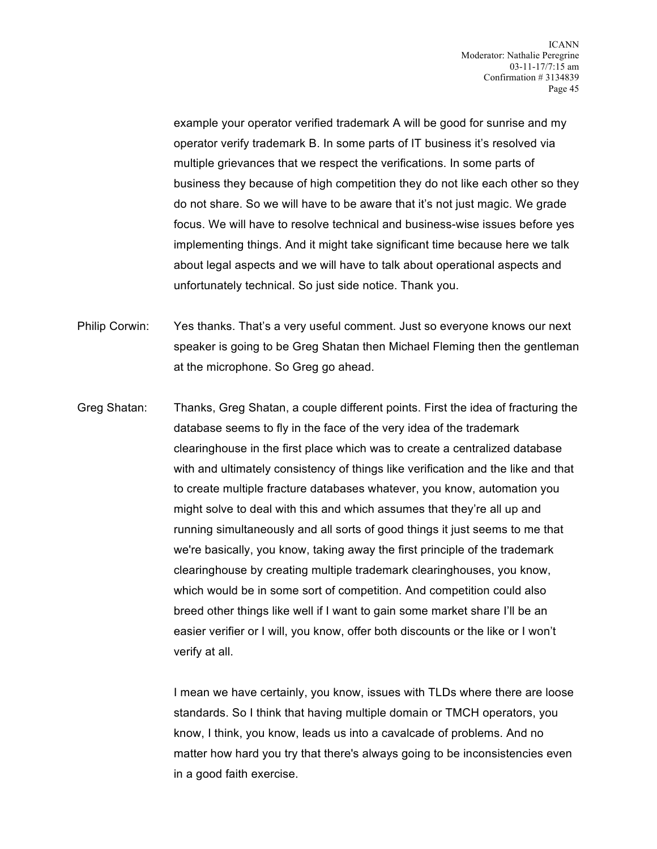example your operator verified trademark A will be good for sunrise and my operator verify trademark B. In some parts of IT business it's resolved via multiple grievances that we respect the verifications. In some parts of business they because of high competition they do not like each other so they do not share. So we will have to be aware that it's not just magic. We grade focus. We will have to resolve technical and business-wise issues before yes implementing things. And it might take significant time because here we talk about legal aspects and we will have to talk about operational aspects and unfortunately technical. So just side notice. Thank you.

Philip Corwin: Yes thanks. That's a very useful comment. Just so everyone knows our next speaker is going to be Greg Shatan then Michael Fleming then the gentleman at the microphone. So Greg go ahead.

Greg Shatan: Thanks, Greg Shatan, a couple different points. First the idea of fracturing the database seems to fly in the face of the very idea of the trademark clearinghouse in the first place which was to create a centralized database with and ultimately consistency of things like verification and the like and that to create multiple fracture databases whatever, you know, automation you might solve to deal with this and which assumes that they're all up and running simultaneously and all sorts of good things it just seems to me that we're basically, you know, taking away the first principle of the trademark clearinghouse by creating multiple trademark clearinghouses, you know, which would be in some sort of competition. And competition could also breed other things like well if I want to gain some market share I'll be an easier verifier or I will, you know, offer both discounts or the like or I won't verify at all.

> I mean we have certainly, you know, issues with TLDs where there are loose standards. So I think that having multiple domain or TMCH operators, you know, I think, you know, leads us into a cavalcade of problems. And no matter how hard you try that there's always going to be inconsistencies even in a good faith exercise.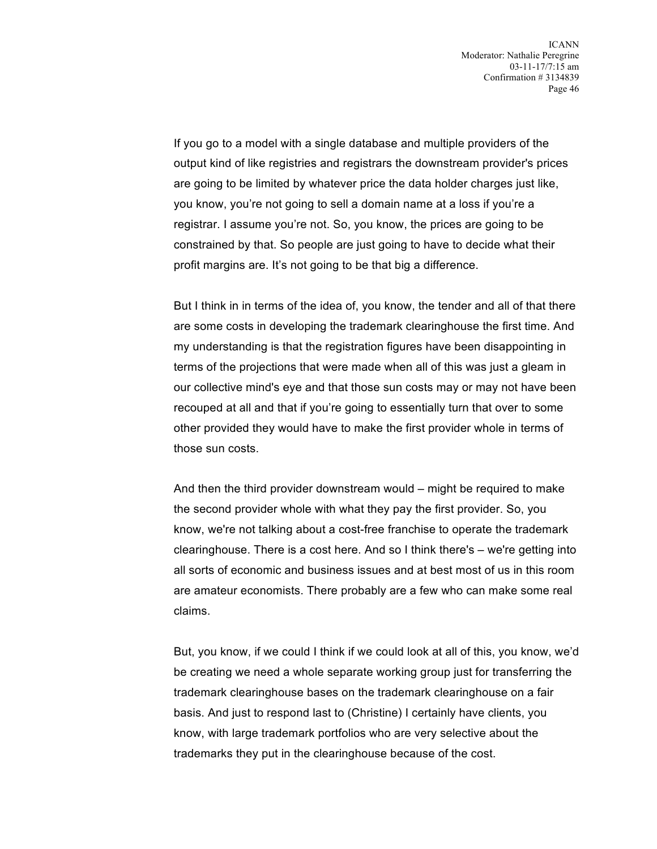If you go to a model with a single database and multiple providers of the output kind of like registries and registrars the downstream provider's prices are going to be limited by whatever price the data holder charges just like, you know, you're not going to sell a domain name at a loss if you're a registrar. I assume you're not. So, you know, the prices are going to be constrained by that. So people are just going to have to decide what their profit margins are. It's not going to be that big a difference.

But I think in in terms of the idea of, you know, the tender and all of that there are some costs in developing the trademark clearinghouse the first time. And my understanding is that the registration figures have been disappointing in terms of the projections that were made when all of this was just a gleam in our collective mind's eye and that those sun costs may or may not have been recouped at all and that if you're going to essentially turn that over to some other provided they would have to make the first provider whole in terms of those sun costs.

And then the third provider downstream would – might be required to make the second provider whole with what they pay the first provider. So, you know, we're not talking about a cost-free franchise to operate the trademark clearinghouse. There is a cost here. And so I think there's – we're getting into all sorts of economic and business issues and at best most of us in this room are amateur economists. There probably are a few who can make some real claims.

But, you know, if we could I think if we could look at all of this, you know, we'd be creating we need a whole separate working group just for transferring the trademark clearinghouse bases on the trademark clearinghouse on a fair basis. And just to respond last to (Christine) I certainly have clients, you know, with large trademark portfolios who are very selective about the trademarks they put in the clearinghouse because of the cost.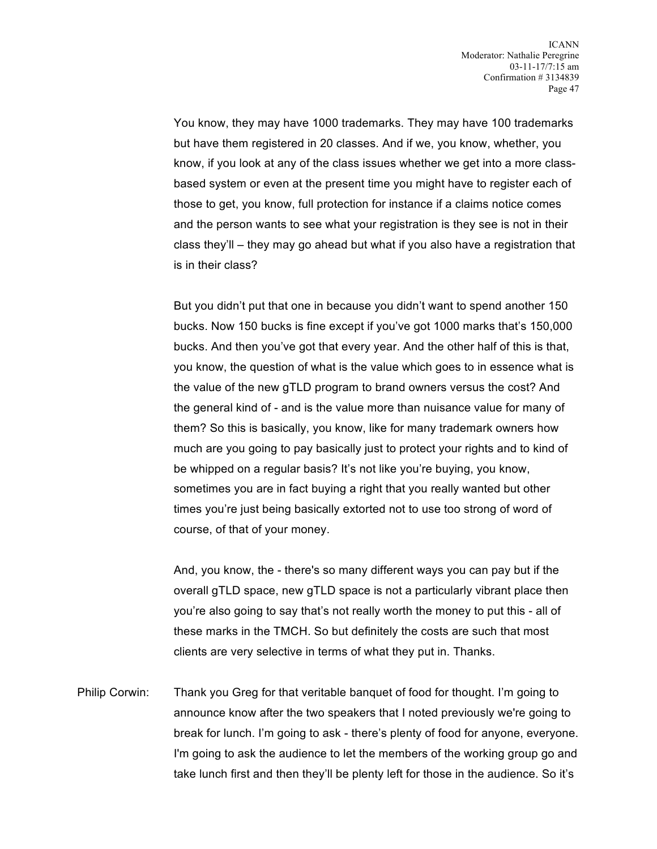You know, they may have 1000 trademarks. They may have 100 trademarks but have them registered in 20 classes. And if we, you know, whether, you know, if you look at any of the class issues whether we get into a more classbased system or even at the present time you might have to register each of those to get, you know, full protection for instance if a claims notice comes and the person wants to see what your registration is they see is not in their class they'll – they may go ahead but what if you also have a registration that is in their class?

But you didn't put that one in because you didn't want to spend another 150 bucks. Now 150 bucks is fine except if you've got 1000 marks that's 150,000 bucks. And then you've got that every year. And the other half of this is that, you know, the question of what is the value which goes to in essence what is the value of the new gTLD program to brand owners versus the cost? And the general kind of - and is the value more than nuisance value for many of them? So this is basically, you know, like for many trademark owners how much are you going to pay basically just to protect your rights and to kind of be whipped on a regular basis? It's not like you're buying, you know, sometimes you are in fact buying a right that you really wanted but other times you're just being basically extorted not to use too strong of word of course, of that of your money.

And, you know, the - there's so many different ways you can pay but if the overall gTLD space, new gTLD space is not a particularly vibrant place then you're also going to say that's not really worth the money to put this - all of these marks in the TMCH. So but definitely the costs are such that most clients are very selective in terms of what they put in. Thanks.

Philip Corwin: Thank you Greg for that veritable banquet of food for thought. I'm going to announce know after the two speakers that I noted previously we're going to break for lunch. I'm going to ask - there's plenty of food for anyone, everyone. I'm going to ask the audience to let the members of the working group go and take lunch first and then they'll be plenty left for those in the audience. So it's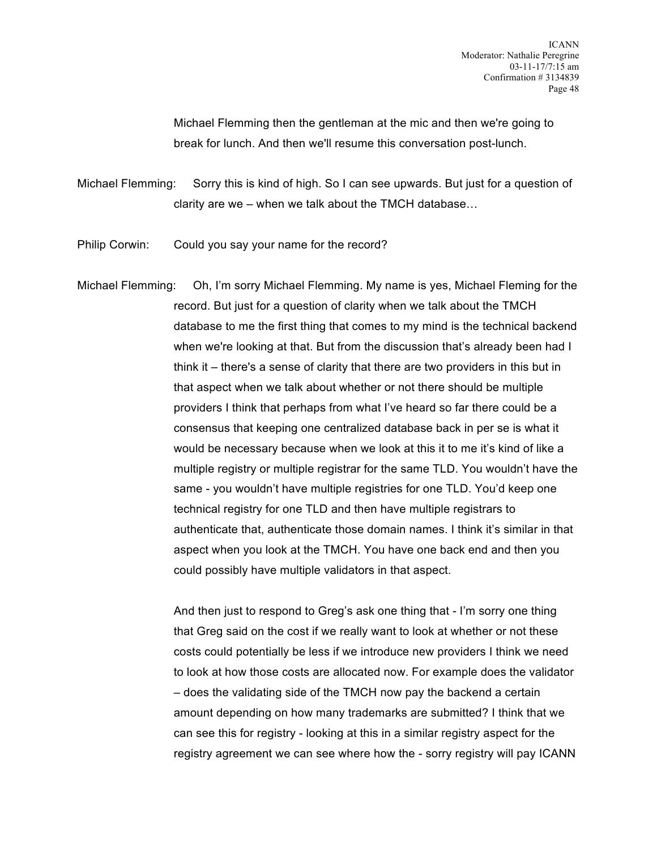Michael Flemming then the gentleman at the mic and then we're going to break for lunch. And then we'll resume this conversation post-lunch.

Michael Flemming: Sorry this is kind of high. So I can see upwards. But just for a question of clarity are we – when we talk about the TMCH database…

Philip Corwin: Could you say your name for the record?

Michael Flemming: Oh, I'm sorry Michael Flemming. My name is yes, Michael Fleming for the record. But just for a question of clarity when we talk about the TMCH database to me the first thing that comes to my mind is the technical backend when we're looking at that. But from the discussion that's already been had I think it – there's a sense of clarity that there are two providers in this but in that aspect when we talk about whether or not there should be multiple providers I think that perhaps from what I've heard so far there could be a consensus that keeping one centralized database back in per se is what it would be necessary because when we look at this it to me it's kind of like a multiple registry or multiple registrar for the same TLD. You wouldn't have the same - you wouldn't have multiple registries for one TLD. You'd keep one technical registry for one TLD and then have multiple registrars to authenticate that, authenticate those domain names. I think it's similar in that aspect when you look at the TMCH. You have one back end and then you could possibly have multiple validators in that aspect.

> And then just to respond to Greg's ask one thing that - I'm sorry one thing that Greg said on the cost if we really want to look at whether or not these costs could potentially be less if we introduce new providers I think we need to look at how those costs are allocated now. For example does the validator – does the validating side of the TMCH now pay the backend a certain amount depending on how many trademarks are submitted? I think that we can see this for registry - looking at this in a similar registry aspect for the registry agreement we can see where how the - sorry registry will pay ICANN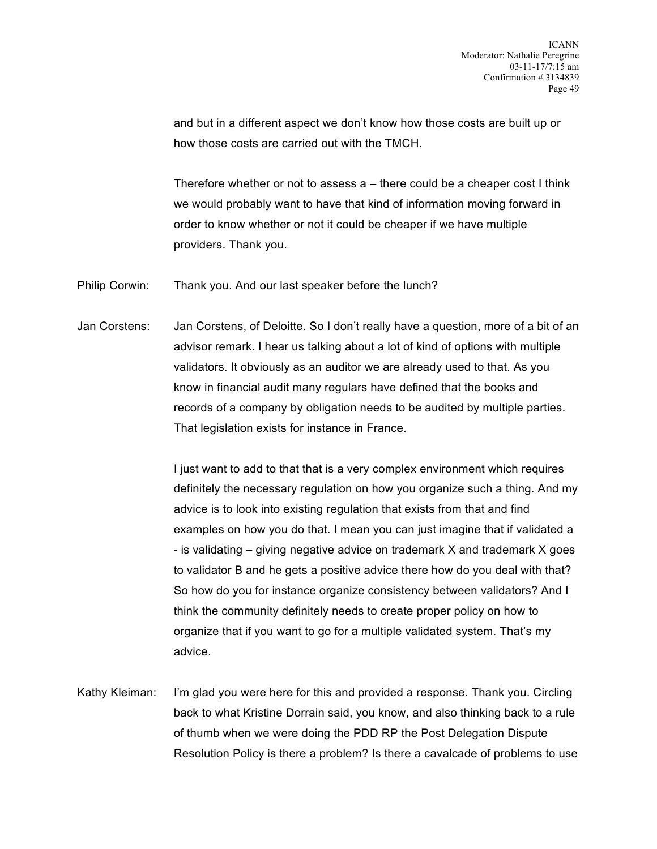and but in a different aspect we don't know how those costs are built up or how those costs are carried out with the TMCH.

Therefore whether or not to assess a – there could be a cheaper cost I think we would probably want to have that kind of information moving forward in order to know whether or not it could be cheaper if we have multiple providers. Thank you.

Philip Corwin: Thank you. And our last speaker before the lunch?

Jan Corstens: Jan Corstens, of Deloitte. So I don't really have a question, more of a bit of an advisor remark. I hear us talking about a lot of kind of options with multiple validators. It obviously as an auditor we are already used to that. As you know in financial audit many regulars have defined that the books and records of a company by obligation needs to be audited by multiple parties. That legislation exists for instance in France.

> I just want to add to that that is a very complex environment which requires definitely the necessary regulation on how you organize such a thing. And my advice is to look into existing regulation that exists from that and find examples on how you do that. I mean you can just imagine that if validated a - is validating – giving negative advice on trademark X and trademark X goes to validator B and he gets a positive advice there how do you deal with that? So how do you for instance organize consistency between validators? And I think the community definitely needs to create proper policy on how to organize that if you want to go for a multiple validated system. That's my advice.

Kathy Kleiman: I'm glad you were here for this and provided a response. Thank you. Circling back to what Kristine Dorrain said, you know, and also thinking back to a rule of thumb when we were doing the PDD RP the Post Delegation Dispute Resolution Policy is there a problem? Is there a cavalcade of problems to use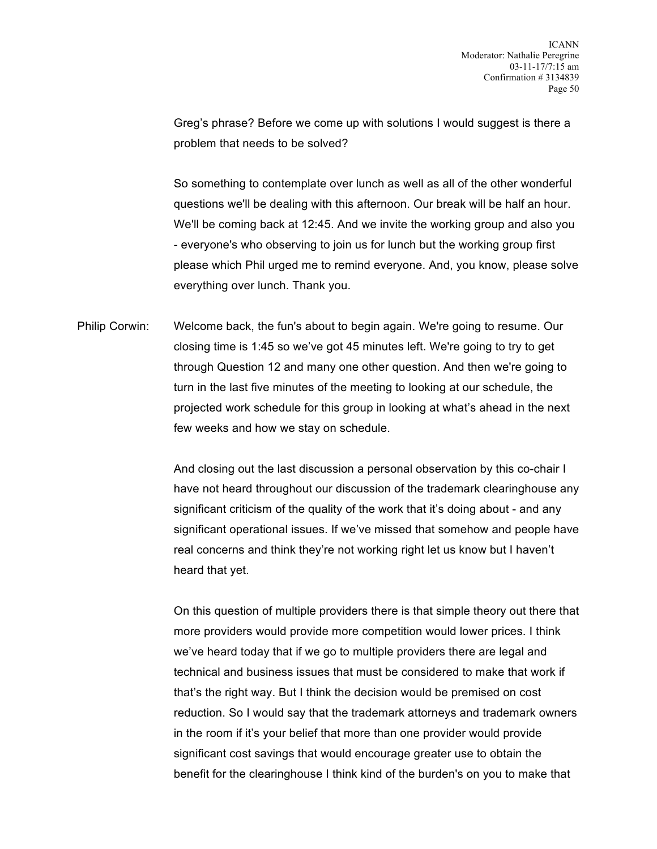Greg's phrase? Before we come up with solutions I would suggest is there a problem that needs to be solved?

So something to contemplate over lunch as well as all of the other wonderful questions we'll be dealing with this afternoon. Our break will be half an hour. We'll be coming back at 12:45. And we invite the working group and also you - everyone's who observing to join us for lunch but the working group first please which Phil urged me to remind everyone. And, you know, please solve everything over lunch. Thank you.

Philip Corwin: Welcome back, the fun's about to begin again. We're going to resume. Our closing time is 1:45 so we've got 45 minutes left. We're going to try to get through Question 12 and many one other question. And then we're going to turn in the last five minutes of the meeting to looking at our schedule, the projected work schedule for this group in looking at what's ahead in the next few weeks and how we stay on schedule.

> And closing out the last discussion a personal observation by this co-chair I have not heard throughout our discussion of the trademark clearinghouse any significant criticism of the quality of the work that it's doing about - and any significant operational issues. If we've missed that somehow and people have real concerns and think they're not working right let us know but I haven't heard that yet.

> On this question of multiple providers there is that simple theory out there that more providers would provide more competition would lower prices. I think we've heard today that if we go to multiple providers there are legal and technical and business issues that must be considered to make that work if that's the right way. But I think the decision would be premised on cost reduction. So I would say that the trademark attorneys and trademark owners in the room if it's your belief that more than one provider would provide significant cost savings that would encourage greater use to obtain the benefit for the clearinghouse I think kind of the burden's on you to make that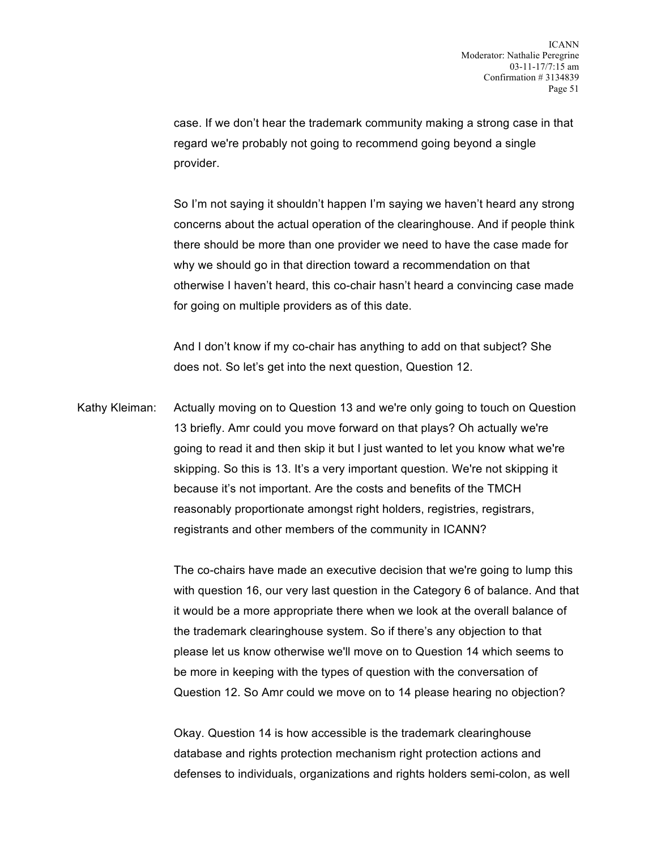case. If we don't hear the trademark community making a strong case in that regard we're probably not going to recommend going beyond a single provider.

So I'm not saying it shouldn't happen I'm saying we haven't heard any strong concerns about the actual operation of the clearinghouse. And if people think there should be more than one provider we need to have the case made for why we should go in that direction toward a recommendation on that otherwise I haven't heard, this co-chair hasn't heard a convincing case made for going on multiple providers as of this date.

And I don't know if my co-chair has anything to add on that subject? She does not. So let's get into the next question, Question 12.

Kathy Kleiman: Actually moving on to Question 13 and we're only going to touch on Question 13 briefly. Amr could you move forward on that plays? Oh actually we're going to read it and then skip it but I just wanted to let you know what we're skipping. So this is 13. It's a very important question. We're not skipping it because it's not important. Are the costs and benefits of the TMCH reasonably proportionate amongst right holders, registries, registrars, registrants and other members of the community in ICANN?

> The co-chairs have made an executive decision that we're going to lump this with question 16, our very last question in the Category 6 of balance. And that it would be a more appropriate there when we look at the overall balance of the trademark clearinghouse system. So if there's any objection to that please let us know otherwise we'll move on to Question 14 which seems to be more in keeping with the types of question with the conversation of Question 12. So Amr could we move on to 14 please hearing no objection?

Okay. Question 14 is how accessible is the trademark clearinghouse database and rights protection mechanism right protection actions and defenses to individuals, organizations and rights holders semi-colon, as well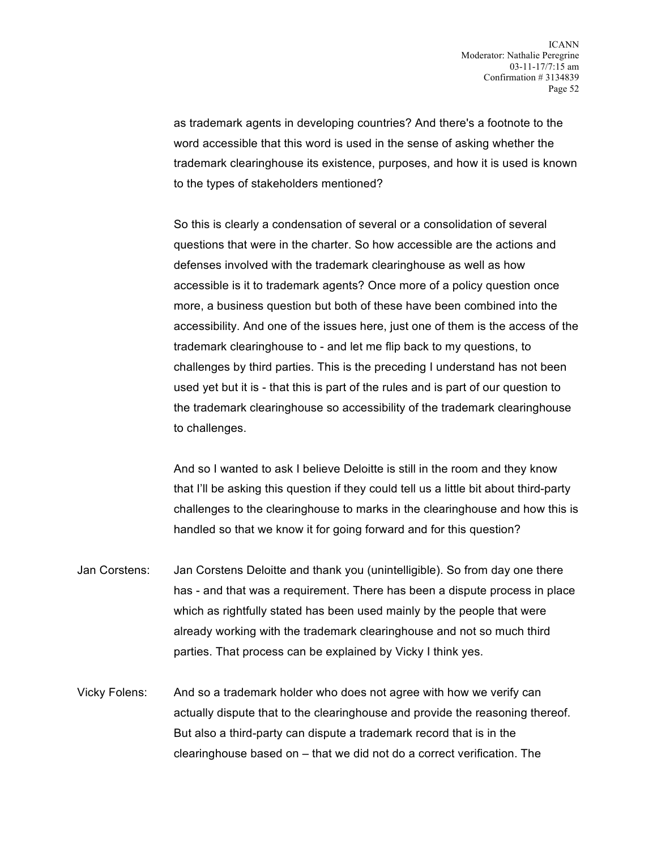as trademark agents in developing countries? And there's a footnote to the word accessible that this word is used in the sense of asking whether the trademark clearinghouse its existence, purposes, and how it is used is known to the types of stakeholders mentioned?

So this is clearly a condensation of several or a consolidation of several questions that were in the charter. So how accessible are the actions and defenses involved with the trademark clearinghouse as well as how accessible is it to trademark agents? Once more of a policy question once more, a business question but both of these have been combined into the accessibility. And one of the issues here, just one of them is the access of the trademark clearinghouse to - and let me flip back to my questions, to challenges by third parties. This is the preceding I understand has not been used yet but it is - that this is part of the rules and is part of our question to the trademark clearinghouse so accessibility of the trademark clearinghouse to challenges.

And so I wanted to ask I believe Deloitte is still in the room and they know that I'll be asking this question if they could tell us a little bit about third-party challenges to the clearinghouse to marks in the clearinghouse and how this is handled so that we know it for going forward and for this question?

- Jan Corstens: Jan Corstens Deloitte and thank you (unintelligible). So from day one there has - and that was a requirement. There has been a dispute process in place which as rightfully stated has been used mainly by the people that were already working with the trademark clearinghouse and not so much third parties. That process can be explained by Vicky I think yes.
- Vicky Folens: And so a trademark holder who does not agree with how we verify can actually dispute that to the clearinghouse and provide the reasoning thereof. But also a third-party can dispute a trademark record that is in the clearinghouse based on – that we did not do a correct verification. The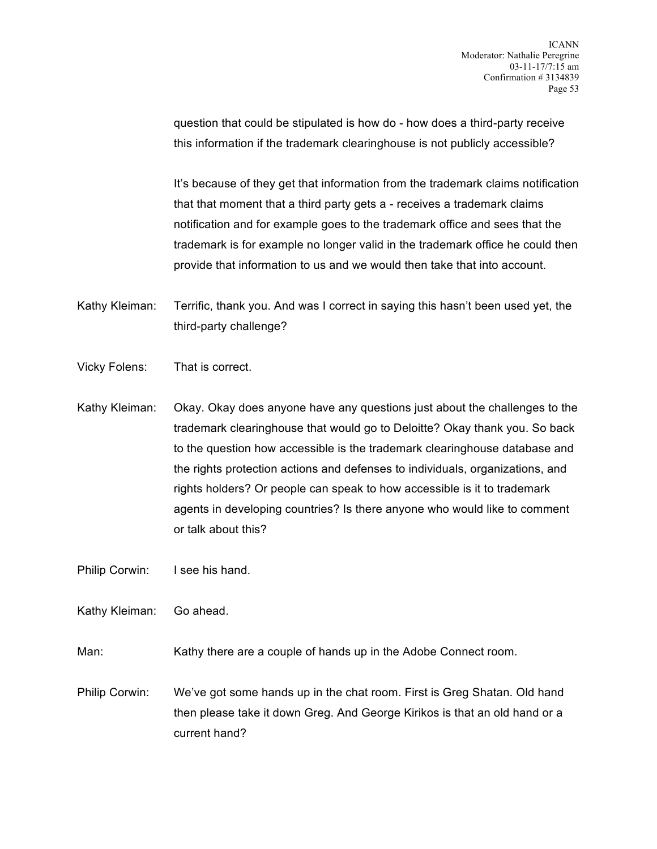question that could be stipulated is how do - how does a third-party receive this information if the trademark clearinghouse is not publicly accessible?

It's because of they get that information from the trademark claims notification that that moment that a third party gets a - receives a trademark claims notification and for example goes to the trademark office and sees that the trademark is for example no longer valid in the trademark office he could then provide that information to us and we would then take that into account.

Kathy Kleiman: Terrific, thank you. And was I correct in saying this hasn't been used yet, the third-party challenge?

- Vicky Folens: That is correct.
- Kathy Kleiman: Okay. Okay does anyone have any questions just about the challenges to the trademark clearinghouse that would go to Deloitte? Okay thank you. So back to the question how accessible is the trademark clearinghouse database and the rights protection actions and defenses to individuals, organizations, and rights holders? Or people can speak to how accessible is it to trademark agents in developing countries? Is there anyone who would like to comment or talk about this?

Philip Corwin: I see his hand.

Kathy Kleiman: Go ahead.

Man: Kathy there are a couple of hands up in the Adobe Connect room.

Philip Corwin: We've got some hands up in the chat room. First is Greg Shatan. Old hand then please take it down Greg. And George Kirikos is that an old hand or a current hand?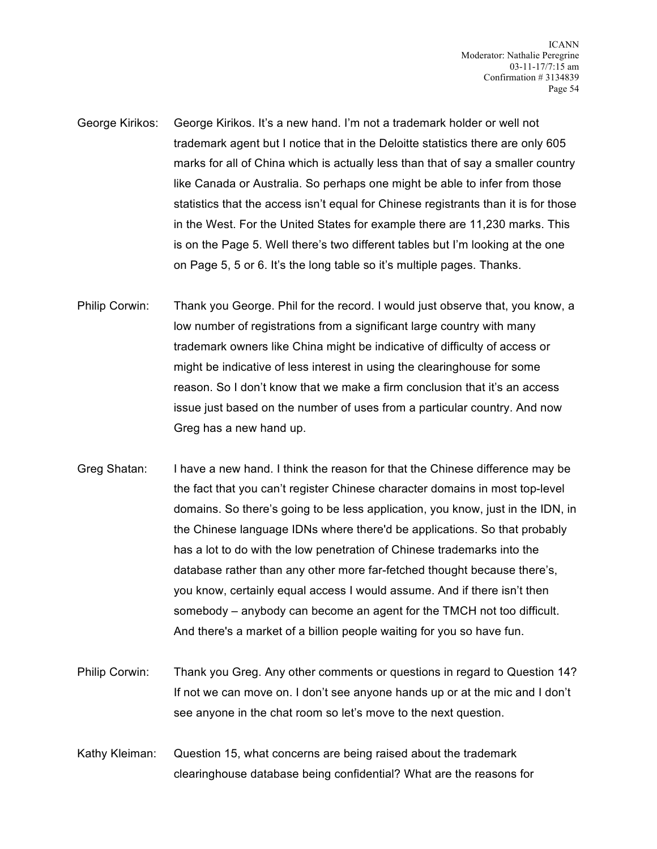- George Kirikos: George Kirikos. It's a new hand. I'm not a trademark holder or well not trademark agent but I notice that in the Deloitte statistics there are only 605 marks for all of China which is actually less than that of say a smaller country like Canada or Australia. So perhaps one might be able to infer from those statistics that the access isn't equal for Chinese registrants than it is for those in the West. For the United States for example there are 11,230 marks. This is on the Page 5. Well there's two different tables but I'm looking at the one on Page 5, 5 or 6. It's the long table so it's multiple pages. Thanks.
- Philip Corwin: Thank you George. Phil for the record. I would just observe that, you know, a low number of registrations from a significant large country with many trademark owners like China might be indicative of difficulty of access or might be indicative of less interest in using the clearinghouse for some reason. So I don't know that we make a firm conclusion that it's an access issue just based on the number of uses from a particular country. And now Greg has a new hand up.
- Greg Shatan: I have a new hand. I think the reason for that the Chinese difference may be the fact that you can't register Chinese character domains in most top-level domains. So there's going to be less application, you know, just in the IDN, in the Chinese language IDNs where there'd be applications. So that probably has a lot to do with the low penetration of Chinese trademarks into the database rather than any other more far-fetched thought because there's, you know, certainly equal access I would assume. And if there isn't then somebody – anybody can become an agent for the TMCH not too difficult. And there's a market of a billion people waiting for you so have fun.
- Philip Corwin: Thank you Greg. Any other comments or questions in regard to Question 14? If not we can move on. I don't see anyone hands up or at the mic and I don't see anyone in the chat room so let's move to the next question.
- Kathy Kleiman: Question 15, what concerns are being raised about the trademark clearinghouse database being confidential? What are the reasons for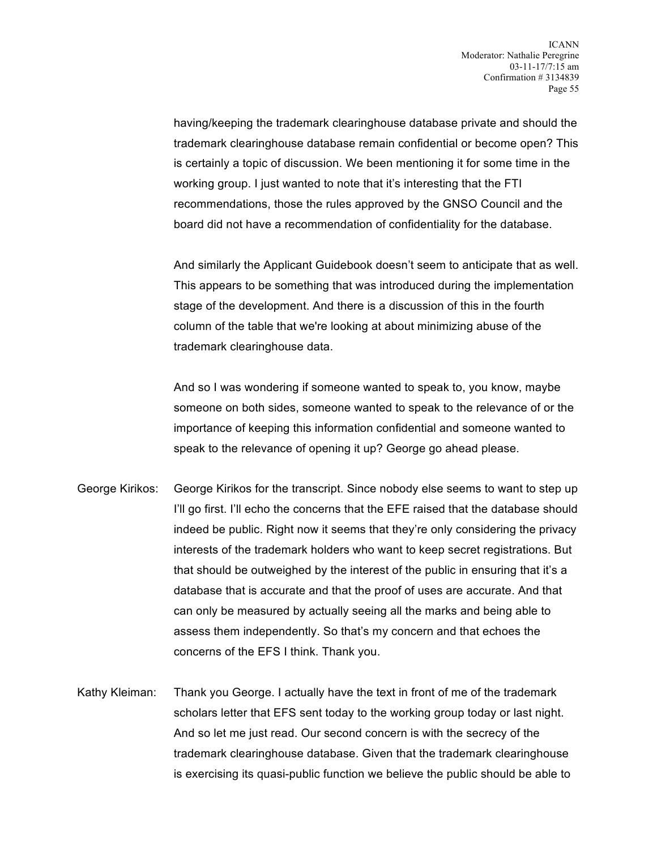having/keeping the trademark clearinghouse database private and should the trademark clearinghouse database remain confidential or become open? This is certainly a topic of discussion. We been mentioning it for some time in the working group. I just wanted to note that it's interesting that the FTI recommendations, those the rules approved by the GNSO Council and the board did not have a recommendation of confidentiality for the database.

And similarly the Applicant Guidebook doesn't seem to anticipate that as well. This appears to be something that was introduced during the implementation stage of the development. And there is a discussion of this in the fourth column of the table that we're looking at about minimizing abuse of the trademark clearinghouse data.

And so I was wondering if someone wanted to speak to, you know, maybe someone on both sides, someone wanted to speak to the relevance of or the importance of keeping this information confidential and someone wanted to speak to the relevance of opening it up? George go ahead please.

- George Kirikos: George Kirikos for the transcript. Since nobody else seems to want to step up I'll go first. I'll echo the concerns that the EFE raised that the database should indeed be public. Right now it seems that they're only considering the privacy interests of the trademark holders who want to keep secret registrations. But that should be outweighed by the interest of the public in ensuring that it's a database that is accurate and that the proof of uses are accurate. And that can only be measured by actually seeing all the marks and being able to assess them independently. So that's my concern and that echoes the concerns of the EFS I think. Thank you.
- Kathy Kleiman: Thank you George. I actually have the text in front of me of the trademark scholars letter that EFS sent today to the working group today or last night. And so let me just read. Our second concern is with the secrecy of the trademark clearinghouse database. Given that the trademark clearinghouse is exercising its quasi-public function we believe the public should be able to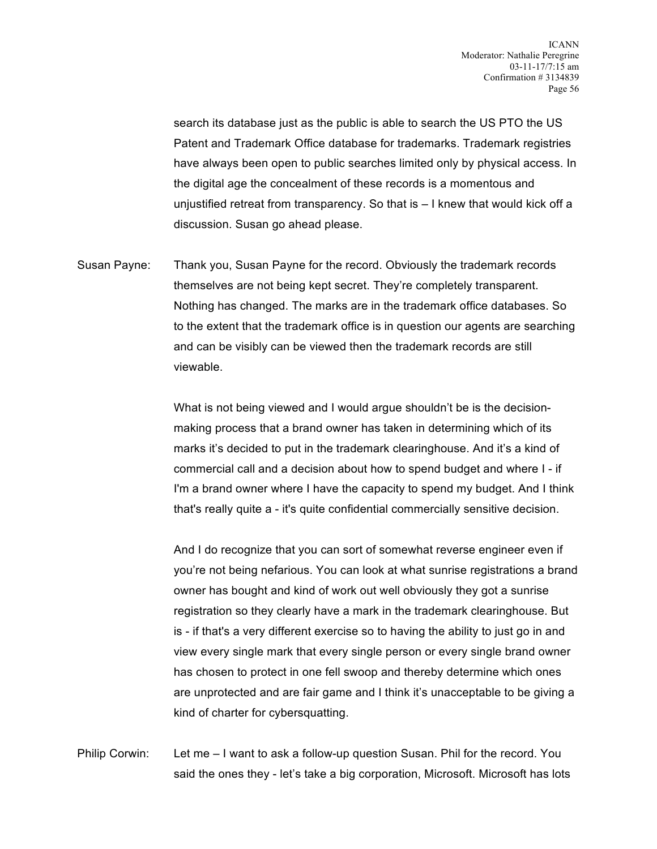search its database just as the public is able to search the US PTO the US Patent and Trademark Office database for trademarks. Trademark registries have always been open to public searches limited only by physical access. In the digital age the concealment of these records is a momentous and unjustified retreat from transparency. So that is – I knew that would kick off a discussion. Susan go ahead please.

Susan Payne: Thank you, Susan Payne for the record. Obviously the trademark records themselves are not being kept secret. They're completely transparent. Nothing has changed. The marks are in the trademark office databases. So to the extent that the trademark office is in question our agents are searching and can be visibly can be viewed then the trademark records are still viewable.

> What is not being viewed and I would argue shouldn't be is the decisionmaking process that a brand owner has taken in determining which of its marks it's decided to put in the trademark clearinghouse. And it's a kind of commercial call and a decision about how to spend budget and where I - if I'm a brand owner where I have the capacity to spend my budget. And I think that's really quite a - it's quite confidential commercially sensitive decision.

> And I do recognize that you can sort of somewhat reverse engineer even if you're not being nefarious. You can look at what sunrise registrations a brand owner has bought and kind of work out well obviously they got a sunrise registration so they clearly have a mark in the trademark clearinghouse. But is - if that's a very different exercise so to having the ability to just go in and view every single mark that every single person or every single brand owner has chosen to protect in one fell swoop and thereby determine which ones are unprotected and are fair game and I think it's unacceptable to be giving a kind of charter for cybersquatting.

Philip Corwin: Let me – I want to ask a follow-up question Susan. Phil for the record. You said the ones they - let's take a big corporation, Microsoft. Microsoft has lots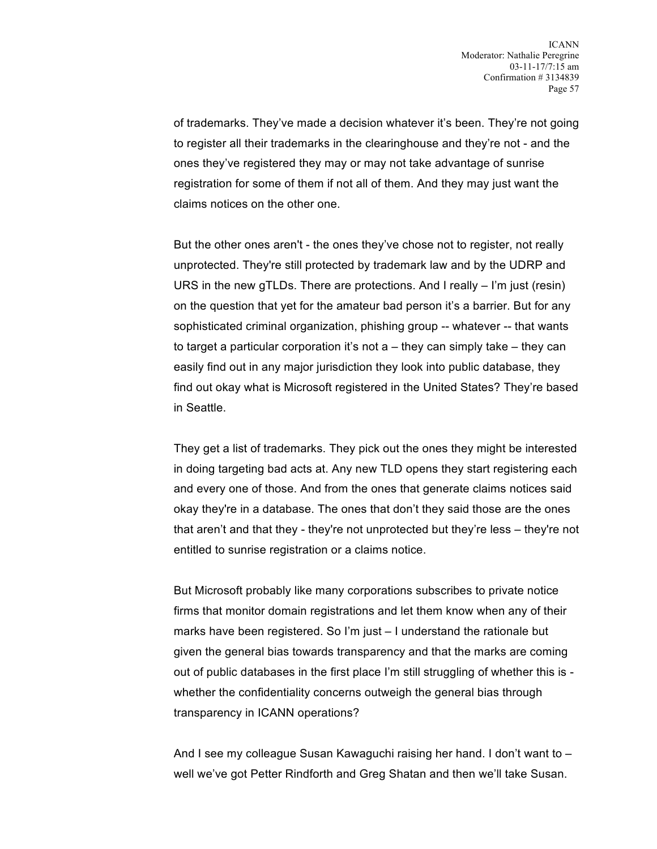of trademarks. They've made a decision whatever it's been. They're not going to register all their trademarks in the clearinghouse and they're not - and the ones they've registered they may or may not take advantage of sunrise registration for some of them if not all of them. And they may just want the claims notices on the other one.

But the other ones aren't - the ones they've chose not to register, not really unprotected. They're still protected by trademark law and by the UDRP and URS in the new gTLDs. There are protections. And I really  $-1'm$  just (resin) on the question that yet for the amateur bad person it's a barrier. But for any sophisticated criminal organization, phishing group -- whatever -- that wants to target a particular corporation it's not a – they can simply take – they can easily find out in any major jurisdiction they look into public database, they find out okay what is Microsoft registered in the United States? They're based in Seattle.

They get a list of trademarks. They pick out the ones they might be interested in doing targeting bad acts at. Any new TLD opens they start registering each and every one of those. And from the ones that generate claims notices said okay they're in a database. The ones that don't they said those are the ones that aren't and that they - they're not unprotected but they're less – they're not entitled to sunrise registration or a claims notice.

But Microsoft probably like many corporations subscribes to private notice firms that monitor domain registrations and let them know when any of their marks have been registered. So I'm just – I understand the rationale but given the general bias towards transparency and that the marks are coming out of public databases in the first place I'm still struggling of whether this is whether the confidentiality concerns outweigh the general bias through transparency in ICANN operations?

And I see my colleague Susan Kawaguchi raising her hand. I don't want to – well we've got Petter Rindforth and Greg Shatan and then we'll take Susan.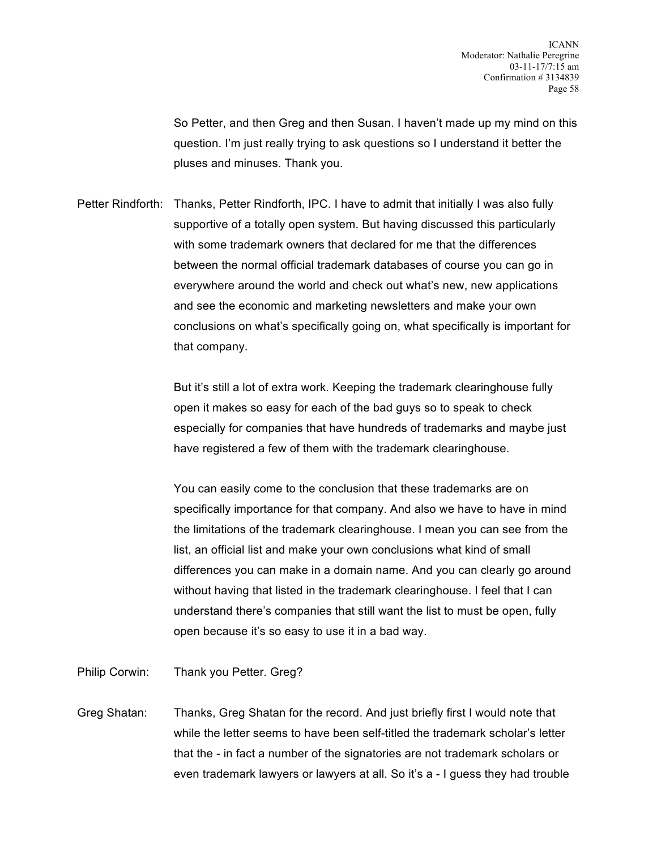So Petter, and then Greg and then Susan. I haven't made up my mind on this question. I'm just really trying to ask questions so I understand it better the pluses and minuses. Thank you.

Petter Rindforth: Thanks, Petter Rindforth, IPC. I have to admit that initially I was also fully supportive of a totally open system. But having discussed this particularly with some trademark owners that declared for me that the differences between the normal official trademark databases of course you can go in everywhere around the world and check out what's new, new applications and see the economic and marketing newsletters and make your own conclusions on what's specifically going on, what specifically is important for that company.

> But it's still a lot of extra work. Keeping the trademark clearinghouse fully open it makes so easy for each of the bad guys so to speak to check especially for companies that have hundreds of trademarks and maybe just have registered a few of them with the trademark clearinghouse.

You can easily come to the conclusion that these trademarks are on specifically importance for that company. And also we have to have in mind the limitations of the trademark clearinghouse. I mean you can see from the list, an official list and make your own conclusions what kind of small differences you can make in a domain name. And you can clearly go around without having that listed in the trademark clearinghouse. I feel that I can understand there's companies that still want the list to must be open, fully open because it's so easy to use it in a bad way.

Philip Corwin: Thank you Petter. Greg?

Greg Shatan: Thanks, Greg Shatan for the record. And just briefly first I would note that while the letter seems to have been self-titled the trademark scholar's letter that the - in fact a number of the signatories are not trademark scholars or even trademark lawyers or lawyers at all. So it's a - I guess they had trouble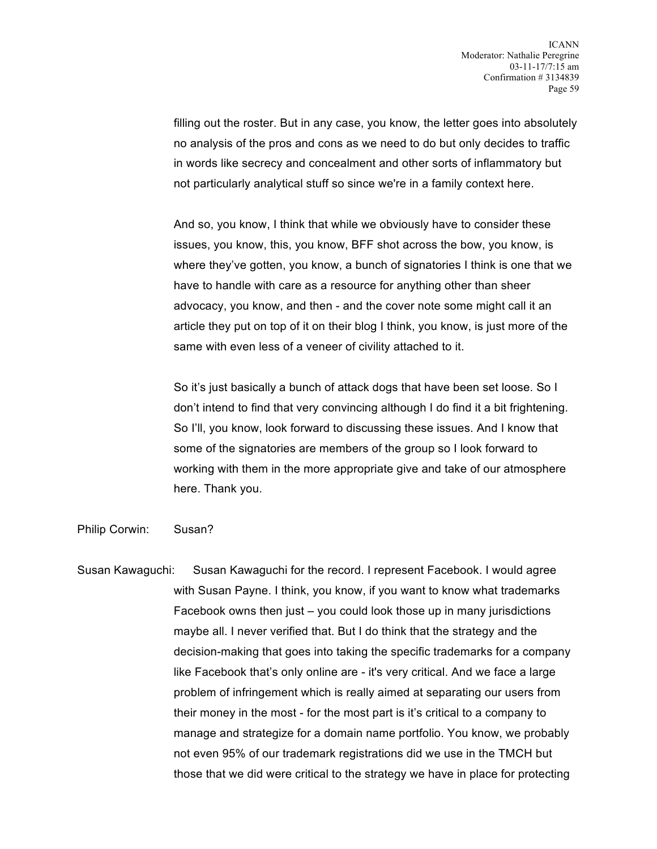filling out the roster. But in any case, you know, the letter goes into absolutely no analysis of the pros and cons as we need to do but only decides to traffic in words like secrecy and concealment and other sorts of inflammatory but not particularly analytical stuff so since we're in a family context here.

And so, you know, I think that while we obviously have to consider these issues, you know, this, you know, BFF shot across the bow, you know, is where they've gotten, you know, a bunch of signatories I think is one that we have to handle with care as a resource for anything other than sheer advocacy, you know, and then - and the cover note some might call it an article they put on top of it on their blog I think, you know, is just more of the same with even less of a veneer of civility attached to it.

So it's just basically a bunch of attack dogs that have been set loose. So I don't intend to find that very convincing although I do find it a bit frightening. So I'll, you know, look forward to discussing these issues. And I know that some of the signatories are members of the group so I look forward to working with them in the more appropriate give and take of our atmosphere here. Thank you.

Philip Corwin: Susan?

Susan Kawaguchi: Susan Kawaguchi for the record. I represent Facebook. I would agree with Susan Payne. I think, you know, if you want to know what trademarks Facebook owns then just – you could look those up in many jurisdictions maybe all. I never verified that. But I do think that the strategy and the decision-making that goes into taking the specific trademarks for a company like Facebook that's only online are - it's very critical. And we face a large problem of infringement which is really aimed at separating our users from their money in the most - for the most part is it's critical to a company to manage and strategize for a domain name portfolio. You know, we probably not even 95% of our trademark registrations did we use in the TMCH but those that we did were critical to the strategy we have in place for protecting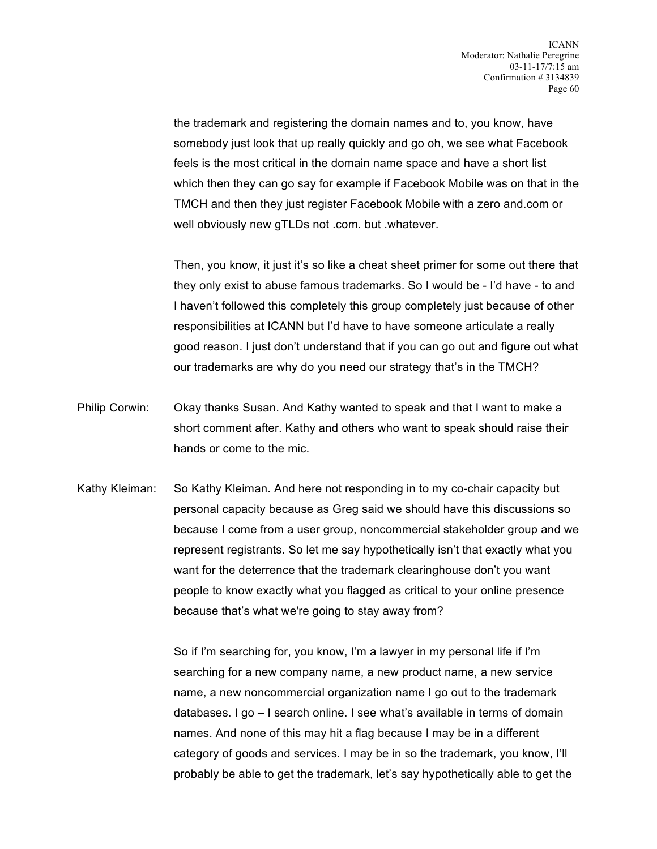the trademark and registering the domain names and to, you know, have somebody just look that up really quickly and go oh, we see what Facebook feels is the most critical in the domain name space and have a short list which then they can go say for example if Facebook Mobile was on that in the TMCH and then they just register Facebook Mobile with a zero and.com or well obviously new gTLDs not .com. but .whatever.

Then, you know, it just it's so like a cheat sheet primer for some out there that they only exist to abuse famous trademarks. So I would be - I'd have - to and I haven't followed this completely this group completely just because of other responsibilities at ICANN but I'd have to have someone articulate a really good reason. I just don't understand that if you can go out and figure out what our trademarks are why do you need our strategy that's in the TMCH?

- Philip Corwin: Okay thanks Susan. And Kathy wanted to speak and that I want to make a short comment after. Kathy and others who want to speak should raise their hands or come to the mic.
- Kathy Kleiman: So Kathy Kleiman. And here not responding in to my co-chair capacity but personal capacity because as Greg said we should have this discussions so because I come from a user group, noncommercial stakeholder group and we represent registrants. So let me say hypothetically isn't that exactly what you want for the deterrence that the trademark clearinghouse don't you want people to know exactly what you flagged as critical to your online presence because that's what we're going to stay away from?

So if I'm searching for, you know, I'm a lawyer in my personal life if I'm searching for a new company name, a new product name, a new service name, a new noncommercial organization name I go out to the trademark databases. I go – I search online. I see what's available in terms of domain names. And none of this may hit a flag because I may be in a different category of goods and services. I may be in so the trademark, you know, I'll probably be able to get the trademark, let's say hypothetically able to get the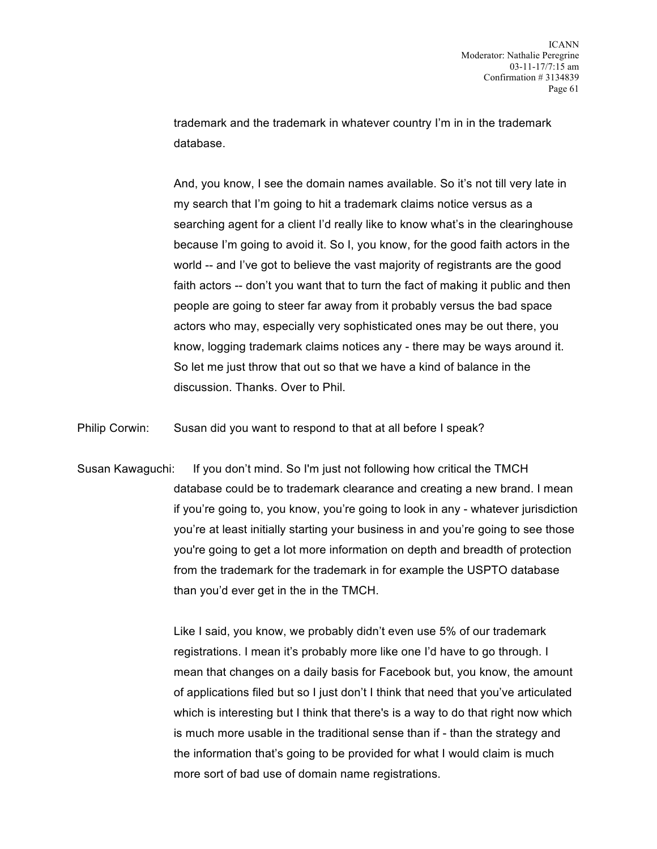trademark and the trademark in whatever country I'm in in the trademark database.

And, you know, I see the domain names available. So it's not till very late in my search that I'm going to hit a trademark claims notice versus as a searching agent for a client I'd really like to know what's in the clearinghouse because I'm going to avoid it. So I, you know, for the good faith actors in the world -- and I've got to believe the vast majority of registrants are the good faith actors -- don't you want that to turn the fact of making it public and then people are going to steer far away from it probably versus the bad space actors who may, especially very sophisticated ones may be out there, you know, logging trademark claims notices any - there may be ways around it. So let me just throw that out so that we have a kind of balance in the discussion. Thanks. Over to Phil.

Philip Corwin: Susan did you want to respond to that at all before I speak?

Susan Kawaguchi: If you don't mind. So I'm just not following how critical the TMCH database could be to trademark clearance and creating a new brand. I mean if you're going to, you know, you're going to look in any - whatever jurisdiction you're at least initially starting your business in and you're going to see those you're going to get a lot more information on depth and breadth of protection from the trademark for the trademark in for example the USPTO database than you'd ever get in the in the TMCH.

> Like I said, you know, we probably didn't even use 5% of our trademark registrations. I mean it's probably more like one I'd have to go through. I mean that changes on a daily basis for Facebook but, you know, the amount of applications filed but so I just don't I think that need that you've articulated which is interesting but I think that there's is a way to do that right now which is much more usable in the traditional sense than if - than the strategy and the information that's going to be provided for what I would claim is much more sort of bad use of domain name registrations.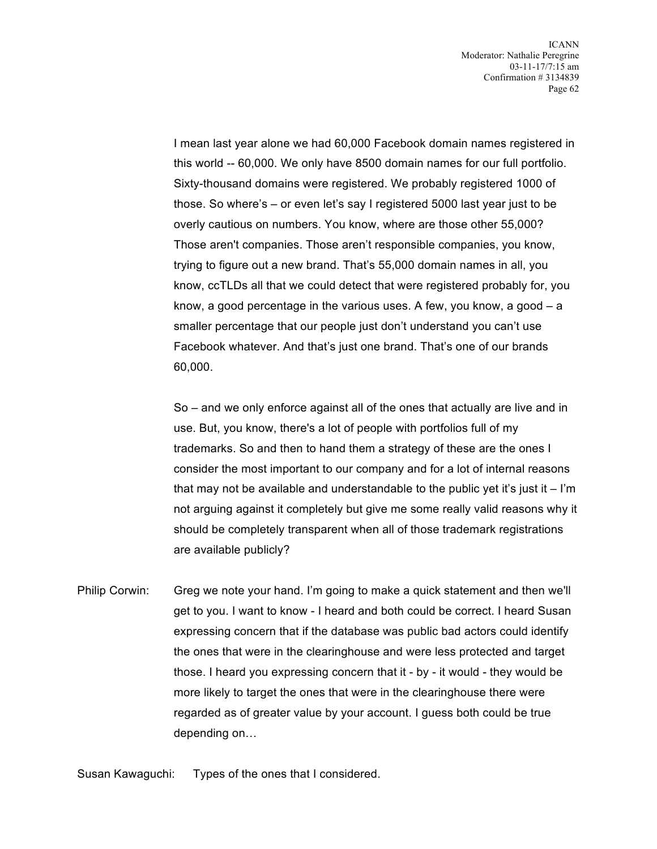I mean last year alone we had 60,000 Facebook domain names registered in this world -- 60,000. We only have 8500 domain names for our full portfolio. Sixty-thousand domains were registered. We probably registered 1000 of those. So where's – or even let's say I registered 5000 last year just to be overly cautious on numbers. You know, where are those other 55,000? Those aren't companies. Those aren't responsible companies, you know, trying to figure out a new brand. That's 55,000 domain names in all, you know, ccTLDs all that we could detect that were registered probably for, you know, a good percentage in the various uses. A few, you know, a good – a smaller percentage that our people just don't understand you can't use Facebook whatever. And that's just one brand. That's one of our brands 60,000.

So – and we only enforce against all of the ones that actually are live and in use. But, you know, there's a lot of people with portfolios full of my trademarks. So and then to hand them a strategy of these are the ones I consider the most important to our company and for a lot of internal reasons that may not be available and understandable to the public yet it's just it  $-$  I'm not arguing against it completely but give me some really valid reasons why it should be completely transparent when all of those trademark registrations are available publicly?

Philip Corwin: Greg we note your hand. I'm going to make a quick statement and then we'll get to you. I want to know - I heard and both could be correct. I heard Susan expressing concern that if the database was public bad actors could identify the ones that were in the clearinghouse and were less protected and target those. I heard you expressing concern that it - by - it would - they would be more likely to target the ones that were in the clearinghouse there were regarded as of greater value by your account. I guess both could be true depending on…

Susan Kawaguchi: Types of the ones that I considered.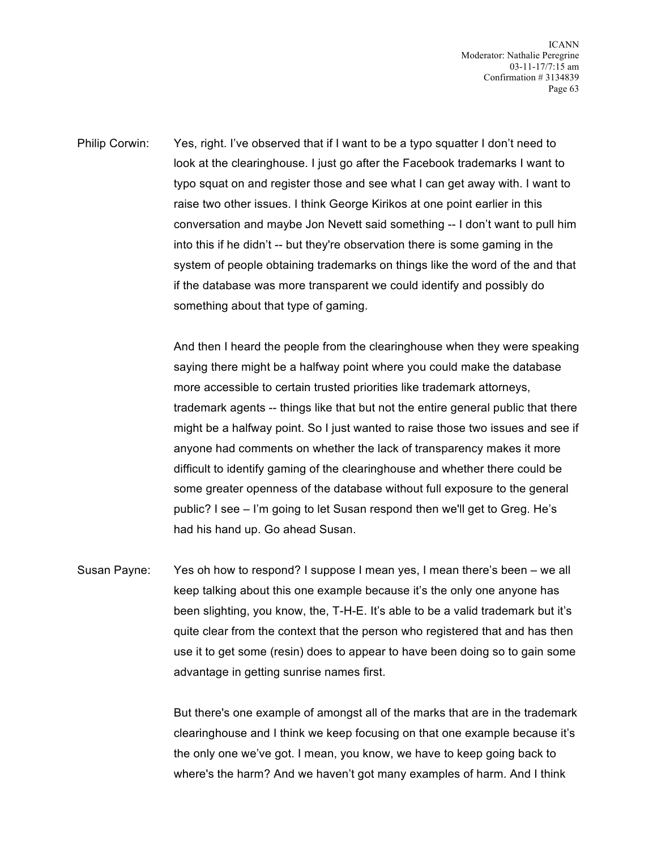ICANN Moderator: Nathalie Peregrine 03-11-17/7:15 am Confirmation # 3134839 Page 63

Philip Corwin: Yes, right. I've observed that if I want to be a typo squatter I don't need to look at the clearinghouse. I just go after the Facebook trademarks I want to typo squat on and register those and see what I can get away with. I want to raise two other issues. I think George Kirikos at one point earlier in this conversation and maybe Jon Nevett said something -- I don't want to pull him into this if he didn't -- but they're observation there is some gaming in the system of people obtaining trademarks on things like the word of the and that if the database was more transparent we could identify and possibly do something about that type of gaming.

> And then I heard the people from the clearinghouse when they were speaking saying there might be a halfway point where you could make the database more accessible to certain trusted priorities like trademark attorneys, trademark agents -- things like that but not the entire general public that there might be a halfway point. So I just wanted to raise those two issues and see if anyone had comments on whether the lack of transparency makes it more difficult to identify gaming of the clearinghouse and whether there could be some greater openness of the database without full exposure to the general public? I see – I'm going to let Susan respond then we'll get to Greg. He's had his hand up. Go ahead Susan.

Susan Payne: Yes oh how to respond? I suppose I mean yes, I mean there's been – we all keep talking about this one example because it's the only one anyone has been slighting, you know, the, T-H-E. It's able to be a valid trademark but it's quite clear from the context that the person who registered that and has then use it to get some (resin) does to appear to have been doing so to gain some advantage in getting sunrise names first.

> But there's one example of amongst all of the marks that are in the trademark clearinghouse and I think we keep focusing on that one example because it's the only one we've got. I mean, you know, we have to keep going back to where's the harm? And we haven't got many examples of harm. And I think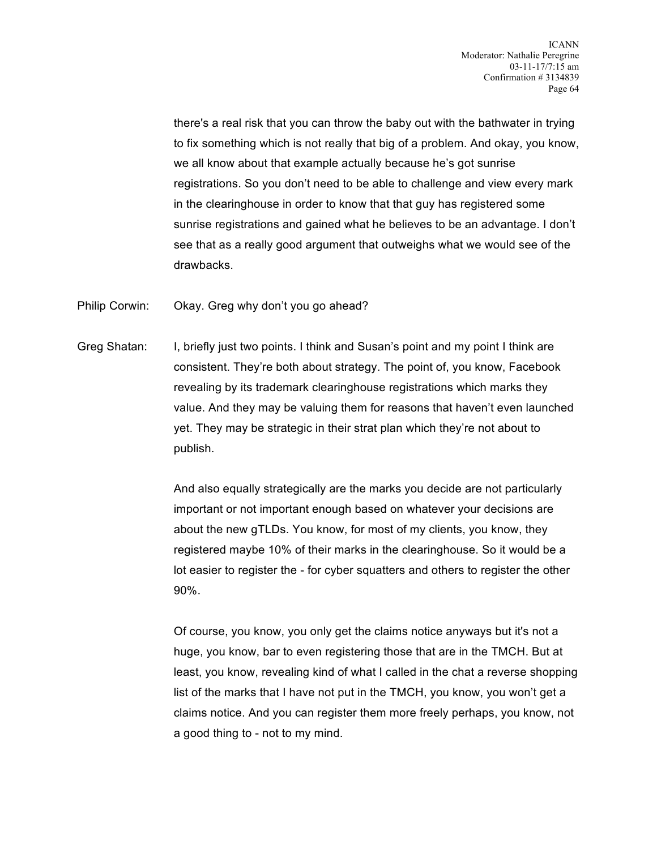there's a real risk that you can throw the baby out with the bathwater in trying to fix something which is not really that big of a problem. And okay, you know, we all know about that example actually because he's got sunrise registrations. So you don't need to be able to challenge and view every mark in the clearinghouse in order to know that that guy has registered some sunrise registrations and gained what he believes to be an advantage. I don't see that as a really good argument that outweighs what we would see of the drawbacks.

Philip Corwin: Okay. Greg why don't you go ahead?

Greg Shatan: I, briefly just two points. I think and Susan's point and my point I think are consistent. They're both about strategy. The point of, you know, Facebook revealing by its trademark clearinghouse registrations which marks they value. And they may be valuing them for reasons that haven't even launched yet. They may be strategic in their strat plan which they're not about to publish.

> And also equally strategically are the marks you decide are not particularly important or not important enough based on whatever your decisions are about the new gTLDs. You know, for most of my clients, you know, they registered maybe 10% of their marks in the clearinghouse. So it would be a lot easier to register the - for cyber squatters and others to register the other 90%.

Of course, you know, you only get the claims notice anyways but it's not a huge, you know, bar to even registering those that are in the TMCH. But at least, you know, revealing kind of what I called in the chat a reverse shopping list of the marks that I have not put in the TMCH, you know, you won't get a claims notice. And you can register them more freely perhaps, you know, not a good thing to - not to my mind.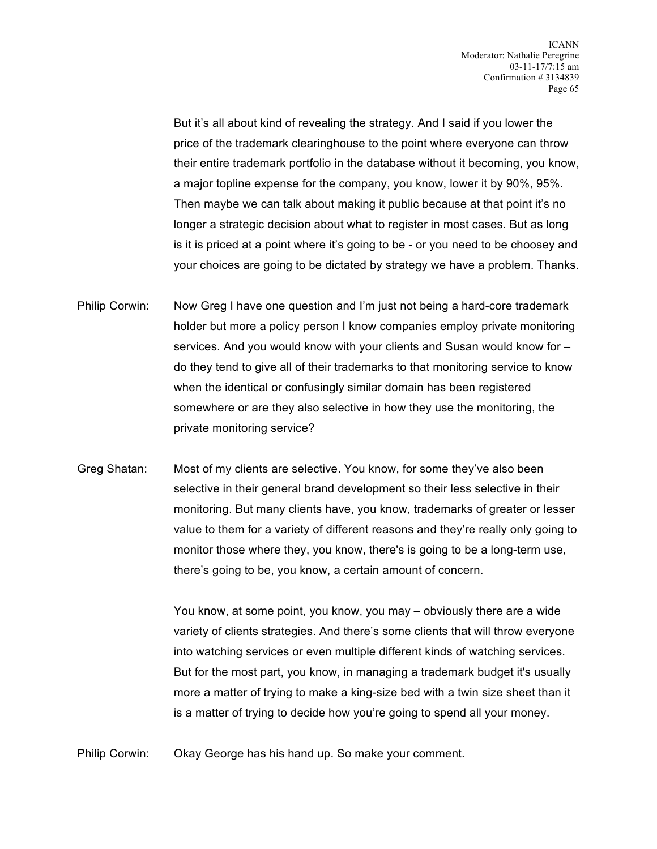But it's all about kind of revealing the strategy. And I said if you lower the price of the trademark clearinghouse to the point where everyone can throw their entire trademark portfolio in the database without it becoming, you know, a major topline expense for the company, you know, lower it by 90%, 95%. Then maybe we can talk about making it public because at that point it's no longer a strategic decision about what to register in most cases. But as long is it is priced at a point where it's going to be - or you need to be choosey and your choices are going to be dictated by strategy we have a problem. Thanks.

- Philip Corwin: Now Greg I have one question and I'm just not being a hard-core trademark holder but more a policy person I know companies employ private monitoring services. And you would know with your clients and Susan would know for – do they tend to give all of their trademarks to that monitoring service to know when the identical or confusingly similar domain has been registered somewhere or are they also selective in how they use the monitoring, the private monitoring service?
- Greg Shatan: Most of my clients are selective. You know, for some they've also been selective in their general brand development so their less selective in their monitoring. But many clients have, you know, trademarks of greater or lesser value to them for a variety of different reasons and they're really only going to monitor those where they, you know, there's is going to be a long-term use, there's going to be, you know, a certain amount of concern.

You know, at some point, you know, you may – obviously there are a wide variety of clients strategies. And there's some clients that will throw everyone into watching services or even multiple different kinds of watching services. But for the most part, you know, in managing a trademark budget it's usually more a matter of trying to make a king-size bed with a twin size sheet than it is a matter of trying to decide how you're going to spend all your money.

Philip Corwin: Okay George has his hand up. So make your comment.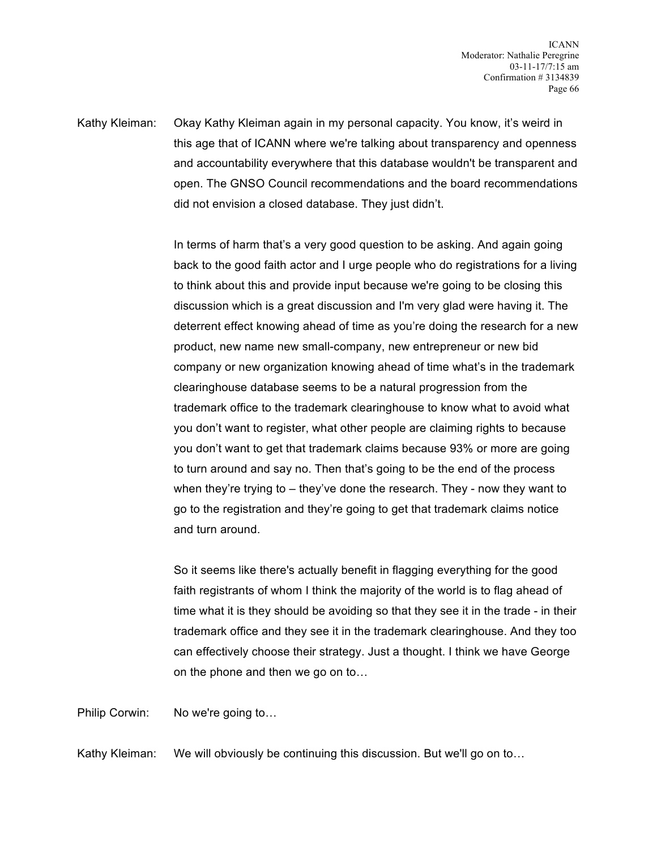Kathy Kleiman: Okay Kathy Kleiman again in my personal capacity. You know, it's weird in this age that of ICANN where we're talking about transparency and openness and accountability everywhere that this database wouldn't be transparent and open. The GNSO Council recommendations and the board recommendations did not envision a closed database. They just didn't.

> In terms of harm that's a very good question to be asking. And again going back to the good faith actor and I urge people who do registrations for a living to think about this and provide input because we're going to be closing this discussion which is a great discussion and I'm very glad were having it. The deterrent effect knowing ahead of time as you're doing the research for a new product, new name new small-company, new entrepreneur or new bid company or new organization knowing ahead of time what's in the trademark clearinghouse database seems to be a natural progression from the trademark office to the trademark clearinghouse to know what to avoid what you don't want to register, what other people are claiming rights to because you don't want to get that trademark claims because 93% or more are going to turn around and say no. Then that's going to be the end of the process when they're trying to – they've done the research. They - now they want to go to the registration and they're going to get that trademark claims notice and turn around.

> So it seems like there's actually benefit in flagging everything for the good faith registrants of whom I think the majority of the world is to flag ahead of time what it is they should be avoiding so that they see it in the trade - in their trademark office and they see it in the trademark clearinghouse. And they too can effectively choose their strategy. Just a thought. I think we have George on the phone and then we go on to…

Philip Corwin: No we're going to…

Kathy Kleiman: We will obviously be continuing this discussion. But we'll go on to…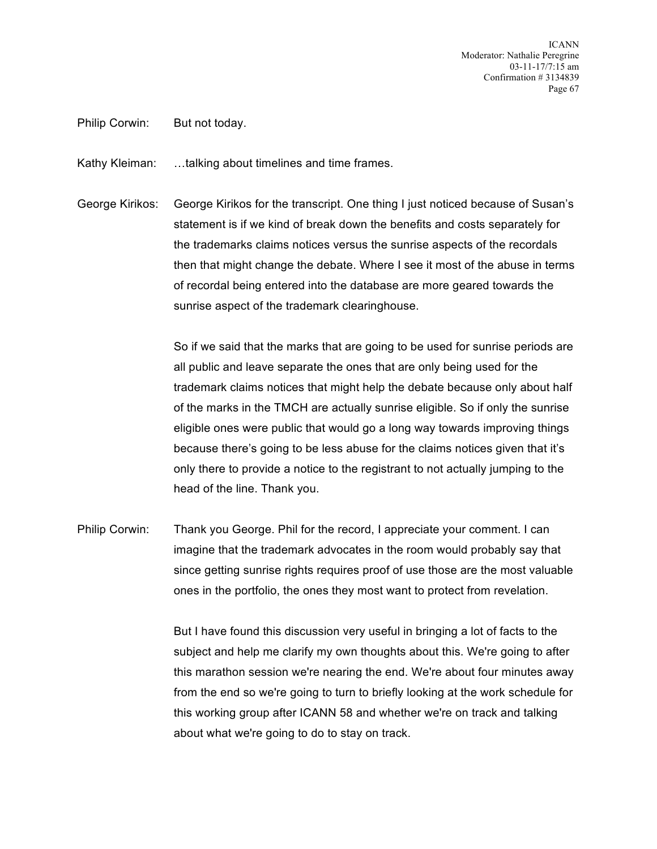ICANN Moderator: Nathalie Peregrine 03-11-17/7:15 am Confirmation # 3134839 Page 67

Philip Corwin: But not today.

Kathy Kleiman: …talking about timelines and time frames.

George Kirikos: George Kirikos for the transcript. One thing I just noticed because of Susan's statement is if we kind of break down the benefits and costs separately for the trademarks claims notices versus the sunrise aspects of the recordals then that might change the debate. Where I see it most of the abuse in terms of recordal being entered into the database are more geared towards the sunrise aspect of the trademark clearinghouse.

> So if we said that the marks that are going to be used for sunrise periods are all public and leave separate the ones that are only being used for the trademark claims notices that might help the debate because only about half of the marks in the TMCH are actually sunrise eligible. So if only the sunrise eligible ones were public that would go a long way towards improving things because there's going to be less abuse for the claims notices given that it's only there to provide a notice to the registrant to not actually jumping to the head of the line. Thank you.

Philip Corwin: Thank you George. Phil for the record, I appreciate your comment. I can imagine that the trademark advocates in the room would probably say that since getting sunrise rights requires proof of use those are the most valuable ones in the portfolio, the ones they most want to protect from revelation.

> But I have found this discussion very useful in bringing a lot of facts to the subject and help me clarify my own thoughts about this. We're going to after this marathon session we're nearing the end. We're about four minutes away from the end so we're going to turn to briefly looking at the work schedule for this working group after ICANN 58 and whether we're on track and talking about what we're going to do to stay on track.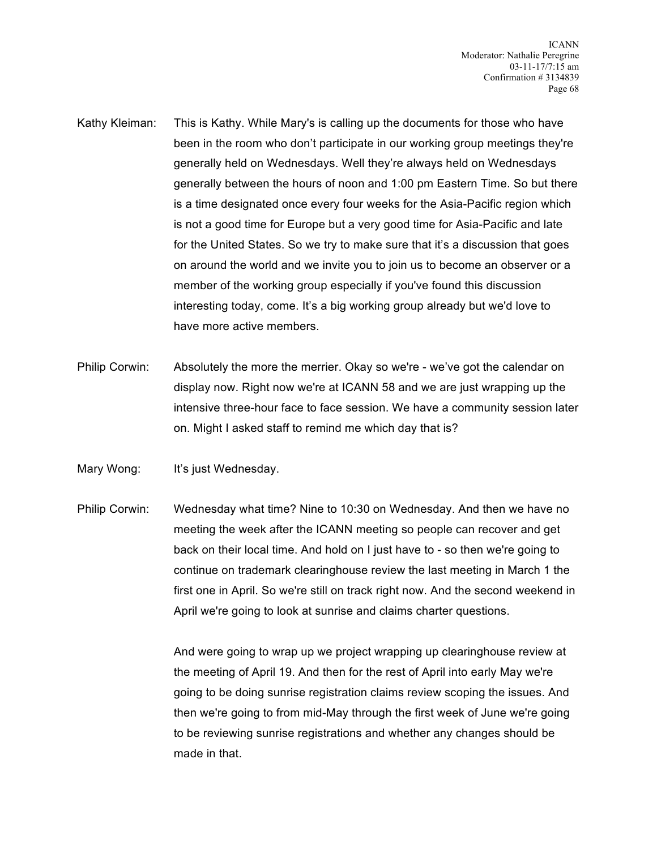- Kathy Kleiman: This is Kathy. While Mary's is calling up the documents for those who have been in the room who don't participate in our working group meetings they're generally held on Wednesdays. Well they're always held on Wednesdays generally between the hours of noon and 1:00 pm Eastern Time. So but there is a time designated once every four weeks for the Asia-Pacific region which is not a good time for Europe but a very good time for Asia-Pacific and late for the United States. So we try to make sure that it's a discussion that goes on around the world and we invite you to join us to become an observer or a member of the working group especially if you've found this discussion interesting today, come. It's a big working group already but we'd love to have more active members.
- Philip Corwin: Absolutely the more the merrier. Okay so we're we've got the calendar on display now. Right now we're at ICANN 58 and we are just wrapping up the intensive three-hour face to face session. We have a community session later on. Might I asked staff to remind me which day that is?

Mary Wong: It's just Wednesday.

Philip Corwin: Wednesday what time? Nine to 10:30 on Wednesday. And then we have no meeting the week after the ICANN meeting so people can recover and get back on their local time. And hold on I just have to - so then we're going to continue on trademark clearinghouse review the last meeting in March 1 the first one in April. So we're still on track right now. And the second weekend in April we're going to look at sunrise and claims charter questions.

> And were going to wrap up we project wrapping up clearinghouse review at the meeting of April 19. And then for the rest of April into early May we're going to be doing sunrise registration claims review scoping the issues. And then we're going to from mid-May through the first week of June we're going to be reviewing sunrise registrations and whether any changes should be made in that.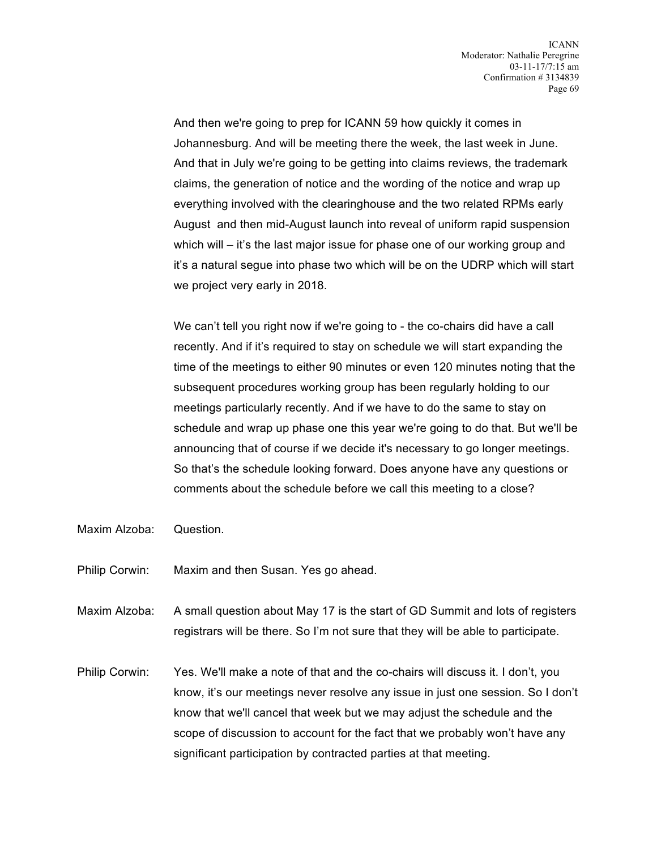And then we're going to prep for ICANN 59 how quickly it comes in Johannesburg. And will be meeting there the week, the last week in June. And that in July we're going to be getting into claims reviews, the trademark claims, the generation of notice and the wording of the notice and wrap up everything involved with the clearinghouse and the two related RPMs early August and then mid-August launch into reveal of uniform rapid suspension which will – it's the last major issue for phase one of our working group and it's a natural segue into phase two which will be on the UDRP which will start we project very early in 2018.

We can't tell you right now if we're going to - the co-chairs did have a call recently. And if it's required to stay on schedule we will start expanding the time of the meetings to either 90 minutes or even 120 minutes noting that the subsequent procedures working group has been regularly holding to our meetings particularly recently. And if we have to do the same to stay on schedule and wrap up phase one this year we're going to do that. But we'll be announcing that of course if we decide it's necessary to go longer meetings. So that's the schedule looking forward. Does anyone have any questions or comments about the schedule before we call this meeting to a close?

- Maxim Alzoba: Question.
- Philip Corwin: Maxim and then Susan. Yes go ahead.
- Maxim Alzoba: A small question about May 17 is the start of GD Summit and lots of registers registrars will be there. So I'm not sure that they will be able to participate.
- Philip Corwin: Yes. We'll make a note of that and the co-chairs will discuss it. I don't, you know, it's our meetings never resolve any issue in just one session. So I don't know that we'll cancel that week but we may adjust the schedule and the scope of discussion to account for the fact that we probably won't have any significant participation by contracted parties at that meeting.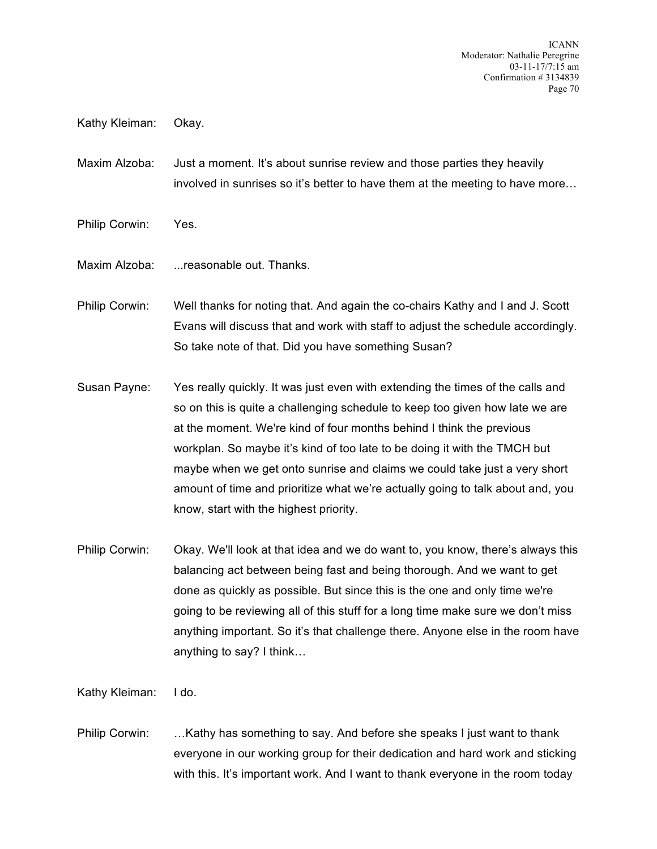ICANN Moderator: Nathalie Peregrine 03-11-17/7:15 am Confirmation # 3134839 Page 70

Kathy Kleiman: Okay.

Maxim Alzoba: Just a moment. It's about sunrise review and those parties they heavily involved in sunrises so it's better to have them at the meeting to have more…

- Philip Corwin: Yes.
- Maxim Alzoba: ...reasonable out. Thanks.

Philip Corwin: Well thanks for noting that. And again the co-chairs Kathy and I and J. Scott Evans will discuss that and work with staff to adjust the schedule accordingly. So take note of that. Did you have something Susan?

- Susan Payne: Yes really quickly. It was just even with extending the times of the calls and so on this is quite a challenging schedule to keep too given how late we are at the moment. We're kind of four months behind I think the previous workplan. So maybe it's kind of too late to be doing it with the TMCH but maybe when we get onto sunrise and claims we could take just a very short amount of time and prioritize what we're actually going to talk about and, you know, start with the highest priority.
- Philip Corwin: Okay. We'll look at that idea and we do want to, you know, there's always this balancing act between being fast and being thorough. And we want to get done as quickly as possible. But since this is the one and only time we're going to be reviewing all of this stuff for a long time make sure we don't miss anything important. So it's that challenge there. Anyone else in the room have anything to say? I think…

Kathy Kleiman: I do.

Philip Corwin: …Kathy has something to say. And before she speaks I just want to thank everyone in our working group for their dedication and hard work and sticking with this. It's important work. And I want to thank everyone in the room today